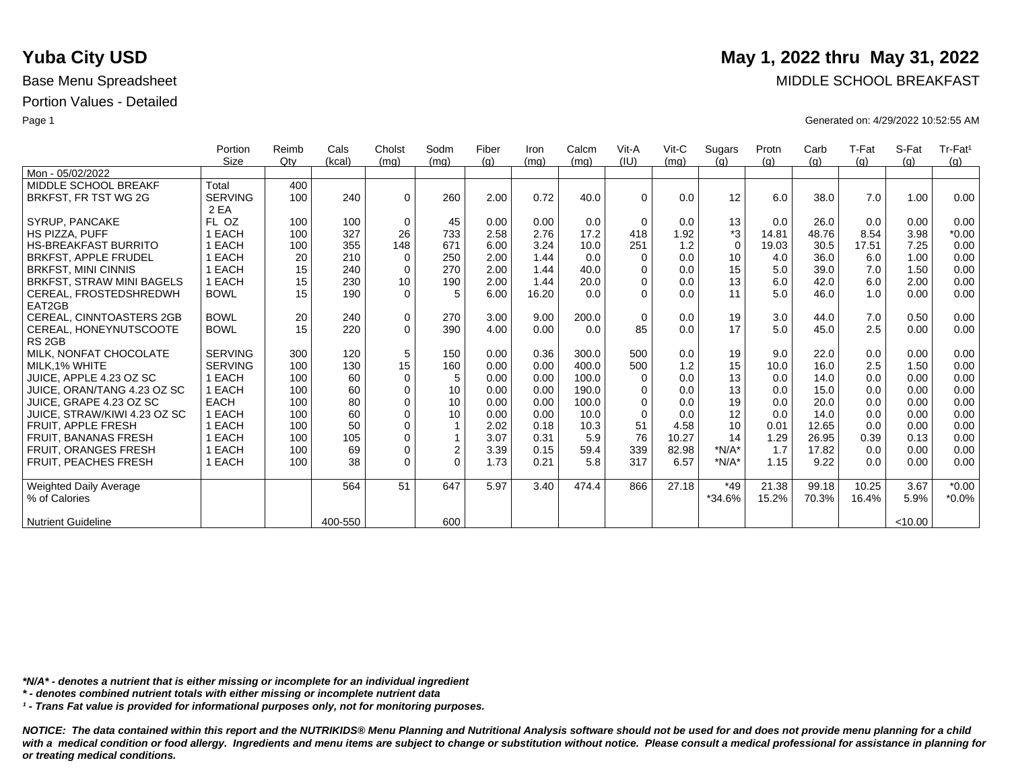|                                  | Portion        | Reimb | Cals    | Cholst      | Sodm        | Fiber | Iron  | Calcm | Vit-A       | $V$ it-C | Sugars      | Protn | Carb  | T-Fat | S-Fat   | Tr-Fat <sup>1</sup> |
|----------------------------------|----------------|-------|---------|-------------|-------------|-------|-------|-------|-------------|----------|-------------|-------|-------|-------|---------|---------------------|
|                                  | <b>Size</b>    | Qtv   | (kcal)  | (mq)        | (mq)        | (q)   | (mq)  | (mq)  | (IU)        | (mq)     | (q)         | (g)   | (g)   | (q)   | (q)     | (g)                 |
| Mon - 05/02/2022                 |                |       |         |             |             |       |       |       |             |          |             |       |       |       |         |                     |
| MIDDLE SCHOOL BREAKF             | Total          | 400   |         |             |             |       |       |       |             |          |             |       |       |       |         |                     |
| BRKFST, FR TST WG 2G             | <b>SERVING</b> | 100   | 240     | $\Omega$    | 260         | 2.00  | 0.72  | 40.0  | $\Omega$    | 0.0      | 12          | 6.0   | 38.0  | 7.0   | 1.00    | 0.00                |
|                                  | 2 EA           |       |         |             |             |       |       |       |             |          |             |       |       |       |         |                     |
| <b>SYRUP, PANCAKE</b>            | FL OZ          | 100   | 100     | $\mathbf 0$ | 45          | 0.00  | 0.00  | 0.0   | $\Omega$    | 0.0      | 13          | 0.0   | 26.0  | 0.0   | 0.00    | 0.00                |
| <b>HS PIZZA, PUFF</b>            | <b>EACH</b>    | 100   | 327     | 26          | 733         | 2.58  | 2.76  | 17.2  | 418         | 1.92     | *3          | 14.81 | 48.76 | 8.54  | 3.98    | $*0.00$             |
| <b>HS-BREAKFAST BURRITO</b>      | <b>EACH</b>    | 100   | 355     | 148         | 671         | 6.00  | 3.24  | 10.0  | 251         | 1.2      | $\mathbf 0$ | 19.03 | 30.5  | 17.51 | 7.25    | 0.00                |
| BRKFST, APPLE FRUDEL             | EACH           | 20    | 210     | $\mathbf 0$ | 250         | 2.00  | 1.44  | 0.0   | $\Omega$    | 0.0      | 10          | 4.0   | 36.0  | 6.0   | 1.00    | 0.00                |
| <b>BRKFST, MINI CINNIS</b>       | 1 EACH         | 15    | 240     | $\mathbf 0$ | 270         | 2.00  | 1.44  | 40.0  | $\Omega$    | 0.0      | 15          | 5.0   | 39.0  | 7.0   | 1.50    | 0.00                |
| <b>BRKFST, STRAW MINI BAGELS</b> | 1 EACH         | 15    | 230     | 10          | 190         | 2.00  | 1.44  | 20.0  | $\Omega$    | 0.0      | 13          | 6.0   | 42.0  | 6.0   | 2.00    | 0.00                |
| CEREAL, FROSTEDSHREDWH           | <b>BOWL</b>    | 15    | 190     | $\mathbf 0$ | 5           | 6.00  | 16.20 | 0.0   | 0           | 0.0      | 11          | 5.0   | 46.0  | 1.0   | 0.00    | 0.00                |
| EAT2GB                           |                |       |         |             |             |       |       |       |             |          |             |       |       |       |         |                     |
| <b>CEREAL, CINNTOASTERS 2GB</b>  | <b>BOWL</b>    | 20    | 240     | $\mathbf 0$ | 270         | 3.00  | 9.00  | 200.0 | $\mathbf 0$ | 0.0      | 19          | 3.0   | 44.0  | 7.0   | 0.50    | 0.00                |
| CEREAL, HONEYNUTSCOOTE           | <b>BOWL</b>    | 15    | 220     | $\Omega$    | 390         | 4.00  | 0.00  | 0.0   | 85          | 0.0      | 17          | 5.0   | 45.0  | 2.5   | 0.00    | 0.00                |
| RS <sub>2GB</sub>                |                |       |         |             |             |       |       |       |             |          |             |       |       |       |         |                     |
| MILK. NONFAT CHOCOLATE           | <b>SERVING</b> | 300   | 120     | 5           | 150         | 0.00  | 0.36  | 300.0 | 500         | 0.0      | 19          | 9.0   | 22.0  | 0.0   | 0.00    | 0.00                |
| MILK.1% WHITE                    | <b>SERVING</b> | 100   | 130     | 15          | 160         | 0.00  | 0.00  | 400.0 | 500         | 1.2      | 15          | 10.0  | 16.0  | 2.5   | 1.50    | 0.00                |
| JUICE, APPLE 4.23 OZ SC          | 1 EACH         | 100   | 60      | $\mathbf 0$ | 5           | 0.00  | 0.00  | 100.0 | $\Omega$    | 0.0      | 13          | 0.0   | 14.0  | 0.0   | 0.00    | 0.00                |
| JUICE, ORAN/TANG 4.23 OZ SC      | <b>EACH</b>    | 100   | 60      | $\mathbf 0$ | 10          | 0.00  | 0.00  | 190.0 | $\Omega$    | 0.0      | 13          | 0.0   | 15.0  | 0.0   | 0.00    | 0.00                |
| JUICE, GRAPE 4.23 OZ SC          | <b>EACH</b>    | 100   | 80      | $\mathbf 0$ | 10          | 0.00  | 0.00  | 100.0 | $\Omega$    | 0.0      | 19          | 0.0   | 20.0  | 0.0   | 0.00    | 0.00                |
| JUICE, STRAW/KIWI 4.23 OZ SC     | 1 EACH         | 100   | 60      | $\Omega$    | 10          | 0.00  | 0.00  | 10.0  | $\Omega$    | 0.0      | 12          | 0.0   | 14.0  | 0.0   | 0.00    | 0.00                |
| <b>FRUIT, APPLE FRESH</b>        | 1 EACH         | 100   | 50      | $\mathbf 0$ | $\mathbf 1$ | 2.02  | 0.18  | 10.3  | 51          | 4.58     | 10          | 0.01  | 12.65 | 0.0   | 0.00    | 0.00                |
| <b>FRUIT, BANANAS FRESH</b>      | <b>EACH</b>    | 100   | 105     | $\mathbf 0$ |             | 3.07  | 0.31  | 5.9   | 76          | 10.27    | 14          | 1.29  | 26.95 | 0.39  | 0.13    | 0.00                |
| FRUIT, ORANGES FRESH             | 1 EACH         | 100   | 69      | $\mathbf 0$ | $\mathbf 2$ | 3.39  | 0.15  | 59.4  | 339         | 82.98    | $*N/A*$     | 1.7   | 17.82 | 0.0   | 0.00    | 0.00                |
| FRUIT, PEACHES FRESH             | 1 EACH         | 100   | 38      | $\Omega$    | $\Omega$    | 1.73  | 0.21  | 5.8   | 317         | 6.57     | $*N/A*$     | 1.15  | 9.22  | 0.0   | 0.00    | 0.00                |
|                                  |                |       |         |             |             |       |       |       |             |          |             |       |       |       |         |                     |
| <b>Weighted Daily Average</b>    |                |       | 564     | 51          | 647         | 5.97  | 3.40  | 474.4 | 866         | 27.18    | *49         | 21.38 | 99.18 | 10.25 | 3.67    | $*0.00$             |
| % of Calories                    |                |       |         |             |             |       |       |       |             |          | *34.6%      | 15.2% | 70.3% | 16.4% | 5.9%    | $*0.0\%$            |
|                                  |                |       |         |             |             |       |       |       |             |          |             |       |       |       |         |                     |
| <b>Nutrient Guideline</b>        |                |       | 400-550 |             | 600         |       |       |       |             |          |             |       |       |       | < 10.00 |                     |

*\*N/A\* - denotes a nutrient that is either missing or incomplete for an individual ingredient*

*\* - denotes combined nutrient totals with either missing or incomplete nutrient data*

*¹ - Trans Fat value is provided for informational purposes only, not for monitoring purposes.*

*NOTICE: The data contained within this report and the NUTRIKIDS® Menu Planning and Nutritional Analysis software should not be used for and does not provide menu planning for a child*  with a medical condition or food allergy. Ingredients and menu items are subject to change or substitution without notice. Please consult a medical professional for assistance in planning for *or treating medical conditions.*

### **Yuba City USD** May 1, 2022 thru May 31, 2022

Base Menu Spreadsheet **MIDDLE SCHOOL BREAKFAST** 

Page 1 Generated on: 4/29/2022 10:52:55 AM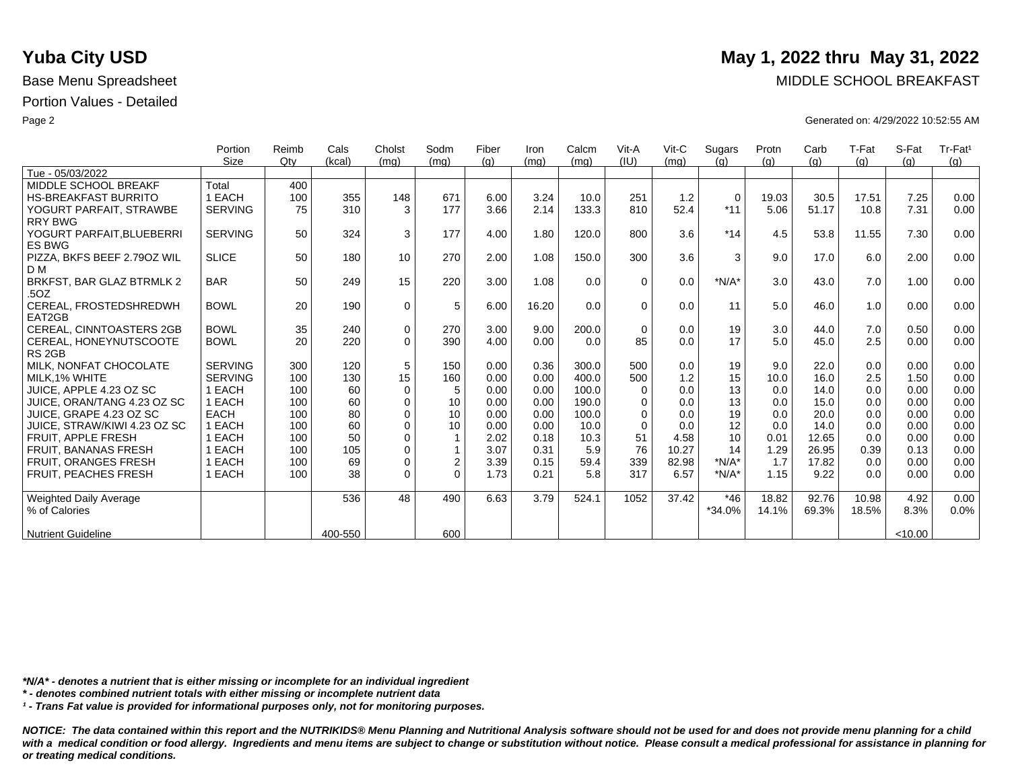|                                 | Portion        | Reimb | Cals    | Cholst      | Sodm        | Fiber | Iron  | Calcm | Vit-A    | Vit-C | Sugars      | Protn | Carb  | T-Fat | S-Fat  | Tr-Fat <sup>1</sup> |
|---------------------------------|----------------|-------|---------|-------------|-------------|-------|-------|-------|----------|-------|-------------|-------|-------|-------|--------|---------------------|
|                                 | Size           | Qtv   | (kcal)  | (mq)        | (mq)        | (q)   | (mq)  | (mq)  | (IU)     | (mq)  | (q)         | (q)   | (q)   | (q)   | (q)    | (q)                 |
| Tue - 05/03/2022                |                |       |         |             |             |       |       |       |          |       |             |       |       |       |        |                     |
| MIDDLE SCHOOL BREAKF            | Total          | 400   |         |             |             |       |       |       |          |       |             |       |       |       |        |                     |
| <b>HS-BREAKFAST BURRITO</b>     | 1 EACH         | 100   | 355     | 148         | 671         | 6.00  | 3.24  | 10.0  | 251      | 1.2   | $\mathbf 0$ | 19.03 | 30.5  | 17.51 | 7.25   | 0.00                |
| YOGURT PARFAIT, STRAWBE         | <b>SERVING</b> | 75    | 310     | 3           | 177         | 3.66  | 2.14  | 133.3 | 810      | 52.4  | $*11$       | 5.06  | 51.17 | 10.8  | 7.31   | 0.00                |
| <b>RRY BWG</b>                  |                |       |         |             |             |       |       |       |          |       |             |       |       |       |        |                     |
| YOGURT PARFAIT, BLUEBERRI       | <b>SERVING</b> | 50    | 324     | 3           | 177         | 4.00  | 1.80  | 120.0 | 800      | 3.6   | $*14$       | 4.5   | 53.8  | 11.55 | 7.30   | 0.00                |
| <b>ES BWG</b>                   |                |       |         |             |             |       |       |       |          |       |             |       |       |       |        |                     |
| PIZZA, BKFS BEEF 2.790Z WIL     | <b>SLICE</b>   | 50    | 180     | 10          | 270         | 2.00  | 1.08  | 150.0 | 300      | 3.6   | 3           | 9.0   | 17.0  | 6.0   | 2.00   | 0.00                |
| D M                             |                |       |         |             |             |       |       |       |          |       |             |       |       |       |        |                     |
| BRKFST, BAR GLAZ BTRMLK 2       | <b>BAR</b>     | 50    | 249     | 15          | 220         | 3.00  | 1.08  | 0.0   | $\Omega$ | 0.0   | $*N/A*$     | 3.0   | 43.0  | 7.0   | 1.00   | 0.00                |
| .5OZ                            |                |       |         |             |             |       |       |       |          |       |             |       |       |       |        |                     |
| CEREAL, FROSTEDSHREDWH          | <b>BOWL</b>    | 20    | 190     | $\mathbf 0$ | 5           | 6.00  | 16.20 | 0.0   | $\Omega$ | 0.0   | 11          | 5.0   | 46.0  | 1.0   | 0.00   | 0.00                |
| EAT2GB                          |                |       |         |             |             |       |       |       |          |       |             |       |       |       |        |                     |
| <b>CEREAL, CINNTOASTERS 2GB</b> | <b>BOWL</b>    | 35    | 240     | $\mathbf 0$ | 270         | 3.00  | 9.00  | 200.0 | $\Omega$ | 0.0   | 19          | 3.0   | 44.0  | 7.0   | 0.50   | 0.00                |
| CEREAL, HONEYNUTSCOOTE          | <b>BOWL</b>    | 20    | 220     | $\Omega$    | 390         | 4.00  | 0.00  | 0.0   | 85       | 0.0   | 17          | 5.0   | 45.0  | 2.5   | 0.00   | 0.00                |
| RS <sub>2GB</sub>               |                |       |         |             |             |       |       |       |          |       |             |       |       |       |        |                     |
| MILK. NONFAT CHOCOLATE          | <b>SERVING</b> | 300   | 120     | 5           | 150         | 0.00  | 0.36  | 300.0 | 500      | 0.0   | 19          | 9.0   | 22.0  | 0.0   | 0.00   | 0.00                |
| MILK.1% WHITE                   | <b>SERVING</b> | 100   | 130     | 15          | 160         | 0.00  | 0.00  | 400.0 | 500      | 1.2   | 15          | 10.0  | 16.0  | 2.5   | 1.50   | 0.00                |
| JUICE, APPLE 4.23 OZ SC         | 1 EACH         | 100   | 60      | $\Omega$    | 5           | 0.00  | 0.00  | 100.0 | $\Omega$ | 0.0   | 13          | 0.0   | 14.0  | 0.0   | 0.00   | 0.00                |
| JUICE, ORAN/TANG 4.23 OZ SC     | 1 EACH         | 100   | 60      | $\mathbf 0$ | 10          | 0.00  | 0.00  | 190.0 | $\Omega$ | 0.0   | 13          | 0.0   | 15.0  | 0.0   | 0.00   | 0.00                |
| JUICE, GRAPE 4.23 OZ SC         | <b>EACH</b>    | 100   | 80      | $\Omega$    | 10          | 0.00  | 0.00  | 100.0 | $\Omega$ | 0.0   | 19          | 0.0   | 20.0  | 0.0   | 0.00   | 0.00                |
| JUICE, STRAW/KIWI 4.23 OZ SC    | 1 EACH         | 100   | 60      | $\Omega$    | 10          | 0.00  | 0.00  | 10.0  | $\Omega$ | 0.0   | 12          | 0.0   | 14.0  | 0.0   | 0.00   | 0.00                |
| FRUIT. APPLE FRESH              | 1 EACH         | 100   | 50      | $\Omega$    | 1           | 2.02  | 0.18  | 10.3  | 51       | 4.58  | 10          | 0.01  | 12.65 | 0.0   | 0.00   | 0.00                |
| <b>FRUIT, BANANAS FRESH</b>     | 1 EACH         | 100   | 105     | $\Omega$    |             | 3.07  | 0.31  | 5.9   | 76       | 10.27 | 14          | 1.29  | 26.95 | 0.39  | 0.13   | 0.00                |
| <b>FRUIT, ORANGES FRESH</b>     | 1 EACH         | 100   | 69      | $\mathbf 0$ | $\mathbf 2$ | 3.39  | 0.15  | 59.4  | 339      | 82.98 | $*N/A*$     | 1.7   | 17.82 | 0.0   | 0.00   | 0.00                |
| FRUIT, PEACHES FRESH            | 1 EACH         | 100   | 38      | $\Omega$    | $\Omega$    | 1.73  | 0.21  | 5.8   | 317      | 6.57  | $*N/A*$     | 1.15  | 9.22  | 0.0   | 0.00   | 0.00                |
|                                 |                |       |         |             |             |       |       |       |          |       |             |       |       |       |        |                     |
| <b>Weighted Daily Average</b>   |                |       | 536     | 48          | 490         | 6.63  | 3.79  | 524.1 | 1052     | 37.42 | $*46$       | 18.82 | 92.76 | 10.98 | 4.92   | 0.00                |
| % of Calories                   |                |       |         |             |             |       |       |       |          |       | $*34.0%$    | 14.1% | 69.3% | 18.5% | 8.3%   | 0.0%                |
|                                 |                |       |         |             |             |       |       |       |          |       |             |       |       |       |        |                     |
| <b>Nutrient Guideline</b>       |                |       | 400-550 |             | 600         |       |       |       |          |       |             |       |       |       | <10.00 |                     |

*\*N/A\* - denotes a nutrient that is either missing or incomplete for an individual ingredient*

*\* - denotes combined nutrient totals with either missing or incomplete nutrient data*

*¹ - Trans Fat value is provided for informational purposes only, not for monitoring purposes.*

*NOTICE: The data contained within this report and the NUTRIKIDS® Menu Planning and Nutritional Analysis software should not be used for and does not provide menu planning for a child*  with a medical condition or food allergy. Ingredients and menu items are subject to change or substitution without notice. Please consult a medical professional for assistance in planning for *or treating medical conditions.*

# **Yuba City USD** May 1, 2022 thru May 31, 2022

Base Menu Spreadsheet **MIDDLE SCHOOL BREAKFAST** 

Page 2 Generated on: 4/29/2022 10:52:55 AM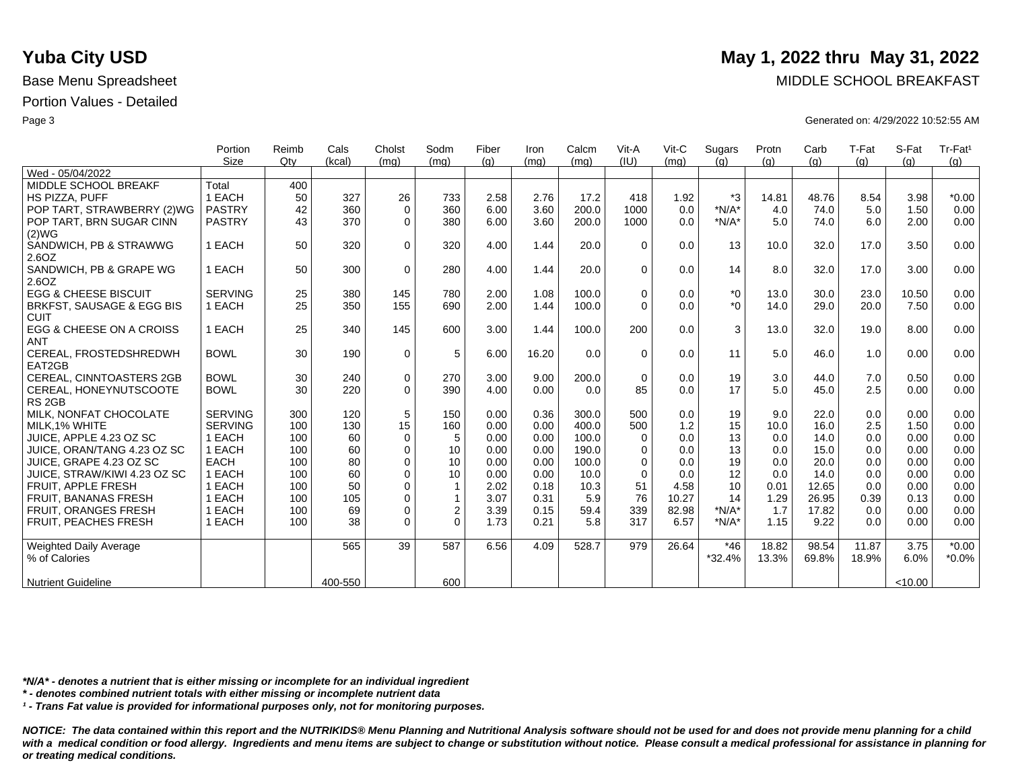|                                             | Portion        | Reimb | Cals    | Cholst      | Sodm             | Fiber | Iron  | Calcm | Vit-A       | Vit-C | Sugars   | Protn | Carb  | T-Fat | S-Fat   | Tr-Fat <sup>1</sup> |
|---------------------------------------------|----------------|-------|---------|-------------|------------------|-------|-------|-------|-------------|-------|----------|-------|-------|-------|---------|---------------------|
|                                             | <b>Size</b>    | Qtv   | (kcal)  | (mq)        | (mq)             | (q)   | (mq)  | (mq)  | (IU)        | (mq)  | (q)      | (q)   | (q)   | (g)   | (q)     | (q)                 |
| Wed - 05/04/2022                            |                |       |         |             |                  |       |       |       |             |       |          |       |       |       |         |                     |
| MIDDLE SCHOOL BREAKF                        | Total          | 400   |         |             |                  |       |       |       |             |       |          |       |       |       |         |                     |
| <b>HS PIZZA, PUFF</b>                       | 1 EACH         | 50    | 327     | 26          | 733              | 2.58  | 2.76  | 17.2  | 418         | 1.92  | *3       | 14.81 | 48.76 | 8.54  | 3.98    | $*0.00$             |
| POP TART, STRAWBERRY (2)WG                  | <b>PASTRY</b>  | 42    | 360     | $\Omega$    | 360              | 6.00  | 3.60  | 200.0 | 1000        | 0.0   | $*N/A*$  | 4.0   | 74.0  | 5.0   | 1.50    | 0.00                |
| POP TART, BRN SUGAR CINN<br>(2)WG           | <b>PASTRY</b>  | 43    | 370     | $\Omega$    | 380              | 6.00  | 3.60  | 200.0 | 1000        | 0.0   | $*N/A*$  | 5.0   | 74.0  | 6.0   | 2.00    | 0.00                |
| SANDWICH, PB & STRAWWG                      | 1 EACH         | 50    | 320     | $\Omega$    | 320              | 4.00  | 1.44  | 20.0  | $\Omega$    | 0.0   | 13       | 10.0  | 32.0  | 17.0  | 3.50    | 0.00                |
| 2.6OZ                                       |                |       |         |             |                  |       |       |       |             |       |          |       |       |       |         |                     |
| SANDWICH, PB & GRAPE WG<br>2.6OZ            | 1 EACH         | 50    | 300     | $\Omega$    | 280              | 4.00  | 1.44  | 20.0  | $\Omega$    | 0.0   | 14       | 8.0   | 32.0  | 17.0  | 3.00    | 0.00                |
| <b>EGG &amp; CHEESE BISCUIT</b>             | <b>SERVING</b> | 25    | 380     | 145         | 780              | 2.00  | 1.08  | 100.0 | $\mathbf 0$ | 0.0   | $^*0$    | 13.0  | 30.0  | 23.0  | 10.50   | 0.00                |
| BRKFST, SAUSAGE & EGG BIS<br><b>CUIT</b>    | 1 EACH         | 25    | 350     | 155         | 690              | 2.00  | 1.44  | 100.0 | $\Omega$    | 0.0   | $*_{0}$  | 14.0  | 29.0  | 20.0  | 7.50    | 0.00                |
| EGG & CHEESE ON A CROISS                    | 1 EACH         | 25    | 340     | 145         | 600              | 3.00  | 1.44  | 100.0 | 200         | 0.0   | 3        | 13.0  | 32.0  | 19.0  | 8.00    | 0.00                |
| ANT                                         |                |       |         |             |                  |       |       |       |             |       |          |       |       |       |         |                     |
| CEREAL, FROSTEDSHREDWH<br>EAT2GB            | <b>BOWL</b>    | 30    | 190     | $\mathbf 0$ | 5                | 6.00  | 16.20 | 0.0   | $\Omega$    | 0.0   | 11       | 5.0   | 46.0  | 1.0   | 0.00    | 0.00                |
| <b>CEREAL, CINNTOASTERS 2GB</b>             | <b>BOWL</b>    | 30    | 240     | 0           | 270              | 3.00  | 9.00  | 200.0 | $\Omega$    | 0.0   | 19       | 3.0   | 44.0  | 7.0   | 0.50    | 0.00                |
| CEREAL, HONEYNUTSCOOTE<br>RS <sub>2GB</sub> | <b>BOWL</b>    | 30    | 220     | $\Omega$    | 390              | 4.00  | 0.00  | 0.0   | 85          | 0.0   | 17       | 5.0   | 45.0  | 2.5   | 0.00    | 0.00                |
| MILK, NONFAT CHOCOLATE                      | <b>SERVING</b> | 300   | 120     | 5           | 150              | 0.00  | 0.36  | 300.0 | 500         | 0.0   | 19       | 9.0   | 22.0  | 0.0   | 0.00    | 0.00                |
| MILK, 1% WHITE                              | <b>SERVING</b> | 100   | 130     | 15          | 160              | 0.00  | 0.00  | 400.0 | 500         | 1.2   | 15       | 10.0  | 16.0  | 2.5   | 1.50    | 0.00                |
| JUICE, APPLE 4.23 OZ SC                     | 1 EACH         | 100   | 60      | $\mathbf 0$ | 5                | 0.00  | 0.00  | 100.0 | $\mathbf 0$ | 0.0   | 13       | 0.0   | 14.0  | 0.0   | 0.00    | 0.00                |
| JUICE, ORAN/TANG 4.23 OZ SC                 | 1 EACH         | 100   | 60      | $\mathbf 0$ | 10               | 0.00  | 0.00  | 190.0 | 0           | 0.0   | 13       | 0.0   | 15.0  | 0.0   | 0.00    | 0.00                |
| JUICE, GRAPE 4.23 OZ SC                     | EACH           | 100   | 80      | $\Omega$    | 10               | 0.00  | 0.00  | 100.0 | $\Omega$    | 0.0   | 19       | 0.0   | 20.0  | 0.0   | 0.00    | 0.00                |
| JUICE, STRAW/KIWI 4.23 OZ SC                | 1 EACH         | 100   | 60      | $\Omega$    | 10               | 0.00  | 0.00  | 10.0  | $\Omega$    | 0.0   | 12       | 0.0   | 14.0  | 0.0   | 0.00    | 0.00                |
| FRUIT, APPLE FRESH                          | 1 EACH         | 100   | 50      | $\Omega$    | $\mathbf 1$      | 2.02  | 0.18  | 10.3  | 51          | 4.58  | 10       | 0.01  | 12.65 | 0.0   | 0.00    | 0.00                |
| <b>FRUIT, BANANAS FRESH</b>                 | 1 EACH         | 100   | 105     | $\Omega$    | $\mathbf 1$      | 3.07  | 0.31  | 5.9   | 76          | 10.27 | 14       | 1.29  | 26.95 | 0.39  | 0.13    | 0.00                |
| FRUIT, ORANGES FRESH                        | 1 EACH         | 100   | 69      | $\mathbf 0$ | $\boldsymbol{2}$ | 3.39  | 0.15  | 59.4  | 339         | 82.98 | $*N/A*$  | 1.7   | 17.82 | 0.0   | 0.00    | 0.00                |
| FRUIT, PEACHES FRESH                        | 1 EACH         | 100   | 38      | $\Omega$    | $\Omega$         | 1.73  | 0.21  | 5.8   | 317         | 6.57  | $*N/A*$  | 1.15  | 9.22  | 0.0   | 0.00    | 0.00                |
| Weighted Daily Average                      |                |       | 565     | 39          | 587              | 6.56  | 4.09  | 528.7 | 979         | 26.64 | $*46$    | 18.82 | 98.54 | 11.87 | 3.75    | $*0.00$             |
| % of Calories                               |                |       |         |             |                  |       |       |       |             |       | $*32.4%$ | 13.3% | 69.8% | 18.9% | 6.0%    | $*0.0\%$            |
| <b>Nutrient Guideline</b>                   |                |       | 400-550 |             | 600              |       |       |       |             |       |          |       |       |       | < 10.00 |                     |

*\*N/A\* - denotes a nutrient that is either missing or incomplete for an individual ingredient*

*\* - denotes combined nutrient totals with either missing or incomplete nutrient data*

*¹ - Trans Fat value is provided for informational purposes only, not for monitoring purposes.*

*NOTICE: The data contained within this report and the NUTRIKIDS® Menu Planning and Nutritional Analysis software should not be used for and does not provide menu planning for a child*  with a medical condition or food allergy. Ingredients and menu items are subject to change or substitution without notice. Please consult a medical professional for assistance in planning for *or treating medical conditions.*

## **Yuba City USD** May 1, 2022 thru May 31, 2022

Base Menu Spreadsheet **MIDDLE SCHOOL BREAKFAST** 

Page 3 Generated on: 4/29/2022 10:52:55 AM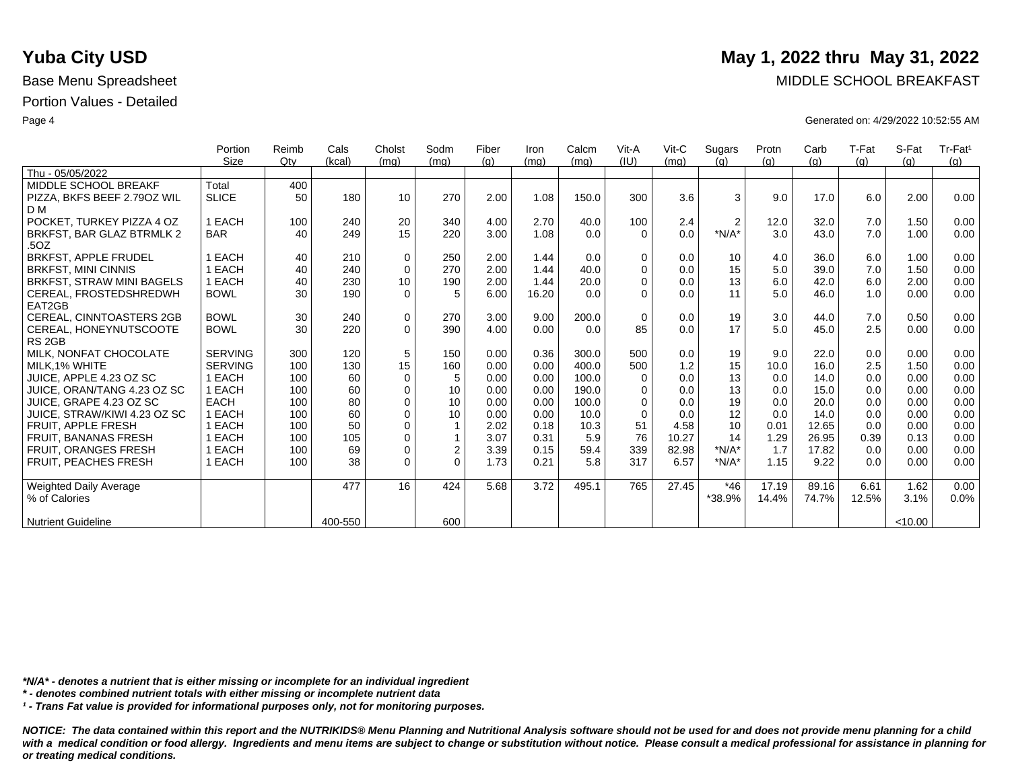|                                   | Portion        | Reimb | Cals    | Cholst      | Sodm           | Fiber | Iron  | Calcm | Vit-A       | $V$ it-C | Sugars         | Protn | Carb  | T-Fat | S-Fat   | Tr-Fat <sup>1</sup> |
|-----------------------------------|----------------|-------|---------|-------------|----------------|-------|-------|-------|-------------|----------|----------------|-------|-------|-------|---------|---------------------|
|                                   | Size           | Qtv   | (kcal)  | (mq)        | (mq)           | (q)   | (mq)  | (mq)  | (IU)        | (mq)     | (q)            | (q)   | (q)   | (q)   | (q)     | (g)                 |
| Thu - 05/05/2022                  |                |       |         |             |                |       |       |       |             |          |                |       |       |       |         |                     |
| MIDDLE SCHOOL BREAKF              | Total          | 400   |         |             |                |       |       |       |             |          |                |       |       |       |         |                     |
| PIZZA, BKFS BEEF 2.790Z WIL       | <b>SLICE</b>   | 50    | 180     | 10          | 270            | 2.00  | 1.08  | 150.0 | 300         | 3.6      | 3              | 9.0   | 17.0  | 6.0   | 2.00    | 0.00                |
| D M                               |                |       |         |             |                |       |       |       |             |          |                |       |       |       |         |                     |
| POCKET. TURKEY PIZZA 4 OZ         | 1 EACH         | 100   | 240     | 20          | 340            | 4.00  | 2.70  | 40.0  | 100         | 2.4      | $\overline{2}$ | 12.0  | 32.0  | 7.0   | 1.50    | 0.00                |
| BRKFST, BAR GLAZ BTRMLK 2<br>.5OZ | <b>BAR</b>     | 40    | 249     | 15          | 220            | 3.00  | 1.08  | 0.0   | $\Omega$    | 0.0      | $*N/A*$        | 3.0   | 43.0  | 7.0   | 1.00    | 0.00                |
| <b>BRKFST, APPLE FRUDEL</b>       | EACH           | 40    | 210     | $\mathbf 0$ | 250            | 2.00  | 1.44  | 0.0   | $\Omega$    | 0.0      | 10             | 4.0   | 36.0  | 6.0   | 1.00    | 0.00                |
| <b>BRKFST, MINI CINNIS</b>        | EACH           | 40    | 240     | 0           | 270            | 2.00  | 1.44  | 40.0  | $\Omega$    | 0.0      | 15             | 5.0   | 39.0  | 7.0   | 1.50    | 0.00                |
| BRKFST, STRAW MINI BAGELS         | 1 EACH         | 40    | 230     | 10          | 190            | 2.00  | 1.44  | 20.0  | $\Omega$    | 0.0      | 13             | 6.0   | 42.0  | 6.0   | 2.00    | 0.00                |
| CEREAL, FROSTEDSHREDWH            | <b>BOWL</b>    | 30    | 190     | $\Omega$    | 5              | 6.00  | 16.20 | 0.0   | $\Omega$    | 0.0      | 11             | 5.0   | 46.0  | 1.0   | 0.00    | 0.00                |
| EAT2GB                            |                |       |         |             |                |       |       |       |             |          |                |       |       |       |         |                     |
| <b>CEREAL, CINNTOASTERS 2GB</b>   | <b>BOWL</b>    | 30    | 240     | 0           | 270            | 3.00  | 9.00  | 200.0 | $\mathbf 0$ | 0.0      | 19             | 3.0   | 44.0  | 7.0   | 0.50    | 0.00                |
| CEREAL, HONEYNUTSCOOTE            | <b>BOWL</b>    | 30    | 220     | $\Omega$    | 390            | 4.00  | 0.00  | 0.0   | 85          | 0.0      | 17             | 5.0   | 45.0  | 2.5   | 0.00    | 0.00                |
| RS <sub>2GB</sub>                 |                |       |         |             |                |       |       |       |             |          |                |       |       |       |         |                     |
| MILK, NONFAT CHOCOLATE            | <b>SERVING</b> | 300   | 120     | 5           | 150            | 0.00  | 0.36  | 300.0 | 500         | 0.0      | 19             | 9.0   | 22.0  | 0.0   | 0.00    | 0.00                |
| MILK.1% WHITE                     | <b>SERVING</b> | 100   | 130     | 15          | 160            | 0.00  | 0.00  | 400.0 | 500         | 1.2      | 15             | 10.0  | 16.0  | 2.5   | 1.50    | 0.00                |
| JUICE. APPLE 4.23 OZ SC           | 1 EACH         | 100   | 60      | $\mathbf 0$ | 5              | 0.00  | 0.00  | 100.0 | $\Omega$    | 0.0      | 13             | 0.0   | 14.0  | 0.0   | 0.00    | 0.00                |
| JUICE, ORAN/TANG 4.23 OZ SC       | 1 EACH         | 100   | 60      | $\mathbf 0$ | 10             | 0.00  | 0.00  | 190.0 | $\Omega$    | 0.0      | 13             | 0.0   | 15.0  | 0.0   | 0.00    | 0.00                |
| JUICE. GRAPE 4.23 OZ SC           | <b>EACH</b>    | 100   | 80      | $\mathbf 0$ | 10             | 0.00  | 0.00  | 100.0 | $\Omega$    | 0.0      | 19             | 0.0   | 20.0  | 0.0   | 0.00    | 0.00                |
| JUICE, STRAW/KIWI 4.23 OZ SC      | 1 EACH         | 100   | 60      | $\mathbf 0$ | 10             | 0.00  | 0.00  | 10.0  | $\Omega$    | 0.0      | 12             | 0.0   | 14.0  | 0.0   | 0.00    | 0.00                |
| <b>FRUIT, APPLE FRESH</b>         | 1 EACH         | 100   | 50      | $\mathbf 0$ |                | 2.02  | 0.18  | 10.3  | 51          | 4.58     | 10             | 0.01  | 12.65 | 0.0   | 0.00    | 0.00                |
| <b>FRUIT, BANANAS FRESH</b>       | EACH           | 100   | 105     | $\mathbf 0$ | 1              | 3.07  | 0.31  | 5.9   | 76          | 10.27    | 14             | 1.29  | 26.95 | 0.39  | 0.13    | 0.00                |
| <b>FRUIT, ORANGES FRESH</b>       | 1 EACH         | 100   | 69      | $\mathbf 0$ | $\overline{2}$ | 3.39  | 0.15  | 59.4  | 339         | 82.98    | $*N/A*$        | 1.7   | 17.82 | 0.0   | 0.00    | 0.00                |
| <b>FRUIT, PEACHES FRESH</b>       | 1 EACH         | 100   | 38      | $\Omega$    | $\Omega$       | 1.73  | 0.21  | 5.8   | 317         | 6.57     | $*N/A*$        | 1.15  | 9.22  | 0.0   | 0.00    | 0.00                |
| <b>Weighted Daily Average</b>     |                |       | 477     | 16          | 424            | 5.68  | 3.72  | 495.1 | 765         | 27.45    | *46            | 17.19 | 89.16 | 6.61  | 1.62    | 0.00                |
| % of Calories                     |                |       |         |             |                |       |       |       |             |          | *38.9%         | 14.4% | 74.7% | 12.5% | 3.1%    | 0.0%                |
| <b>Nutrient Guideline</b>         |                |       | 400-550 |             | 600            |       |       |       |             |          |                |       |       |       | < 10.00 |                     |

*\*N/A\* - denotes a nutrient that is either missing or incomplete for an individual ingredient*

*\* - denotes combined nutrient totals with either missing or incomplete nutrient data*

*¹ - Trans Fat value is provided for informational purposes only, not for monitoring purposes.*

*NOTICE: The data contained within this report and the NUTRIKIDS® Menu Planning and Nutritional Analysis software should not be used for and does not provide menu planning for a child*  with a medical condition or food allergy. Ingredients and menu items are subject to change or substitution without notice. Please consult a medical professional for assistance in planning for *or treating medical conditions.*

### **Yuba City USD** May 1, 2022 thru May 31, 2022

Base Menu Spreadsheet **MIDDLE SCHOOL BREAKFAST** 

Page 4 Generated on: 4/29/2022 10:52:55 AM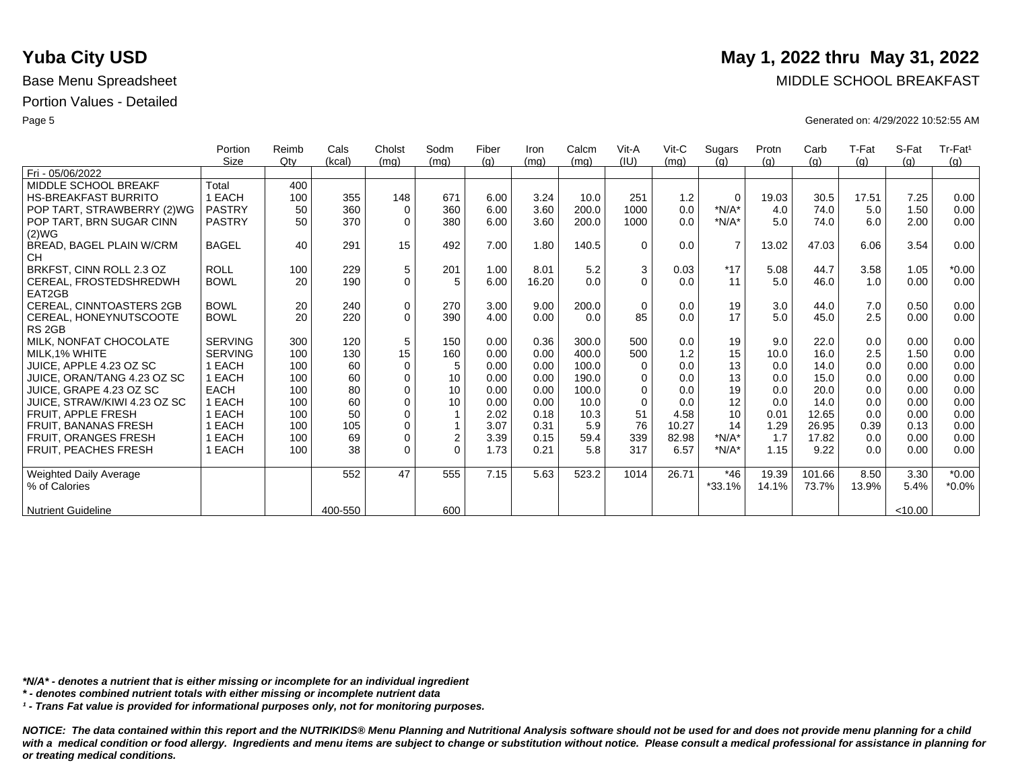|                               | Portion        | Reimb | Cals    | Cholst      | Sodm           | Fiber | Iron  | Calcm | Vit-A    | $V$ it-C | Sugars         | Protn | Carb   | T-Fat | S-Fat   | Tr-Fat <sup>1</sup> |
|-------------------------------|----------------|-------|---------|-------------|----------------|-------|-------|-------|----------|----------|----------------|-------|--------|-------|---------|---------------------|
|                               | Size           | Qty   | (kcal)  | (mq)        | (mq)           | (q)   | (mq)  | (mq)  | (IU)     | (mq)     | (q)            | (q)   | (q)    | (q)   | (q)     | (q)                 |
| Fri - 05/06/2022              |                |       |         |             |                |       |       |       |          |          |                |       |        |       |         |                     |
| MIDDLE SCHOOL BREAKF          | Total          | 400   |         |             |                |       |       |       |          |          |                |       |        |       |         |                     |
| <b>HS-BREAKFAST BURRITO</b>   | 1 EACH         | 100   | 355     | 148         | 671            | 6.00  | 3.24  | 10.0  | 251      | 1.2      | $\mathbf 0$    | 19.03 | 30.5   | 17.51 | 7.25    | 0.00                |
| POP TART, STRAWBERRY (2)WG    | <b>PASTRY</b>  | 50    | 360     | 0           | 360            | 6.00  | 3.60  | 200.0 | 1000     | 0.0      | $*N/A*$        | 4.0   | 74.0   | 5.0   | 1.50    | 0.00                |
| POP TART, BRN SUGAR CINN      | <b>PASTRY</b>  | 50    | 370     | $\Omega$    | 380            | 6.00  | 3.60  | 200.0 | 1000     | 0.0      | $*N/A*$        | 5.0   | 74.0   | 6.0   | 2.00    | 0.00                |
| (2)WG                         |                |       |         |             |                |       |       |       |          |          |                |       |        |       |         |                     |
| BREAD, BAGEL PLAIN W/CRM      | <b>BAGEL</b>   | 40    | 291     | 15          | 492            | 7.00  | 1.80  | 140.5 | $\Omega$ | 0.0      | $\overline{7}$ | 13.02 | 47.03  | 6.06  | 3.54    | 0.00                |
| <b>CH</b>                     |                |       |         |             |                |       |       |       |          |          |                |       |        |       |         |                     |
| BRKFST, CINN ROLL 2.3 OZ      | <b>ROLL</b>    | 100   | 229     | 5           | 201            | 1.00  | 8.01  | 5.2   | 3        | 0.03     | $*17$          | 5.08  | 44.7   | 3.58  | 1.05    | $*0.00$             |
| CEREAL, FROSTEDSHREDWH        | <b>BOWL</b>    | 20    | 190     | $\mathbf 0$ | 5              | 6.00  | 16.20 | 0.0   | $\Omega$ | 0.0      | 11             | 5.0   | 46.0   | 1.0   | 0.00    | 0.00                |
| EAT2GB                        |                |       |         |             |                |       |       |       |          |          |                |       |        |       |         |                     |
| CEREAL, CINNTOASTERS 2GB      | <b>BOWL</b>    | 20    | 240     | $\mathbf 0$ | 270            | 3.00  | 9.00  | 200.0 | $\Omega$ | 0.0      | 19             | 3.0   | 44.0   | 7.0   | 0.50    | 0.00                |
| CEREAL, HONEYNUTSCOOTE        | <b>BOWL</b>    | 20    | 220     | $\Omega$    | 390            | 4.00  | 0.00  | 0.0   | 85       | 0.0      | 17             | 5.0   | 45.0   | 2.5   | 0.00    | 0.00                |
| RS <sub>2GB</sub>             |                |       |         |             |                |       |       |       |          |          |                |       |        |       |         |                     |
| MILK, NONFAT CHOCOLATE        | <b>SERVING</b> | 300   | 120     | 5           | 150            | 0.00  | 0.36  | 300.0 | 500      | 0.0      | 19             | 9.0   | 22.0   | 0.0   | 0.00    | 0.00                |
| MILK.1% WHITE                 | <b>SERVING</b> | 100   | 130     | 15          | 160            | 0.00  | 0.00  | 400.0 | 500      | 1.2      | 15             | 10.0  | 16.0   | 2.5   | 1.50    | 0.00                |
| JUICE. APPLE 4.23 OZ SC       | 1 EACH         | 100   | 60      | $\mathbf 0$ | 5              | 0.00  | 0.00  | 100.0 | $\Omega$ | 0.0      | 13             | 0.0   | 14.0   | 0.0   | 0.00    | 0.00                |
| JUICE, ORAN/TANG 4.23 OZ SC   | 1 EACH         | 100   | 60      | $\mathbf 0$ | 10             | 0.00  | 0.00  | 190.0 | $\Omega$ | 0.0      | 13             | 0.0   | 15.0   | 0.0   | 0.00    | 0.00                |
| JUICE, GRAPE 4.23 OZ SC       | EACH           | 100   | 80      | $\mathbf 0$ | 10             | 0.00  | 0.00  | 100.0 | $\Omega$ | 0.0      | 19             | 0.0   | 20.0   | 0.0   | 0.00    | 0.00                |
| JUICE, STRAW/KIWI 4.23 OZ SC  | 1 EACH         | 100   | 60      | $\Omega$    | 10             | 0.00  | 0.00  | 10.0  | $\Omega$ | 0.0      | 12             | 0.0   | 14.0   | 0.0   | 0.00    | 0.00                |
| FRUIT. APPLE FRESH            | EACH           | 100   | 50      | $\mathbf 0$ |                | 2.02  | 0.18  | 10.3  | 51       | 4.58     | 10             | 0.01  | 12.65  | 0.0   | 0.00    | 0.00                |
| <b>FRUIT, BANANAS FRESH</b>   | <b>EACH</b>    | 100   | 105     | $\mathbf 0$ | $\mathbf{1}$   | 3.07  | 0.31  | 5.9   | 76       | 10.27    | 14             | 1.29  | 26.95  | 0.39  | 0.13    | 0.00                |
| <b>FRUIT, ORANGES FRESH</b>   | EACH           | 100   | 69      | 0           | $\overline{c}$ | 3.39  | 0.15  | 59.4  | 339      | 82.98    | $*N/A*$        | 1.7   | 17.82  | 0.0   | 0.00    | 0.00                |
| <b>FRUIT, PEACHES FRESH</b>   | 1 EACH         | 100   | 38      | $\Omega$    | $\Omega$       | 1.73  | 0.21  | 5.8   | 317      | 6.57     | $*N/A*$        | 1.15  | 9.22   | 0.0   | 0.00    | 0.00                |
|                               |                |       |         |             |                |       |       |       |          |          |                |       |        |       |         |                     |
| <b>Weighted Daily Average</b> |                |       | 552     | 47          | 555            | 7.15  | 5.63  | 523.2 | 1014     | 26.71    | $*46$          | 19.39 | 101.66 | 8.50  | 3.30    | $*0.00$             |
| % of Calories                 |                |       |         |             |                |       |       |       |          |          | $*33.1%$       | 14.1% | 73.7%  | 13.9% | 5.4%    | $*0.0\%$            |
|                               |                |       |         |             |                |       |       |       |          |          |                |       |        |       |         |                     |
| <b>Nutrient Guideline</b>     |                |       | 400-550 |             | 600            |       |       |       |          |          |                |       |        |       | < 10.00 |                     |

*\*N/A\* - denotes a nutrient that is either missing or incomplete for an individual ingredient*

*\* - denotes combined nutrient totals with either missing or incomplete nutrient data*

*¹ - Trans Fat value is provided for informational purposes only, not for monitoring purposes.*

*NOTICE: The data contained within this report and the NUTRIKIDS® Menu Planning and Nutritional Analysis software should not be used for and does not provide menu planning for a child*  with a medical condition or food allergy. Ingredients and menu items are subject to change or substitution without notice. Please consult a medical professional for assistance in planning for *or treating medical conditions.*

### **Yuba City USD** May 1, 2022 thru May 31, 2022

Base Menu Spreadsheet **MIDDLE SCHOOL BREAKFAST** 

Page 5 Generated on: 4/29/2022 10:52:55 AM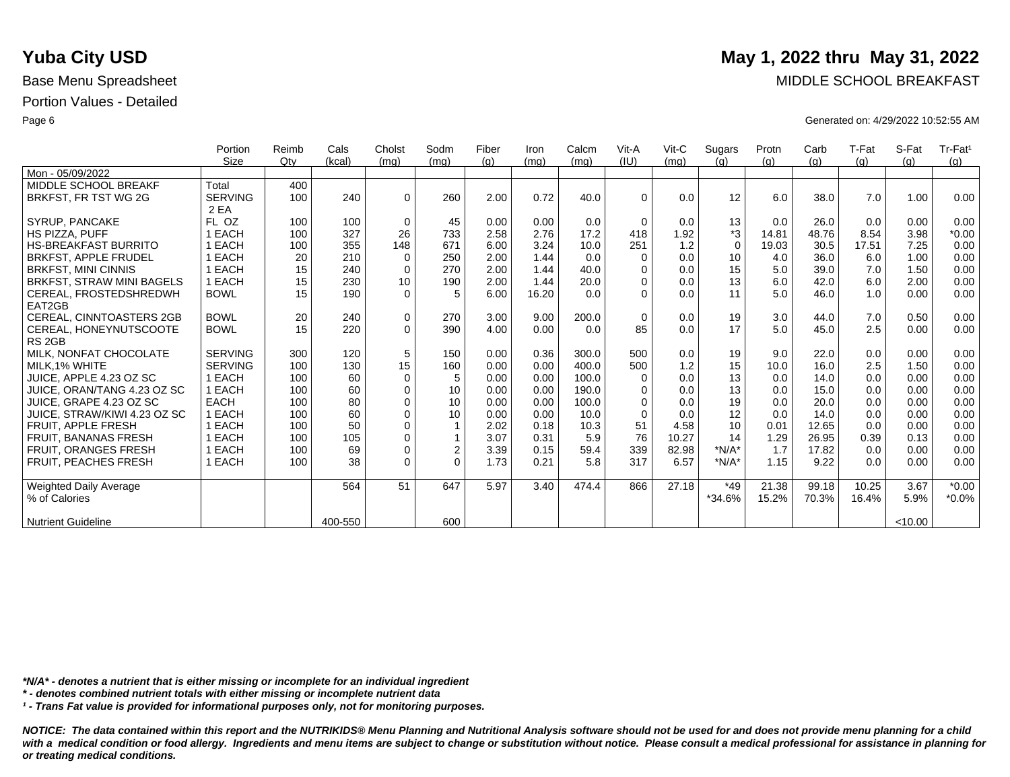|                                 | Portion        | Reimb  | Cals    | Cholst          | Sodm           | Fiber | Iron  | Calcm | Vit-A    | $V$ it-C | Sugars      | Protn | Carb  | T-Fat | S-Fat   | Tr-Fat <sup>1</sup> |
|---------------------------------|----------------|--------|---------|-----------------|----------------|-------|-------|-------|----------|----------|-------------|-------|-------|-------|---------|---------------------|
|                                 | <b>Size</b>    | $Q$ ty | (kcal)  | (mq)            | (mq)           | (q)   | (mq)  | (mq)  | (IU)     | (mq)     | (q)         | (q)   | (q)   | (g)   | (q)     | (q)                 |
| Mon - 05/09/2022                |                |        |         |                 |                |       |       |       |          |          |             |       |       |       |         |                     |
| MIDDLE SCHOOL BREAKF            | Total          | 400    |         |                 |                |       |       |       |          |          |             |       |       |       |         |                     |
| BRKFST, FR TST WG 2G            | <b>SERVING</b> | 100    | 240     | $\mathbf 0$     | 260            | 2.00  | 0.72  | 40.0  | $\Omega$ | 0.0      | 12          | 6.0   | 38.0  | 7.0   | 1.00    | 0.00                |
|                                 | 2 EA           |        |         |                 |                |       |       |       |          |          |             |       |       |       |         |                     |
| SYRUP, PANCAKE                  | FL OZ          | 100    | 100     | $\mathbf 0$     | 45             | 0.00  | 0.00  | 0.0   | $\Omega$ | 0.0      | 13          | 0.0   | 26.0  | 0.0   | 0.00    | 0.00                |
| <b>HS PIZZA, PUFF</b>           | EACH           | 100    | 327     | 26              | 733            | 2.58  | 2.76  | 17.2  | 418      | 1.92     | *3          | 14.81 | 48.76 | 8.54  | 3.98    | $*0.00$             |
| <b>HS-BREAKFAST BURRITO</b>     | <b>EACH</b>    | 100    | 355     | 148             | 671            | 6.00  | 3.24  | 10.0  | 251      | 1.2      | $\mathbf 0$ | 19.03 | 30.5  | 17.51 | 7.25    | 0.00                |
| <b>BRKFST, APPLE FRUDEL</b>     | <b>EACH</b>    | 20     | 210     | $\mathbf 0$     | 250            | 2.00  | 1.44  | 0.0   | $\Omega$ | 0.0      | 10          | 4.0   | 36.0  | 6.0   | 1.00    | 0.00                |
| <b>BRKFST, MINI CINNIS</b>      | <b>EACH</b>    | 15     | 240     | 0               | 270            | 2.00  | 1.44  | 40.0  | $\Omega$ | 0.0      | 15          | 5.0   | 39.0  | 7.0   | 1.50    | 0.00                |
| BRKFST, STRAW MINI BAGELS       | 1 EACH         | 15     | 230     | 10 <sup>°</sup> | 190            | 2.00  | 1.44  | 20.0  | $\Omega$ | 0.0      | 13          | 6.0   | 42.0  | 6.0   | 2.00    | 0.00                |
| CEREAL, FROSTEDSHREDWH          | <b>BOWL</b>    | 15     | 190     | $\Omega$        | 5              | 6.00  | 16.20 | 0.0   | $\Omega$ | 0.0      | 11          | 5.0   | 46.0  | 1.0   | 0.00    | 0.00                |
| EAT2GB                          |                |        |         |                 |                |       |       |       |          |          |             |       |       |       |         |                     |
| <b>CEREAL, CINNTOASTERS 2GB</b> | <b>BOWL</b>    | 20     | 240     | 0               | 270            | 3.00  | 9.00  | 200.0 | 0        | 0.0      | 19          | 3.0   | 44.0  | 7.0   | 0.50    | 0.00                |
| CEREAL, HONEYNUTSCOOTE          | <b>BOWL</b>    | 15     | 220     | $\Omega$        | 390            | 4.00  | 0.00  | 0.0   | 85       | 0.0      | 17          | 5.0   | 45.0  | 2.5   | 0.00    | 0.00                |
| RS <sub>2GB</sub>               |                |        |         |                 |                |       |       |       |          |          |             |       |       |       |         |                     |
| MILK, NONFAT CHOCOLATE          | <b>SERVING</b> | 300    | 120     | 5               | 150            | 0.00  | 0.36  | 300.0 | 500      | 0.0      | 19          | 9.0   | 22.0  | 0.0   | 0.00    | 0.00                |
| MILK.1% WHITE                   | <b>SERVING</b> | 100    | 130     | 15              | 160            | 0.00  | 0.00  | 400.0 | 500      | 1.2      | 15          | 10.0  | 16.0  | 2.5   | 1.50    | 0.00                |
| JUICE. APPLE 4.23 OZ SC         | 1 EACH         | 100    | 60      | $\mathbf 0$     | 5              | 0.00  | 0.00  | 100.0 | $\Omega$ | 0.0      | 13          | 0.0   | 14.0  | 0.0   | 0.00    | 0.00                |
| JUICE, ORAN/TANG 4.23 OZ SC     | 1 EACH         | 100    | 60      | $\mathbf 0$     | 10             | 0.00  | 0.00  | 190.0 | $\Omega$ | 0.0      | 13          | 0.0   | 15.0  | 0.0   | 0.00    | 0.00                |
| JUICE, GRAPE 4.23 OZ SC         | <b>EACH</b>    | 100    | 80      | $\mathbf 0$     | 10             | 0.00  | 0.00  | 100.0 | $\Omega$ | 0.0      | 19          | 0.0   | 20.0  | 0.0   | 0.00    | 0.00                |
| JUICE, STRAW/KIWI 4.23 OZ SC    | 1 EACH         | 100    | 60      | $\mathbf 0$     | 10             | 0.00  | 0.00  | 10.0  | $\Omega$ | 0.0      | 12          | 0.0   | 14.0  | 0.0   | 0.00    | 0.00                |
| FRUIT, APPLE FRESH              | 1 EACH         | 100    | 50      | $\Omega$        |                | 2.02  | 0.18  | 10.3  | 51       | 4.58     | 10          | 0.01  | 12.65 | 0.0   | 0.00    | 0.00                |
| <b>FRUIT, BANANAS FRESH</b>     | EACH           | 100    | 105     | $\mathbf 0$     | 1              | 3.07  | 0.31  | 5.9   | 76       | 10.27    | 14          | 1.29  | 26.95 | 0.39  | 0.13    | 0.00                |
| <b>FRUIT, ORANGES FRESH</b>     | 1 EACH         | 100    | 69      | $\mathbf 0$     | $\overline{c}$ | 3.39  | 0.15  | 59.4  | 339      | 82.98    | $*N/A*$     | 1.7   | 17.82 | 0.0   | 0.00    | 0.00                |
| FRUIT, PEACHES FRESH            | 1 EACH         | 100    | 38      | $\Omega$        | $\Omega$       | 1.73  | 0.21  | 5.8   | 317      | 6.57     | $*N/A*$     | 1.15  | 9.22  | 0.0   | 0.00    | 0.00                |
|                                 |                |        |         |                 |                |       |       |       |          |          |             |       |       |       |         |                     |
| <b>Weighted Daily Average</b>   |                |        | 564     | 51              | 647            | 5.97  | 3.40  | 474.4 | 866      | 27.18    | $*49$       | 21.38 | 99.18 | 10.25 | 3.67    | $*0.00$             |
| % of Calories                   |                |        |         |                 |                |       |       |       |          |          | *34.6%      | 15.2% | 70.3% | 16.4% | 5.9%    | $*0.0\%$            |
|                                 |                |        |         |                 |                |       |       |       |          |          |             |       |       |       |         |                     |
| <b>Nutrient Guideline</b>       |                |        | 400-550 |                 | 600            |       |       |       |          |          |             |       |       |       | < 10.00 |                     |

*\*N/A\* - denotes a nutrient that is either missing or incomplete for an individual ingredient*

*\* - denotes combined nutrient totals with either missing or incomplete nutrient data*

*¹ - Trans Fat value is provided for informational purposes only, not for monitoring purposes.*

*NOTICE: The data contained within this report and the NUTRIKIDS® Menu Planning and Nutritional Analysis software should not be used for and does not provide menu planning for a child*  with a medical condition or food allergy. Ingredients and menu items are subject to change or substitution without notice. Please consult a medical professional for assistance in planning for *or treating medical conditions.*

### **Yuba City USD** May 1, 2022 thru May 31, 2022

Base Menu Spreadsheet **MIDDLE SCHOOL BREAKFAST** 

Page 6 Generated on: 4/29/2022 10:52:55 AM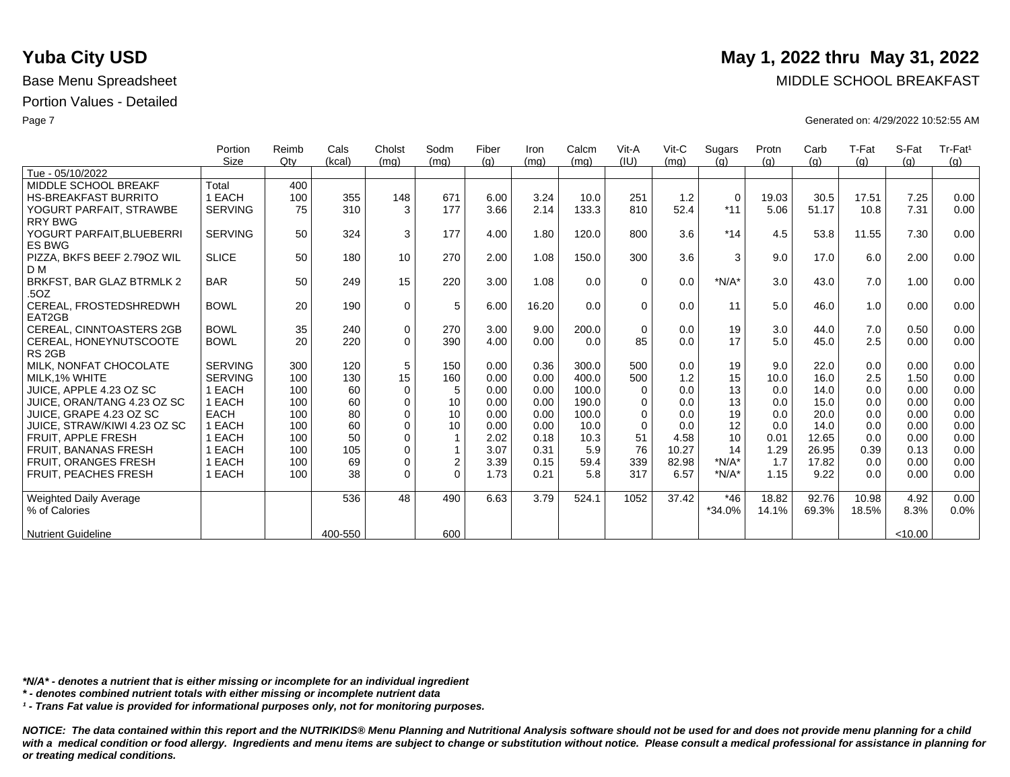|                                 | Portion        | Reimb | Cals    | Cholst      | Sodm        | Fiber | Iron  | Calcm | Vit-A    | Vit-C | Sugars      | Protn | Carb  | T-Fat | S-Fat  | Tr-Fat <sup>1</sup> |
|---------------------------------|----------------|-------|---------|-------------|-------------|-------|-------|-------|----------|-------|-------------|-------|-------|-------|--------|---------------------|
|                                 | Size           | Qtv   | (kcal)  | (mq)        | (mq)        | (q)   | (mq)  | (mq)  | (IU)     | (mq)  | (q)         | (q)   | (q)   | (q)   | (q)    | (q)                 |
| Tue - 05/10/2022                |                |       |         |             |             |       |       |       |          |       |             |       |       |       |        |                     |
| MIDDLE SCHOOL BREAKF            | Total          | 400   |         |             |             |       |       |       |          |       |             |       |       |       |        |                     |
| <b>HS-BREAKFAST BURRITO</b>     | 1 EACH         | 100   | 355     | 148         | 671         | 6.00  | 3.24  | 10.0  | 251      | 1.2   | $\mathbf 0$ | 19.03 | 30.5  | 17.51 | 7.25   | 0.00                |
| YOGURT PARFAIT, STRAWBE         | <b>SERVING</b> | 75    | 310     | 3           | 177         | 3.66  | 2.14  | 133.3 | 810      | 52.4  | $*11$       | 5.06  | 51.17 | 10.8  | 7.31   | 0.00                |
| <b>RRY BWG</b>                  |                |       |         |             |             |       |       |       |          |       |             |       |       |       |        |                     |
| YOGURT PARFAIT, BLUEBERRI       | <b>SERVING</b> | 50    | 324     | 3           | 177         | 4.00  | 1.80  | 120.0 | 800      | 3.6   | $*14$       | 4.5   | 53.8  | 11.55 | 7.30   | 0.00                |
| <b>ES BWG</b>                   |                |       |         |             |             |       |       |       |          |       |             |       |       |       |        |                     |
| PIZZA, BKFS BEEF 2.790Z WIL     | <b>SLICE</b>   | 50    | 180     | 10          | 270         | 2.00  | 1.08  | 150.0 | 300      | 3.6   | 3           | 9.0   | 17.0  | 6.0   | 2.00   | 0.00                |
| D M                             |                |       |         |             |             |       |       |       |          |       |             |       |       |       |        |                     |
| BRKFST, BAR GLAZ BTRMLK 2       | <b>BAR</b>     | 50    | 249     | 15          | 220         | 3.00  | 1.08  | 0.0   | $\Omega$ | 0.0   | $*N/A*$     | 3.0   | 43.0  | 7.0   | 1.00   | 0.00                |
| .5OZ                            |                |       |         |             |             |       |       |       |          |       |             |       |       |       |        |                     |
| CEREAL, FROSTEDSHREDWH          | <b>BOWL</b>    | 20    | 190     | $\mathbf 0$ | 5           | 6.00  | 16.20 | 0.0   | $\Omega$ | 0.0   | 11          | 5.0   | 46.0  | 1.0   | 0.00   | 0.00                |
| EAT2GB                          |                |       |         |             |             |       |       |       |          |       |             |       |       |       |        |                     |
| <b>CEREAL, CINNTOASTERS 2GB</b> | <b>BOWL</b>    | 35    | 240     | $\mathbf 0$ | 270         | 3.00  | 9.00  | 200.0 | $\Omega$ | 0.0   | 19          | 3.0   | 44.0  | 7.0   | 0.50   | 0.00                |
| CEREAL, HONEYNUTSCOOTE          | <b>BOWL</b>    | 20    | 220     | $\Omega$    | 390         | 4.00  | 0.00  | 0.0   | 85       | 0.0   | 17          | 5.0   | 45.0  | 2.5   | 0.00   | 0.00                |
| RS <sub>2GB</sub>               |                |       |         |             |             |       |       |       |          |       |             |       |       |       |        |                     |
| MILK. NONFAT CHOCOLATE          | <b>SERVING</b> | 300   | 120     | 5           | 150         | 0.00  | 0.36  | 300.0 | 500      | 0.0   | 19          | 9.0   | 22.0  | 0.0   | 0.00   | 0.00                |
| MILK.1% WHITE                   | <b>SERVING</b> | 100   | 130     | 15          | 160         | 0.00  | 0.00  | 400.0 | 500      | 1.2   | 15          | 10.0  | 16.0  | 2.5   | 1.50   | 0.00                |
| JUICE, APPLE 4.23 OZ SC         | 1 EACH         | 100   | 60      | $\Omega$    | 5           | 0.00  | 0.00  | 100.0 | $\Omega$ | 0.0   | 13          | 0.0   | 14.0  | 0.0   | 0.00   | 0.00                |
| JUICE, ORAN/TANG 4.23 OZ SC     | 1 EACH         | 100   | 60      | $\mathbf 0$ | 10          | 0.00  | 0.00  | 190.0 | $\Omega$ | 0.0   | 13          | 0.0   | 15.0  | 0.0   | 0.00   | 0.00                |
| JUICE, GRAPE 4.23 OZ SC         | <b>EACH</b>    | 100   | 80      | $\Omega$    | 10          | 0.00  | 0.00  | 100.0 | $\Omega$ | 0.0   | 19          | 0.0   | 20.0  | 0.0   | 0.00   | 0.00                |
| JUICE, STRAW/KIWI 4.23 OZ SC    | 1 EACH         | 100   | 60      | $\Omega$    | 10          | 0.00  | 0.00  | 10.0  | $\Omega$ | 0.0   | 12          | 0.0   | 14.0  | 0.0   | 0.00   | 0.00                |
| FRUIT. APPLE FRESH              | 1 EACH         | 100   | 50      | $\Omega$    | 1           | 2.02  | 0.18  | 10.3  | 51       | 4.58  | 10          | 0.01  | 12.65 | 0.0   | 0.00   | 0.00                |
| <b>FRUIT, BANANAS FRESH</b>     | 1 EACH         | 100   | 105     | $\Omega$    |             | 3.07  | 0.31  | 5.9   | 76       | 10.27 | 14          | 1.29  | 26.95 | 0.39  | 0.13   | 0.00                |
| <b>FRUIT, ORANGES FRESH</b>     | 1 EACH         | 100   | 69      | $\mathbf 0$ | $\mathbf 2$ | 3.39  | 0.15  | 59.4  | 339      | 82.98 | $*N/A*$     | 1.7   | 17.82 | 0.0   | 0.00   | 0.00                |
| FRUIT, PEACHES FRESH            | 1 EACH         | 100   | 38      | $\Omega$    | $\Omega$    | 1.73  | 0.21  | 5.8   | 317      | 6.57  | $*N/A*$     | 1.15  | 9.22  | 0.0   | 0.00   | 0.00                |
|                                 |                |       |         |             |             |       |       |       |          |       |             |       |       |       |        |                     |
| <b>Weighted Daily Average</b>   |                |       | 536     | 48          | 490         | 6.63  | 3.79  | 524.1 | 1052     | 37.42 | $*46$       | 18.82 | 92.76 | 10.98 | 4.92   | 0.00                |
| % of Calories                   |                |       |         |             |             |       |       |       |          |       | $*34.0%$    | 14.1% | 69.3% | 18.5% | 8.3%   | 0.0%                |
|                                 |                |       |         |             |             |       |       |       |          |       |             |       |       |       |        |                     |
| <b>Nutrient Guideline</b>       |                |       | 400-550 |             | 600         |       |       |       |          |       |             |       |       |       | <10.00 |                     |

*\*N/A\* - denotes a nutrient that is either missing or incomplete for an individual ingredient*

*\* - denotes combined nutrient totals with either missing or incomplete nutrient data*

*¹ - Trans Fat value is provided for informational purposes only, not for monitoring purposes.*

*NOTICE: The data contained within this report and the NUTRIKIDS® Menu Planning and Nutritional Analysis software should not be used for and does not provide menu planning for a child*  with a medical condition or food allergy. Ingredients and menu items are subject to change or substitution without notice. Please consult a medical professional for assistance in planning for *or treating medical conditions.*

# **Yuba City USD** May 1, 2022 thru May 31, 2022

Base Menu Spreadsheet **MIDDLE SCHOOL BREAKFAST** 

Page 7 Generated on: 4/29/2022 10:52:55 AM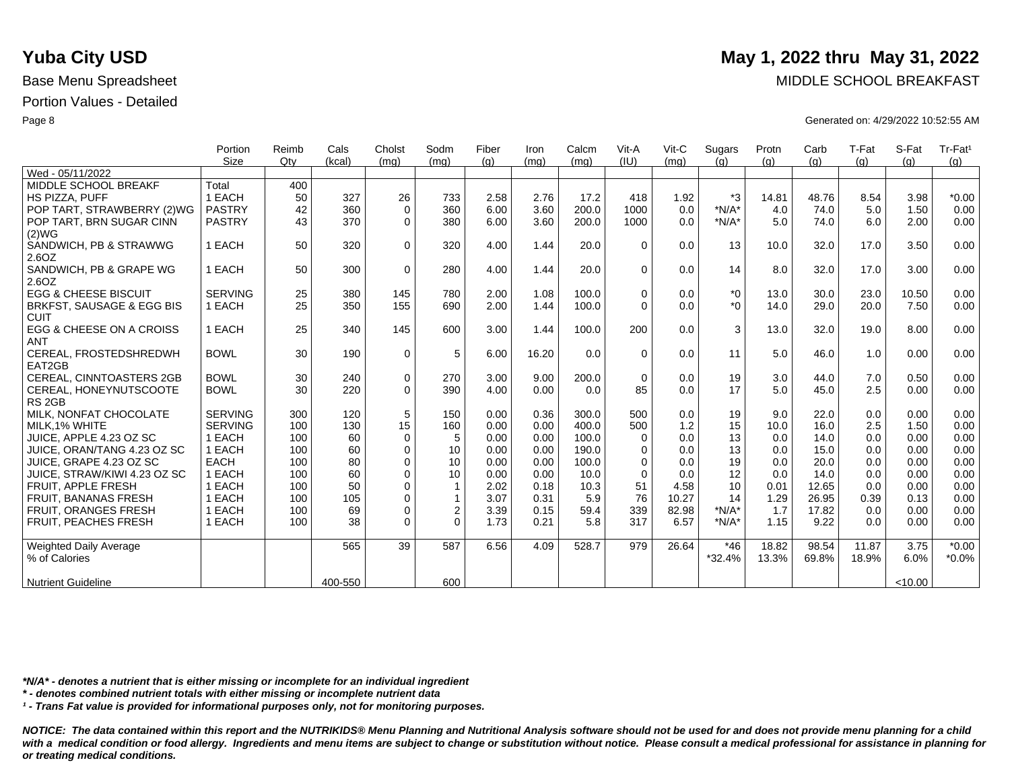|                                             | Portion        | Reimb | Cals    | Cholst      | Sodm           | Fiber | Iron  | Calcm | Vit-A    | $V$ it-C | Sugars   | Protn | Carb  | T-Fat | S-Fat   | Tr-Fat <sup>1</sup> |
|---------------------------------------------|----------------|-------|---------|-------------|----------------|-------|-------|-------|----------|----------|----------|-------|-------|-------|---------|---------------------|
|                                             | <b>Size</b>    | Qtv   | (kcal)  | (mq)        | (mq)           | (g)   | (mq)  | (mg)  | (IU)     | (mq)     | (q)      | (q)   | (q)   | (g)   | (q)     | (g)                 |
| Wed - 05/11/2022                            |                |       |         |             |                |       |       |       |          |          |          |       |       |       |         |                     |
| MIDDLE SCHOOL BREAKF                        | Total          | 400   |         |             |                |       |       |       |          |          |          |       |       |       |         |                     |
| <b>HS PIZZA, PUFF</b>                       | 1 EACH         | 50    | 327     | 26          | 733            | 2.58  | 2.76  | 17.2  | 418      | 1.92     | *3       | 14.81 | 48.76 | 8.54  | 3.98    | $*0.00$             |
| POP TART, STRAWBERRY (2)WG                  | <b>PASTRY</b>  | 42    | 360     | $\mathbf 0$ | 360            | 6.00  | 3.60  | 200.0 | 1000     | 0.0      | $*N/A*$  | 4.0   | 74.0  | 5.0   | 1.50    | 0.00                |
| POP TART, BRN SUGAR CINN<br>(2)WG           | <b>PASTRY</b>  | 43    | 370     | $\Omega$    | 380            | 6.00  | 3.60  | 200.0 | 1000     | 0.0      | $*N/A*$  | 5.0   | 74.0  | 6.0   | 2.00    | 0.00                |
| SANDWICH, PB & STRAWWG                      | 1 EACH         | 50    | 320     | $\Omega$    | 320            | 4.00  | 1.44  | 20.0  | $\Omega$ | 0.0      | 13       | 10.0  | 32.0  | 17.0  | 3.50    | 0.00                |
| 2.6OZ                                       |                |       |         |             |                |       |       |       |          |          |          |       |       |       |         |                     |
| SANDWICH, PB & GRAPE WG<br>2.6OZ            | 1 EACH         | 50    | 300     | $\mathbf 0$ | 280            | 4.00  | 1.44  | 20.0  | $\Omega$ | 0.0      | 14       | 8.0   | 32.0  | 17.0  | 3.00    | 0.00                |
| <b>EGG &amp; CHEESE BISCUIT</b>             | <b>SERVING</b> | 25    | 380     | 145         | 780            | 2.00  | 1.08  | 100.0 | $\Omega$ | 0.0      | $*_{0}$  | 13.0  | 30.0  | 23.0  | 10.50   | 0.00                |
| BRKFST, SAUSAGE & EGG BIS<br><b>CUIT</b>    | 1 EACH         | 25    | 350     | 155         | 690            | 2.00  | 1.44  | 100.0 | $\Omega$ | 0.0      | $*$ 0    | 14.0  | 29.0  | 20.0  | 7.50    | 0.00                |
| EGG & CHEESE ON A CROISS                    | 1 EACH         | 25    | 340     | 145         | 600            | 3.00  | 1.44  | 100.0 | 200      | 0.0      | 3        | 13.0  | 32.0  | 19.0  | 8.00    | 0.00                |
| <b>ANT</b>                                  |                |       |         |             |                |       |       |       |          |          |          |       |       |       |         |                     |
| CEREAL, FROSTEDSHREDWH<br>EAT2GB            | <b>BOWL</b>    | 30    | 190     | $\mathbf 0$ | 5              | 6.00  | 16.20 | 0.0   | $\Omega$ | 0.0      | 11       | 5.0   | 46.0  | 1.0   | 0.00    | 0.00                |
| <b>CEREAL, CINNTOASTERS 2GB</b>             | <b>BOWL</b>    | 30    | 240     | $\pmb{0}$   | 270            | 3.00  | 9.00  | 200.0 | $\Omega$ | 0.0      | 19       | 3.0   | 44.0  | 7.0   | 0.50    | 0.00                |
| CEREAL, HONEYNUTSCOOTE<br>RS <sub>2GB</sub> | <b>BOWL</b>    | 30    | 220     | $\Omega$    | 390            | 4.00  | 0.00  | 0.0   | 85       | 0.0      | 17       | 5.0   | 45.0  | 2.5   | 0.00    | 0.00                |
| MILK, NONFAT CHOCOLATE                      | <b>SERVING</b> | 300   | 120     | 5           | 150            | 0.00  | 0.36  | 300.0 | 500      | 0.0      | 19       | 9.0   | 22.0  | 0.0   | 0.00    | 0.00                |
| MILK, 1% WHITE                              | <b>SERVING</b> | 100   | 130     | 15          | 160            | 0.00  | 0.00  | 400.0 | 500      | 1.2      | 15       | 10.0  | 16.0  | 2.5   | 1.50    | 0.00                |
| JUICE, APPLE 4.23 OZ SC                     | 1 EACH         | 100   | 60      | 0           | 5              | 0.00  | 0.00  | 100.0 | $\Omega$ | 0.0      | 13       | 0.0   | 14.0  | 0.0   | 0.00    | 0.00                |
| JUICE, ORAN/TANG 4.23 OZ SC                 | 1 EACH         | 100   | 60      | $\mathbf 0$ | 10             | 0.00  | 0.00  | 190.0 | $\Omega$ | 0.0      | 13       | 0.0   | 15.0  | 0.0   | 0.00    | 0.00                |
| JUICE, GRAPE 4.23 OZ SC                     | <b>EACH</b>    | 100   | 80      | $\mathbf 0$ | 10             | 0.00  | 0.00  | 100.0 | $\Omega$ | 0.0      | 19       | 0.0   | 20.0  | 0.0   | 0.00    | 0.00                |
| JUICE, STRAW/KIWI 4.23 OZ SC                | 1 EACH         | 100   | 60      | $\Omega$    | 10             | 0.00  | 0.00  | 10.0  | $\Omega$ | 0.0      | 12       | 0.0   | 14.0  | 0.0   | 0.00    | 0.00                |
| FRUIT, APPLE FRESH                          | 1 EACH         | 100   | 50      | $\Omega$    | $\overline{1}$ | 2.02  | 0.18  | 10.3  | 51       | 4.58     | 10       | 0.01  | 12.65 | 0.0   | 0.00    | 0.00                |
| <b>FRUIT, BANANAS FRESH</b>                 | 1 EACH         | 100   | 105     | $\mathbf 0$ | $\mathbf{1}$   | 3.07  | 0.31  | 5.9   | 76       | 10.27    | 14       | 1.29  | 26.95 | 0.39  | 0.13    | 0.00                |
| FRUIT, ORANGES FRESH                        | 1 EACH         | 100   | 69      | $\mathbf 0$ | $\overline{2}$ | 3.39  | 0.15  | 59.4  | 339      | 82.98    | $*N/A*$  | 1.7   | 17.82 | 0.0   | 0.00    | 0.00                |
| FRUIT, PEACHES FRESH                        | 1 EACH         | 100   | 38      | $\Omega$    | $\Omega$       | 1.73  | 0.21  | 5.8   | 317      | 6.57     | $*N/A*$  | 1.15  | 9.22  | 0.0   | 0.00    | 0.00                |
| Weighted Daily Average                      |                |       | 565     | 39          | 587            | 6.56  | 4.09  | 528.7 | 979      | 26.64    | $*46$    | 18.82 | 98.54 | 11.87 | 3.75    | $*0.00$             |
| % of Calories                               |                |       |         |             |                |       |       |       |          |          | $*32.4%$ | 13.3% | 69.8% | 18.9% | 6.0%    | $*0.0\%$            |
| <b>Nutrient Guideline</b>                   |                |       | 400-550 |             | 600            |       |       |       |          |          |          |       |       |       | < 10.00 |                     |

*\*N/A\* - denotes a nutrient that is either missing or incomplete for an individual ingredient*

*\* - denotes combined nutrient totals with either missing or incomplete nutrient data*

*¹ - Trans Fat value is provided for informational purposes only, not for monitoring purposes.*

*NOTICE: The data contained within this report and the NUTRIKIDS® Menu Planning and Nutritional Analysis software should not be used for and does not provide menu planning for a child*  with a medical condition or food allergy. Ingredients and menu items are subject to change or substitution without notice. Please consult a medical professional for assistance in planning for *or treating medical conditions.*

### **Yuba City USD** May 1, 2022 thru May 31, 2022

Base Menu Spreadsheet **MIDDLE SCHOOL BREAKFAST** 

Page 8 Generated on: 4/29/2022 10:52:55 AM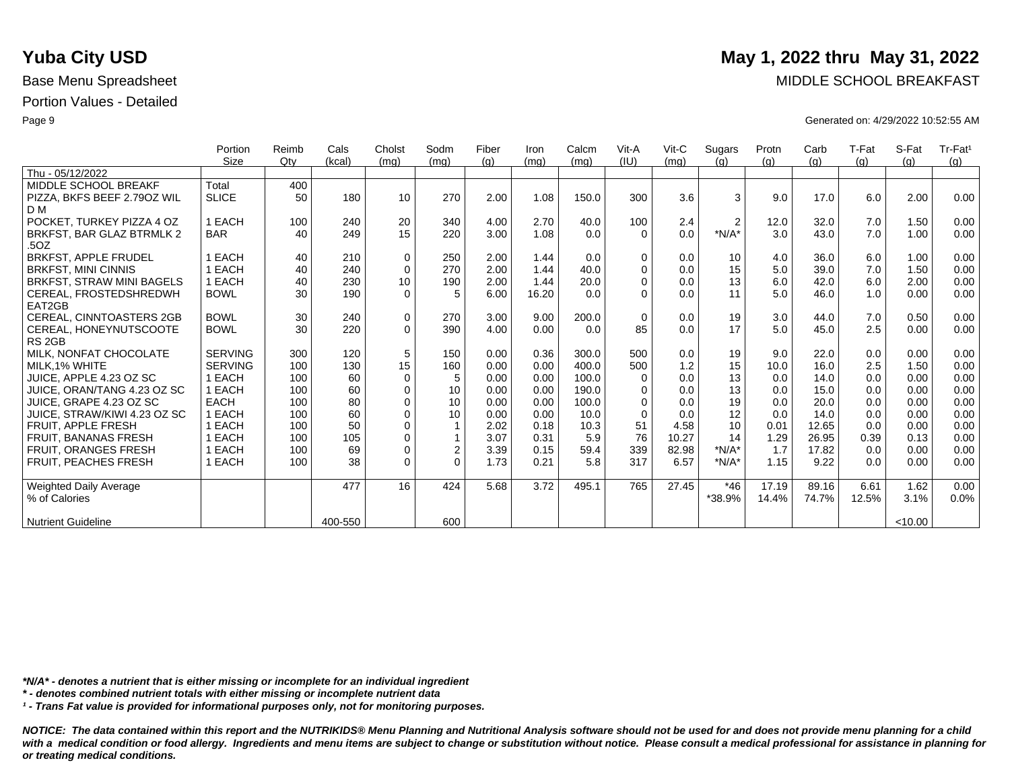|                                   | Portion        | Reimb | Cals    | Cholst      | Sodm           | Fiber | Iron  | Calcm | Vit-A       | $V$ it-C | Sugars         | Protn | Carb  | T-Fat | S-Fat   | Tr-Fat <sup>1</sup> |
|-----------------------------------|----------------|-------|---------|-------------|----------------|-------|-------|-------|-------------|----------|----------------|-------|-------|-------|---------|---------------------|
|                                   | Size           | Qtv   | (kcal)  | (mq)        | (mq)           | (q)   | (mq)  | (mq)  | (IU)        | (mq)     | (q)            | (q)   | (q)   | (q)   | (q)     | (g)                 |
| Thu - 05/12/2022                  |                |       |         |             |                |       |       |       |             |          |                |       |       |       |         |                     |
| MIDDLE SCHOOL BREAKF              | Total          | 400   |         |             |                |       |       |       |             |          |                |       |       |       |         |                     |
| PIZZA, BKFS BEEF 2.790Z WIL       | <b>SLICE</b>   | 50    | 180     | 10          | 270            | 2.00  | 1.08  | 150.0 | 300         | 3.6      | 3              | 9.0   | 17.0  | 6.0   | 2.00    | 0.00                |
| D M                               |                |       |         |             |                |       |       |       |             |          |                |       |       |       |         |                     |
| POCKET. TURKEY PIZZA 4 OZ         | 1 EACH         | 100   | 240     | 20          | 340            | 4.00  | 2.70  | 40.0  | 100         | 2.4      | $\overline{2}$ | 12.0  | 32.0  | 7.0   | 1.50    | 0.00                |
| BRKFST, BAR GLAZ BTRMLK 2<br>.5OZ | <b>BAR</b>     | 40    | 249     | 15          | 220            | 3.00  | 1.08  | 0.0   | $\Omega$    | 0.0      | $*N/A*$        | 3.0   | 43.0  | 7.0   | 1.00    | 0.00                |
| <b>BRKFST, APPLE FRUDEL</b>       | EACH           | 40    | 210     | $\mathbf 0$ | 250            | 2.00  | 1.44  | 0.0   | $\Omega$    | 0.0      | 10             | 4.0   | 36.0  | 6.0   | 1.00    | 0.00                |
| <b>BRKFST, MINI CINNIS</b>        | EACH           | 40    | 240     | 0           | 270            | 2.00  | 1.44  | 40.0  | $\Omega$    | 0.0      | 15             | 5.0   | 39.0  | 7.0   | 1.50    | 0.00                |
| BRKFST, STRAW MINI BAGELS         | 1 EACH         | 40    | 230     | 10          | 190            | 2.00  | 1.44  | 20.0  | $\Omega$    | 0.0      | 13             | 6.0   | 42.0  | 6.0   | 2.00    | 0.00                |
| CEREAL, FROSTEDSHREDWH            | <b>BOWL</b>    | 30    | 190     | $\Omega$    | 5              | 6.00  | 16.20 | 0.0   | $\Omega$    | 0.0      | 11             | 5.0   | 46.0  | 1.0   | 0.00    | 0.00                |
| EAT2GB                            |                |       |         |             |                |       |       |       |             |          |                |       |       |       |         |                     |
| <b>CEREAL, CINNTOASTERS 2GB</b>   | <b>BOWL</b>    | 30    | 240     | 0           | 270            | 3.00  | 9.00  | 200.0 | $\mathbf 0$ | 0.0      | 19             | 3.0   | 44.0  | 7.0   | 0.50    | 0.00                |
| CEREAL, HONEYNUTSCOOTE            | <b>BOWL</b>    | 30    | 220     | $\Omega$    | 390            | 4.00  | 0.00  | 0.0   | 85          | 0.0      | 17             | 5.0   | 45.0  | 2.5   | 0.00    | 0.00                |
| RS <sub>2GB</sub>                 |                |       |         |             |                |       |       |       |             |          |                |       |       |       |         |                     |
| MILK, NONFAT CHOCOLATE            | <b>SERVING</b> | 300   | 120     | 5           | 150            | 0.00  | 0.36  | 300.0 | 500         | 0.0      | 19             | 9.0   | 22.0  | 0.0   | 0.00    | 0.00                |
| MILK.1% WHITE                     | <b>SERVING</b> | 100   | 130     | 15          | 160            | 0.00  | 0.00  | 400.0 | 500         | 1.2      | 15             | 10.0  | 16.0  | 2.5   | 1.50    | 0.00                |
| JUICE. APPLE 4.23 OZ SC           | 1 EACH         | 100   | 60      | $\mathbf 0$ | 5              | 0.00  | 0.00  | 100.0 | $\Omega$    | 0.0      | 13             | 0.0   | 14.0  | 0.0   | 0.00    | 0.00                |
| JUICE, ORAN/TANG 4.23 OZ SC       | 1 EACH         | 100   | 60      | $\mathbf 0$ | 10             | 0.00  | 0.00  | 190.0 | $\Omega$    | 0.0      | 13             | 0.0   | 15.0  | 0.0   | 0.00    | 0.00                |
| JUICE. GRAPE 4.23 OZ SC           | <b>EACH</b>    | 100   | 80      | $\mathbf 0$ | 10             | 0.00  | 0.00  | 100.0 | $\Omega$    | 0.0      | 19             | 0.0   | 20.0  | 0.0   | 0.00    | 0.00                |
| JUICE, STRAW/KIWI 4.23 OZ SC      | 1 EACH         | 100   | 60      | $\mathbf 0$ | 10             | 0.00  | 0.00  | 10.0  | $\Omega$    | 0.0      | 12             | 0.0   | 14.0  | 0.0   | 0.00    | 0.00                |
| <b>FRUIT, APPLE FRESH</b>         | 1 EACH         | 100   | 50      | $\mathbf 0$ |                | 2.02  | 0.18  | 10.3  | 51          | 4.58     | 10             | 0.01  | 12.65 | 0.0   | 0.00    | 0.00                |
| <b>FRUIT, BANANAS FRESH</b>       | EACH           | 100   | 105     | $\mathbf 0$ | 1              | 3.07  | 0.31  | 5.9   | 76          | 10.27    | 14             | 1.29  | 26.95 | 0.39  | 0.13    | 0.00                |
| <b>FRUIT, ORANGES FRESH</b>       | 1 EACH         | 100   | 69      | $\mathbf 0$ | $\overline{2}$ | 3.39  | 0.15  | 59.4  | 339         | 82.98    | $*N/A*$        | 1.7   | 17.82 | 0.0   | 0.00    | 0.00                |
| <b>FRUIT, PEACHES FRESH</b>       | 1 EACH         | 100   | 38      | $\Omega$    | $\Omega$       | 1.73  | 0.21  | 5.8   | 317         | 6.57     | $*N/A*$        | 1.15  | 9.22  | 0.0   | 0.00    | 0.00                |
| <b>Weighted Daily Average</b>     |                |       | 477     | 16          | 424            | 5.68  | 3.72  | 495.1 | 765         | 27.45    | *46            | 17.19 | 89.16 | 6.61  | 1.62    | 0.00                |
| % of Calories                     |                |       |         |             |                |       |       |       |             |          | *38.9%         | 14.4% | 74.7% | 12.5% | 3.1%    | 0.0%                |
| <b>Nutrient Guideline</b>         |                |       | 400-550 |             | 600            |       |       |       |             |          |                |       |       |       | < 10.00 |                     |

*\*N/A\* - denotes a nutrient that is either missing or incomplete for an individual ingredient*

*\* - denotes combined nutrient totals with either missing or incomplete nutrient data*

*¹ - Trans Fat value is provided for informational purposes only, not for monitoring purposes.*

*NOTICE: The data contained within this report and the NUTRIKIDS® Menu Planning and Nutritional Analysis software should not be used for and does not provide menu planning for a child*  with a medical condition or food allergy. Ingredients and menu items are subject to change or substitution without notice. Please consult a medical professional for assistance in planning for *or treating medical conditions.*

### **Yuba City USD** May 1, 2022 thru May 31, 2022

Base Menu Spreadsheet **MIDDLE SCHOOL BREAKFAST** 

Page 9 Generated on: 4/29/2022 10:52:55 AM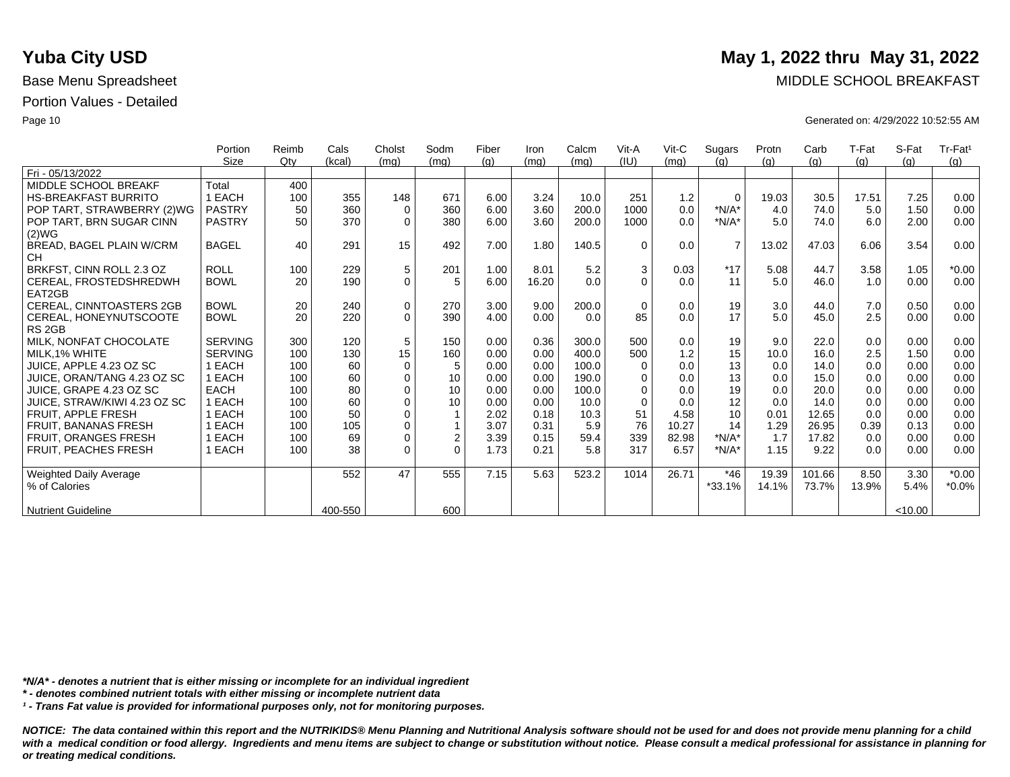|                               | Portion        | Reimb | Cals    | Cholst      | Sodm           | Fiber | Iron  | Calcm | Vit-A    | Vit-C | Sugars         | Protn | Carb   | T-Fat | S-Fat   | Tr-Fat <sup>1</sup> |
|-------------------------------|----------------|-------|---------|-------------|----------------|-------|-------|-------|----------|-------|----------------|-------|--------|-------|---------|---------------------|
|                               | <b>Size</b>    | Qtv   | (kcal)  | (mq)        | (mq)           | (q)   | (mq)  | (mq)  | (IU)     | (mq)  | (a)            | (q)   | (g)    | (q)   | (q)     | (g)                 |
| Fri - 05/13/2022              |                |       |         |             |                |       |       |       |          |       |                |       |        |       |         |                     |
| MIDDLE SCHOOL BREAKF          | Total          | 400   |         |             |                |       |       |       |          |       |                |       |        |       |         |                     |
| <b>HS-BREAKFAST BURRITO</b>   | 1 EACH         | 100   | 355     | 148         | 671            | 6.00  | 3.24  | 10.0  | 251      | 1.2   | $\Omega$       | 19.03 | 30.5   | 17.51 | 7.25    | 0.00                |
| POP TART, STRAWBERRY (2)WG    | <b>PASTRY</b>  | 50    | 360     | $\mathbf 0$ | 360            | 6.00  | 3.60  | 200.0 | 1000     | 0.0   | $*N/A*$        | 4.0   | 74.0   | 5.0   | 1.50    | 0.00                |
| POP TART, BRN SUGAR CINN      | <b>PASTRY</b>  | 50    | 370     | $\Omega$    | 380            | 6.00  | 3.60  | 200.0 | 1000     | 0.0   | $*N/A*$        | 5.0   | 74.0   | 6.0   | 2.00    | 0.00                |
| (2)WG                         |                |       |         |             |                |       |       |       |          |       |                |       |        |       |         |                     |
| BREAD, BAGEL PLAIN W/CRM      | <b>BAGEL</b>   | 40    | 291     | 15          | 492            | 7.00  | 1.80  | 140.5 | $\Omega$ | 0.0   | $\overline{7}$ | 13.02 | 47.03  | 6.06  | 3.54    | 0.00                |
| <b>CH</b>                     |                |       |         |             |                |       |       |       |          |       |                |       |        |       |         |                     |
| BRKFST, CINN ROLL 2.3 OZ      | <b>ROLL</b>    | 100   | 229     | $\,$ 5 $\,$ | 201            | 1.00  | 8.01  | 5.2   | 3        | 0.03  | $*17$          | 5.08  | 44.7   | 3.58  | 1.05    | $*0.00$             |
| CEREAL, FROSTEDSHREDWH        | <b>BOWL</b>    | 20    | 190     | $\mathbf 0$ | 5              | 6.00  | 16.20 | 0.0   | $\Omega$ | 0.0   | 11             | 5.0   | 46.0   | 1.0   | 0.00    | 0.00                |
| EAT2GB                        |                |       |         |             |                |       |       |       |          |       |                |       |        |       |         |                     |
| CEREAL, CINNTOASTERS 2GB      | <b>BOWL</b>    | 20    | 240     | $\pmb{0}$   | 270            | 3.00  | 9.00  | 200.0 | $\Omega$ | 0.0   | 19             | 3.0   | 44.0   | 7.0   | 0.50    | 0.00                |
| CEREAL, HONEYNUTSCOOTE        | <b>BOWL</b>    | 20    | 220     | $\Omega$    | 390            | 4.00  | 0.00  | 0.0   | 85       | 0.0   | 17             | 5.0   | 45.0   | 2.5   | 0.00    | 0.00                |
| RS <sub>2GB</sub>             |                |       |         |             |                |       |       |       |          |       |                |       |        |       |         |                     |
| MILK, NONFAT CHOCOLATE        | <b>SERVING</b> | 300   | 120     | 5           | 150            | 0.00  | 0.36  | 300.0 | 500      | 0.0   | 19             | 9.0   | 22.0   | 0.0   | 0.00    | 0.00                |
| MILK.1% WHITE                 | <b>SERVING</b> | 100   | 130     | 15          | 160            | 0.00  | 0.00  | 400.0 | 500      | 1.2   | 15             | 10.0  | 16.0   | 2.5   | 1.50    | 0.00                |
| JUICE, APPLE 4.23 OZ SC       | 1 EACH         | 100   | 60      | $\mathbf 0$ | 5              | 0.00  | 0.00  | 100.0 | $\Omega$ | 0.0   | 13             | 0.0   | 14.0   | 0.0   | 0.00    | 0.00                |
| JUICE, ORAN/TANG 4.23 OZ SC   | 1 EACH         | 100   | 60      | $\mathbf 0$ | 10             | 0.00  | 0.00  | 190.0 | 0        | 0.0   | 13             | 0.0   | 15.0   | 0.0   | 0.00    | 0.00                |
| JUICE, GRAPE 4.23 OZ SC       | <b>EACH</b>    | 100   | 80      | $\mathbf 0$ | 10             | 0.00  | 0.00  | 100.0 | $\Omega$ | 0.0   | 19             | 0.0   | 20.0   | 0.0   | 0.00    | 0.00                |
| JUICE. STRAW/KIWI 4.23 OZ SC  | 1 EACH         | 100   | 60      | $\mathbf 0$ | 10             | 0.00  | 0.00  | 10.0  | $\Omega$ | 0.0   | 12             | 0.0   | 14.0   | 0.0   | 0.00    | 0.00                |
| <b>FRUIT, APPLE FRESH</b>     | 1 EACH         | 100   | 50      | $\Omega$    |                | 2.02  | 0.18  | 10.3  | 51       | 4.58  | 10             | 0.01  | 12.65  | 0.0   | 0.00    | 0.00                |
| <b>FRUIT. BANANAS FRESH</b>   | 1 EACH         | 100   | 105     | $\mathbf 0$ | $\mathbf{1}$   | 3.07  | 0.31  | 5.9   | 76       | 10.27 | 14             | 1.29  | 26.95  | 0.39  | 0.13    | 0.00                |
| <b>FRUIT, ORANGES FRESH</b>   | 1 EACH         | 100   | 69      | $\mathbf 0$ | $\overline{2}$ | 3.39  | 0.15  | 59.4  | 339      | 82.98 | $*N/A*$        | 1.7   | 17.82  | 0.0   | 0.00    | 0.00                |
| FRUIT, PEACHES FRESH          | 1 EACH         | 100   | 38      | $\mathbf 0$ | $\Omega$       | 1.73  | 0.21  | 5.8   | 317      | 6.57  | $*N/A*$        | 1.15  | 9.22   | 0.0   | 0.00    | 0.00                |
|                               |                |       |         |             |                |       |       |       |          |       |                |       |        |       |         |                     |
| <b>Weighted Daily Average</b> |                |       | 552     | 47          | 555            | 7.15  | 5.63  | 523.2 | 1014     | 26.71 | $*46$          | 19.39 | 101.66 | 8.50  | 3.30    | $*0.00$             |
| % of Calories                 |                |       |         |             |                |       |       |       |          |       | $*33.1%$       | 14.1% | 73.7%  | 13.9% | 5.4%    | $*0.0\%$            |
|                               |                |       |         |             |                |       |       |       |          |       |                |       |        |       |         |                     |
| <b>Nutrient Guideline</b>     |                |       | 400-550 |             | 600            |       |       |       |          |       |                |       |        |       | < 10.00 |                     |

*\*N/A\* - denotes a nutrient that is either missing or incomplete for an individual ingredient*

*\* - denotes combined nutrient totals with either missing or incomplete nutrient data*

*¹ - Trans Fat value is provided for informational purposes only, not for monitoring purposes.*

*NOTICE: The data contained within this report and the NUTRIKIDS® Menu Planning and Nutritional Analysis software should not be used for and does not provide menu planning for a child*  with a medical condition or food allergy. Ingredients and menu items are subject to change or substitution without notice. Please consult a medical professional for assistance in planning for *or treating medical conditions.*

### **Yuba City USD** May 1, 2022 thru May 31, 2022

Base Menu Spreadsheet **MIDDLE SCHOOL BREAKFAST** 

Page 10 Generated on: 4/29/2022 10:52:55 AM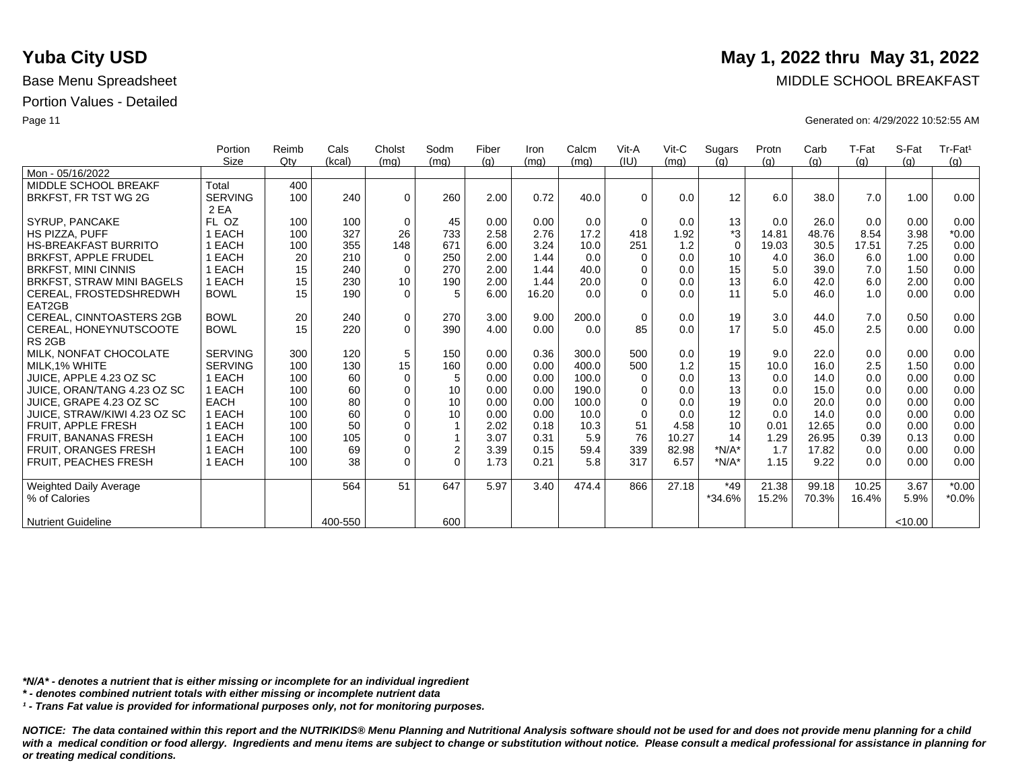|                               | Portion        | Reimb | Cals    | Cholst      | Sodm           | Fiber | Iron  | Calcm | Vit-A       | Vit-C | Sugars      | Protn | Carb  | T-Fat | S-Fat   | Tr-Fat <sup>1</sup> |
|-------------------------------|----------------|-------|---------|-------------|----------------|-------|-------|-------|-------------|-------|-------------|-------|-------|-------|---------|---------------------|
|                               | Size           | Qtv   | (kcal)  | (mq)        | (mq)           | (g)   | (mq)  | (mg)  | (IU)        | (mq)  | (g)         | (q)   | (q)   | (q)   | (q)     | (g)                 |
| Mon - 05/16/2022              |                |       |         |             |                |       |       |       |             |       |             |       |       |       |         |                     |
| MIDDLE SCHOOL BREAKF          | Total          | 400   |         |             |                |       |       |       |             |       |             |       |       |       |         |                     |
| BRKFST, FR TST WG 2G          | <b>SERVING</b> | 100   | 240     | $\mathbf 0$ | 260            | 2.00  | 0.72  | 40.0  | $\Omega$    | 0.0   | 12          | 6.0   | 38.0  | 7.0   | 1.00    | 0.00                |
|                               | 2 EA           |       |         |             |                |       |       |       |             |       |             |       |       |       |         |                     |
| SYRUP, PANCAKE                | FL OZ          | 100   | 100     | $\mathbf 0$ | 45             | 0.00  | 0.00  | 0.0   | $\Omega$    | 0.0   | 13          | 0.0   | 26.0  | 0.0   | 0.00    | 0.00                |
| HS PIZZA, PUFF                | 1 EACH         | 100   | 327     | 26          | 733            | 2.58  | 2.76  | 17.2  | 418         | 1.92  | *3          | 14.81 | 48.76 | 8.54  | 3.98    | $*0.00$             |
| <b>HS-BREAKFAST BURRITO</b>   | 1 EACH         | 100   | 355     | 148         | 671            | 6.00  | 3.24  | 10.0  | 251         | 1.2   | $\mathbf 0$ | 19.03 | 30.5  | 17.51 | 7.25    | 0.00                |
| <b>BRKFST, APPLE FRUDEL</b>   | 1 EACH         | 20    | 210     | $\mathbf 0$ | 250            | 2.00  | 1.44  | 0.0   | $\Omega$    | 0.0   | 10          | 4.0   | 36.0  | 6.0   | 1.00    | 0.00                |
| <b>BRKFST, MINI CINNIS</b>    | 1 EACH         | 15    | 240     | 0           | 270            | 2.00  | 1.44  | 40.0  | $\Omega$    | 0.0   | 15          | 5.0   | 39.0  | 7.0   | 1.50    | 0.00                |
| BRKFST, STRAW MINI BAGELS     | 1 EACH         | 15    | 230     | 10          | 190            | 2.00  | 1.44  | 20.0  | 0           | 0.0   | 13          | 6.0   | 42.0  | 6.0   | 2.00    | 0.00                |
| CEREAL, FROSTEDSHREDWH        | <b>BOWL</b>    | 15    | 190     | $\mathbf 0$ | 5              | 6.00  | 16.20 | 0.0   | $\Omega$    | 0.0   | 11          | 5.0   | 46.0  | 1.0   | 0.00    | 0.00                |
| EAT2GB                        |                |       |         |             |                |       |       |       |             |       |             |       |       |       |         |                     |
| CEREAL, CINNTOASTERS 2GB      | <b>BOWL</b>    | 20    | 240     | $\pmb{0}$   | 270            | 3.00  | 9.00  | 200.0 | $\mathbf 0$ | 0.0   | 19          | 3.0   | 44.0  | 7.0   | 0.50    | 0.00                |
| CEREAL, HONEYNUTSCOOTE        | <b>BOWL</b>    | 15    | 220     | $\Omega$    | 390            | 4.00  | 0.00  | 0.0   | 85          | 0.0   | 17          | 5.0   | 45.0  | 2.5   | 0.00    | 0.00                |
| RS <sub>2GB</sub>             |                |       |         |             |                |       |       |       |             |       |             |       |       |       |         |                     |
| MILK, NONFAT CHOCOLATE        | <b>SERVING</b> | 300   | 120     | 5           | 150            | 0.00  | 0.36  | 300.0 | 500         | 0.0   | 19          | 9.0   | 22.0  | 0.0   | 0.00    | 0.00                |
| MILK.1% WHITE                 | <b>SERVING</b> | 100   | 130     | 15          | 160            | 0.00  | 0.00  | 400.0 | 500         | 1.2   | 15          | 10.0  | 16.0  | 2.5   | 1.50    | 0.00                |
| JUICE. APPLE 4.23 OZ SC       | 1 EACH         | 100   | 60      | 0           | 5              | 0.00  | 0.00  | 100.0 | $\Omega$    | 0.0   | 13          | 0.0   | 14.0  | 0.0   | 0.00    | 0.00                |
| JUICE, ORAN/TANG 4.23 OZ SC   | 1 EACH         | 100   | 60      | $\mathbf 0$ | 10             | 0.00  | 0.00  | 190.0 | 0           | 0.0   | 13          | 0.0   | 15.0  | 0.0   | 0.00    | 0.00                |
| JUICE. GRAPE 4.23 OZ SC       | <b>EACH</b>    | 100   | 80      | $\mathbf 0$ | 10             | 0.00  | 0.00  | 100.0 | $\Omega$    | 0.0   | 19          | 0.0   | 20.0  | 0.0   | 0.00    | 0.00                |
| JUICE, STRAW/KIWI 4.23 OZ SC  | 1 EACH         | 100   | 60      | $\mathbf 0$ | 10             | 0.00  | 0.00  | 10.0  | $\Omega$    | 0.0   | 12          | 0.0   | 14.0  | 0.0   | 0.00    | 0.00                |
| <b>FRUIT, APPLE FRESH</b>     | 1 EACH         | 100   | 50      | $\mathbf 0$ |                | 2.02  | 0.18  | 10.3  | 51          | 4.58  | 10          | 0.01  | 12.65 | 0.0   | 0.00    | 0.00                |
| <b>FRUIT, BANANAS FRESH</b>   | 1 EACH         | 100   | 105     | $\mathbf 0$ |                | 3.07  | 0.31  | 5.9   | 76          | 10.27 | 14          | 1.29  | 26.95 | 0.39  | 0.13    | 0.00                |
| <b>FRUIT, ORANGES FRESH</b>   | 1 EACH         | 100   | 69      | $\mathbf 0$ | $\overline{2}$ | 3.39  | 0.15  | 59.4  | 339         | 82.98 | $*N/A*$     | 1.7   | 17.82 | 0.0   | 0.00    | 0.00                |
| <b>FRUIT. PEACHES FRESH</b>   | 1 EACH         | 100   | 38      | $\Omega$    | $\Omega$       | 1.73  | 0.21  | 5.8   | 317         | 6.57  | $*N/A*$     | 1.15  | 9.22  | 0.0   | 0.00    | 0.00                |
|                               |                |       |         |             |                |       |       |       |             |       |             |       |       |       |         |                     |
| <b>Weighted Daily Average</b> |                |       | 564     | 51          | 647            | 5.97  | 3.40  | 474.4 | 866         | 27.18 | *49         | 21.38 | 99.18 | 10.25 | 3.67    | $*0.00$             |
| % of Calories                 |                |       |         |             |                |       |       |       |             |       | $*34.6%$    | 15.2% | 70.3% | 16.4% | 5.9%    | $*0.0\%$            |
|                               |                |       |         |             |                |       |       |       |             |       |             |       |       |       |         |                     |
| <b>Nutrient Guideline</b>     |                |       | 400-550 |             | 600            |       |       |       |             |       |             |       |       |       | < 10.00 |                     |

*\*N/A\* - denotes a nutrient that is either missing or incomplete for an individual ingredient*

*\* - denotes combined nutrient totals with either missing or incomplete nutrient data*

*¹ - Trans Fat value is provided for informational purposes only, not for monitoring purposes.*

*NOTICE: The data contained within this report and the NUTRIKIDS® Menu Planning and Nutritional Analysis software should not be used for and does not provide menu planning for a child*  with a medical condition or food allergy. Ingredients and menu items are subject to change or substitution without notice. Please consult a medical professional for assistance in planning for *or treating medical conditions.*

### **Yuba City USD** May 1, 2022 thru May 31, 2022

Base Menu Spreadsheet **MIDDLE SCHOOL BREAKFAST** 

Page 11 Generated on: 4/29/2022 10:52:55 AM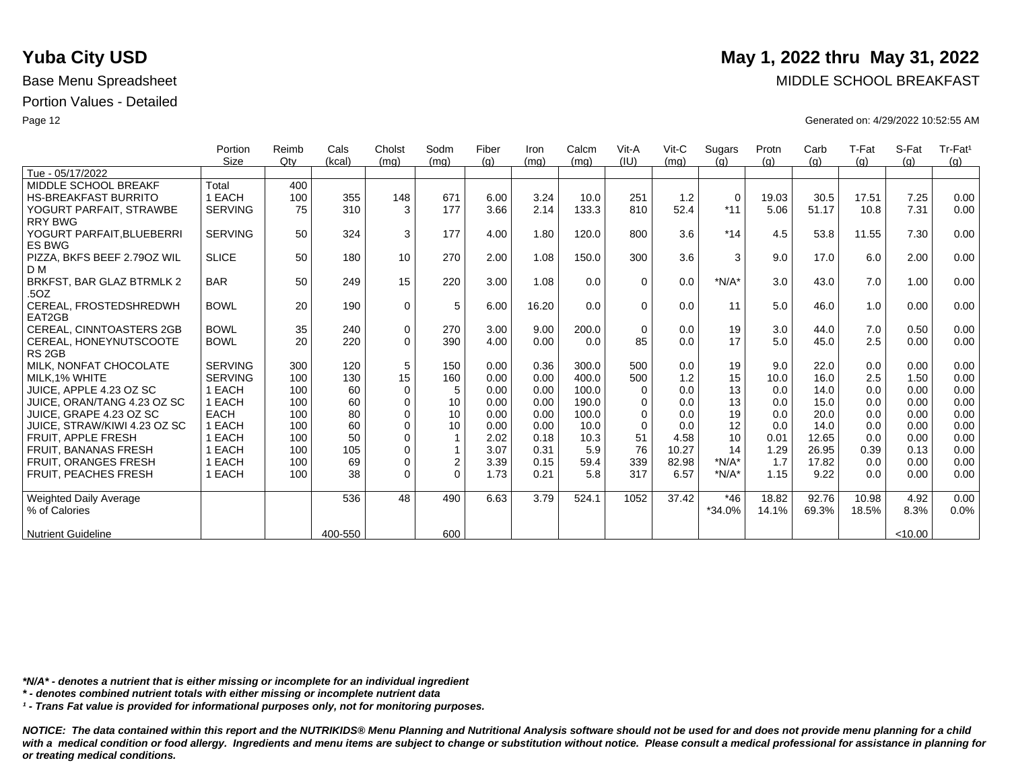|                                            | Portion        | Reimb | Cals    | Cholst      | Sodm           | Fiber | Iron  | Calcm | Vit-A    | $V$ it-C | Sugars      | Protn | Carb  | T-Fat | S-Fat  | Tr-Fat <sup>1</sup> |
|--------------------------------------------|----------------|-------|---------|-------------|----------------|-------|-------|-------|----------|----------|-------------|-------|-------|-------|--------|---------------------|
|                                            | Size           | Qtv   | (kcal)  | (mq)        | (mq)           | (q)   | (mq)  | (mq)  | (IU)     | (mq)     | (q)         | (q)   | (q)   | (g)   | (q)    | (q)                 |
| Tue - 05/17/2022                           |                |       |         |             |                |       |       |       |          |          |             |       |       |       |        |                     |
| MIDDLE SCHOOL BREAKF                       | Total          | 400   |         |             |                |       |       |       |          |          |             |       |       |       |        |                     |
| <b>HS-BREAKFAST BURRITO</b>                | 1 EACH         | 100   | 355     | 148         | 671            | 6.00  | 3.24  | 10.0  | 251      | 1.2      | $\mathbf 0$ | 19.03 | 30.5  | 17.51 | 7.25   | 0.00                |
| YOGURT PARFAIT, STRAWBE                    | <b>SERVING</b> | 75    | 310     | 3           | 177            | 3.66  | 2.14  | 133.3 | 810      | 52.4     | $*11$       | 5.06  | 51.17 | 10.8  | 7.31   | 0.00                |
| <b>RRY BWG</b>                             |                |       |         |             |                |       |       |       |          |          |             |       |       |       |        |                     |
| YOGURT PARFAIT, BLUEBERRI<br><b>ES BWG</b> | <b>SERVING</b> | 50    | 324     | 3           | 177            | 4.00  | 1.80  | 120.0 | 800      | 3.6      | $*14$       | 4.5   | 53.8  | 11.55 | 7.30   | 0.00                |
| PIZZA, BKFS BEEF 2.790Z WIL<br>D M         | <b>SLICE</b>   | 50    | 180     | 10          | 270            | 2.00  | 1.08  | 150.0 | 300      | 3.6      | 3           | 9.0   | 17.0  | 6.0   | 2.00   | 0.00                |
| BRKFST, BAR GLAZ BTRMLK 2                  | <b>BAR</b>     | 50    | 249     | 15          | 220            | 3.00  | 1.08  | 0.0   | $\Omega$ | 0.0      | $*N/A*$     | 3.0   | 43.0  | 7.0   | 1.00   | 0.00                |
| .5OZ                                       |                |       |         |             |                |       |       |       |          |          |             |       |       |       |        |                     |
| CEREAL, FROSTEDSHREDWH                     | <b>BOWL</b>    | 20    | 190     | $\mathbf 0$ | 5              | 6.00  | 16.20 | 0.0   | $\Omega$ | 0.0      | 11          | 5.0   | 46.0  | 1.0   | 0.00   | 0.00                |
| EAT2GB                                     |                |       |         |             |                |       |       |       |          |          |             |       |       |       |        |                     |
| <b>CEREAL, CINNTOASTERS 2GB</b>            | <b>BOWL</b>    | 35    | 240     | $\mathbf 0$ | 270            | 3.00  | 9.00  | 200.0 | $\Omega$ | 0.0      | 19          | 3.0   | 44.0  | 7.0   | 0.50   | 0.00                |
| CEREAL, HONEYNUTSCOOTE                     | <b>BOWL</b>    | 20    | 220     | $\Omega$    | 390            | 4.00  | 0.00  | 0.0   | 85       | 0.0      | 17          | 5.0   | 45.0  | 2.5   | 0.00   | 0.00                |
| RS <sub>2GB</sub>                          |                |       |         |             |                |       |       |       |          |          |             |       |       |       |        |                     |
| MILK, NONFAT CHOCOLATE                     | <b>SERVING</b> | 300   | 120     | 5           | 150            | 0.00  | 0.36  | 300.0 | 500      | 0.0      | 19          | 9.0   | 22.0  | 0.0   | 0.00   | 0.00                |
| MILK.1% WHITE                              | <b>SERVING</b> | 100   | 130     | 15          | 160            | 0.00  | 0.00  | 400.0 | 500      | 1.2      | 15          | 10.0  | 16.0  | 2.5   | 1.50   | 0.00                |
| JUICE, APPLE 4.23 OZ SC                    | 1 EACH         | 100   | 60      | $\mathbf 0$ | 5              | 0.00  | 0.00  | 100.0 | $\Omega$ | 0.0      | 13          | 0.0   | 14.0  | 0.0   | 0.00   | 0.00                |
| JUICE, ORAN/TANG 4.23 OZ SC                | 1 EACH         | 100   | 60      | $\mathbf 0$ | 10             | 0.00  | 0.00  | 190.0 | $\Omega$ | 0.0      | 13          | 0.0   | 15.0  | 0.0   | 0.00   | 0.00                |
| JUICE, GRAPE 4.23 OZ SC                    | <b>EACH</b>    | 100   | 80      | $\mathbf 0$ | 10             | 0.00  | 0.00  | 100.0 | $\Omega$ | 0.0      | 19          | 0.0   | 20.0  | 0.0   | 0.00   | 0.00                |
| JUICE, STRAW/KIWI 4.23 OZ SC               | 1 EACH         | 100   | 60      | $\mathbf 0$ | 10             | 0.00  | 0.00  | 10.0  | $\Omega$ | 0.0      | 12          | 0.0   | 14.0  | 0.0   | 0.00   | 0.00                |
| <b>FRUIT, APPLE FRESH</b>                  | 1 EACH         | 100   | 50      | $\mathbf 0$ | $\mathbf{1}$   | 2.02  | 0.18  | 10.3  | 51       | 4.58     | 10          | 0.01  | 12.65 | 0.0   | 0.00   | 0.00                |
| <b>FRUIT, BANANAS FRESH</b>                | 1 EACH         | 100   | 105     | $\mathbf 0$ | 1              | 3.07  | 0.31  | 5.9   | 76       | 10.27    | 14          | 1.29  | 26.95 | 0.39  | 0.13   | 0.00                |
| FRUIT, ORANGES FRESH                       | 1 EACH         | 100   | 69      | $\mathbf 0$ | $\overline{c}$ | 3.39  | 0.15  | 59.4  | 339      | 82.98    | $*N/A*$     | 1.7   | 17.82 | 0.0   | 0.00   | 0.00                |
| <b>FRUIT, PEACHES FRESH</b>                | 1 EACH         | 100   | 38      | $\Omega$    | $\Omega$       | 1.73  | 0.21  | 5.8   | 317      | 6.57     | $*N/A*$     | 1.15  | 9.22  | 0.0   | 0.00   | 0.00                |
| <b>Weighted Daily Average</b>              |                |       | 536     | 48          | 490            | 6.63  | 3.79  | 524.1 | 1052     | 37.42    | $*46$       | 18.82 | 92.76 | 10.98 | 4.92   | 0.00                |
| % of Calories                              |                |       |         |             |                |       |       |       |          |          | $*34.0\%$   | 14.1% | 69.3% | 18.5% | 8.3%   | 0.0%                |
| <b>Nutrient Guideline</b>                  |                |       | 400-550 |             | 600            |       |       |       |          |          |             |       |       |       | <10.00 |                     |

*\*N/A\* - denotes a nutrient that is either missing or incomplete for an individual ingredient*

*\* - denotes combined nutrient totals with either missing or incomplete nutrient data*

*¹ - Trans Fat value is provided for informational purposes only, not for monitoring purposes.*

*NOTICE: The data contained within this report and the NUTRIKIDS® Menu Planning and Nutritional Analysis software should not be used for and does not provide menu planning for a child*  with a medical condition or food allergy. Ingredients and menu items are subject to change or substitution without notice. Please consult a medical professional for assistance in planning for *or treating medical conditions.*

# **Yuba City USD** May 1, 2022 thru May 31, 2022

Base Menu Spreadsheet **MIDDLE SCHOOL BREAKFAST** 

Page 12 Generated on: 4/29/2022 10:52:55 AM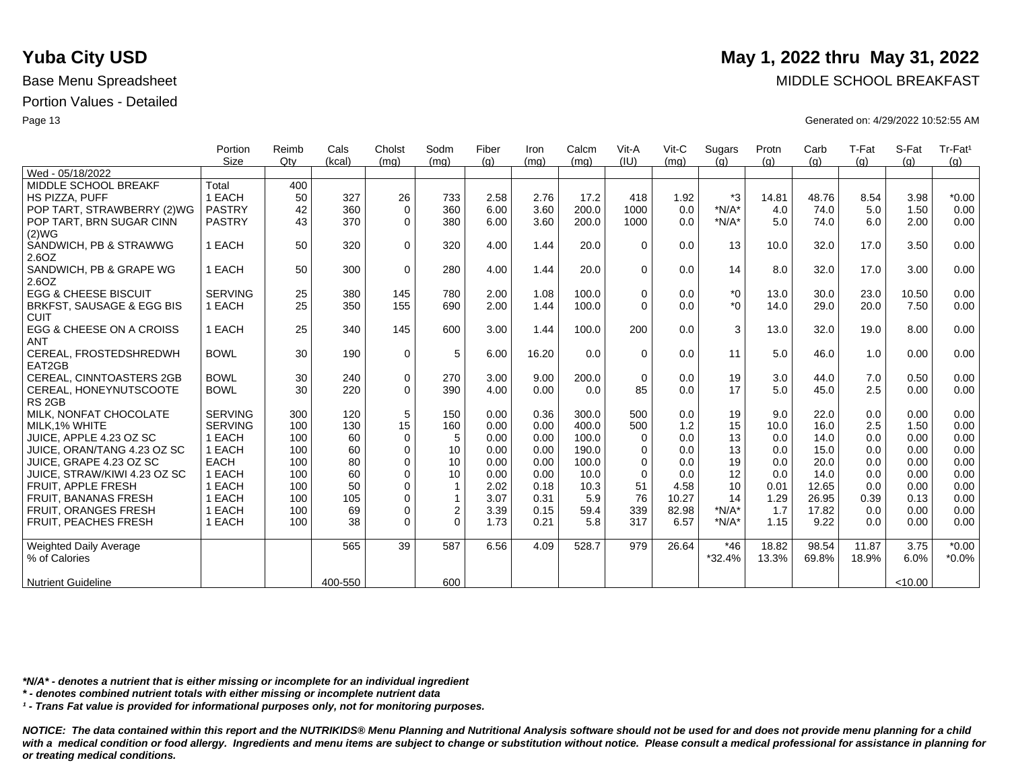|                                 | Portion        | Reimb  | Cals    | Cholst      | Sodm           | Fiber | Iron  | Calcm | Vit-A       | $V$ it-C | Sugars   | Protn | Carb  | T-Fat | S-Fat   | Tr-Fat <sup>1</sup> |
|---------------------------------|----------------|--------|---------|-------------|----------------|-------|-------|-------|-------------|----------|----------|-------|-------|-------|---------|---------------------|
|                                 | <b>Size</b>    | $Q$ ty | (kcal)  | (mq)        | (mq)           | (g)   | (mg)  | (mq)  | (IU)        | (mq)     | (g)      | (q)   | (g)   | (g)   | (g)     | (q)                 |
| Wed - 05/18/2022                |                |        |         |             |                |       |       |       |             |          |          |       |       |       |         |                     |
| MIDDLE SCHOOL BREAKF            | Total          | 400    |         |             |                |       |       |       |             |          |          |       |       |       |         |                     |
| HS PIZZA, PUFF                  | 1 EACH         | 50     | 327     | 26          | 733            | 2.58  | 2.76  | 17.2  | 418         | 1.92     | *3       | 14.81 | 48.76 | 8.54  | 3.98    | $*0.00$             |
| POP TART, STRAWBERRY (2)WG      | <b>PASTRY</b>  | 42     | 360     | $\mathbf 0$ | 360            | 6.00  | 3.60  | 200.0 | 1000        | 0.0      | $*N/A*$  | 4.0   | 74.0  | 5.0   | 1.50    | 0.00                |
| POP TART, BRN SUGAR CINN        | <b>PASTRY</b>  | 43     | 370     | $\Omega$    | 380            | 6.00  | 3.60  | 200.0 | 1000        | 0.0      | $*N/A*$  | 5.0   | 74.0  | 6.0   | 2.00    | 0.00                |
| (2)WG                           |                |        |         |             |                |       |       |       |             |          |          |       |       |       |         |                     |
| SANDWICH, PB & STRAWWG          | 1 EACH         | 50     | 320     | $\Omega$    | 320            | 4.00  | 1.44  | 20.0  | $\Omega$    | 0.0      | 13       | 10.0  | 32.0  | 17.0  | 3.50    | 0.00                |
| 2.6OZ                           |                |        |         |             |                |       |       |       |             |          |          |       |       |       |         |                     |
| SANDWICH, PB & GRAPE WG         | 1 EACH         | 50     | 300     | $\mathbf 0$ | 280            | 4.00  | 1.44  | 20.0  | $\Omega$    | 0.0      | 14       | 8.0   | 32.0  | 17.0  | 3.00    | 0.00                |
| 2.6OZ                           |                |        |         |             |                |       |       |       |             |          |          |       |       |       |         |                     |
| <b>EGG &amp; CHEESE BISCUIT</b> | <b>SERVING</b> | 25     | 380     | 145         | 780            | 2.00  | 1.08  | 100.0 | $\Omega$    | 0.0      | $*_{0}$  | 13.0  | 30.0  | 23.0  | 10.50   | 0.00                |
| BRKFST, SAUSAGE & EGG BIS       | 1 EACH         | 25     | 350     | 155         | 690            | 2.00  | 1.44  | 100.0 | $\Omega$    | 0.0      | $*_{0}$  | 14.0  | 29.0  | 20.0  | 7.50    | 0.00                |
| <b>CUIT</b>                     |                |        |         |             |                |       |       |       |             |          |          |       |       |       |         |                     |
| EGG & CHEESE ON A CROISS        | 1 EACH         | 25     | 340     | 145         | 600            | 3.00  | 1.44  | 100.0 | 200         | 0.0      | 3        | 13.0  | 32.0  | 19.0  | 8.00    | 0.00                |
| <b>ANT</b>                      |                |        |         |             |                |       |       |       |             |          |          |       |       |       |         |                     |
| CEREAL, FROSTEDSHREDWH          | <b>BOWL</b>    | 30     | 190     | 0           | 5              | 6.00  | 16.20 | 0.0   | $\Omega$    | 0.0      | 11       | 5.0   | 46.0  | 1.0   | 0.00    | 0.00                |
| EAT2GB                          |                |        |         |             |                |       |       |       |             |          |          |       |       |       |         |                     |
| CEREAL, CINNTOASTERS 2GB        | <b>BOWL</b>    | 30     | 240     | $\pmb{0}$   | 270            | 3.00  | 9.00  | 200.0 | $\mathbf 0$ | 0.0      | 19       | 3.0   | 44.0  | 7.0   | 0.50    | 0.00                |
| CEREAL, HONEYNUTSCOOTE          | <b>BOWL</b>    | 30     | 220     | $\mathbf 0$ | 390            | 4.00  | 0.00  | 0.0   | 85          | 0.0      | 17       | 5.0   | 45.0  | 2.5   | 0.00    | 0.00                |
| RS <sub>2GB</sub>               |                |        |         |             |                |       |       |       |             |          |          |       |       |       |         |                     |
| MILK, NONFAT CHOCOLATE          | <b>SERVING</b> | 300    | 120     | 5           | 150            | 0.00  | 0.36  | 300.0 | 500         | 0.0      | 19       | 9.0   | 22.0  | 0.0   | 0.00    | 0.00                |
| MILK, 1% WHITE                  | <b>SERVING</b> | 100    | 130     | 15          | 160            | 0.00  | 0.00  | 400.0 | 500         | 1.2      | 15       | 10.0  | 16.0  | 2.5   | 1.50    | 0.00                |
| JUICE, APPLE 4.23 OZ SC         | 1 EACH         | 100    | 60      | 0           | 5              | 0.00  | 0.00  | 100.0 | $\Omega$    | 0.0      | 13       | 0.0   | 14.0  | 0.0   | 0.00    | 0.00                |
| JUICE, ORAN/TANG 4.23 OZ SC     | 1 EACH         | 100    | 60      | 0           | 10             | 0.00  | 0.00  | 190.0 | $\Omega$    | 0.0      | 13       | 0.0   | 15.0  | 0.0   | 0.00    | 0.00                |
| JUICE, GRAPE 4.23 OZ SC         | <b>EACH</b>    | 100    | 80      | $\mathbf 0$ | 10             | 0.00  | 0.00  | 100.0 | $\Omega$    | 0.0      | 19       | 0.0   | 20.0  | 0.0   | 0.00    | 0.00                |
| JUICE, STRAW/KIWI 4.23 OZ SC    | 1 EACH         | 100    | 60      | $\mathbf 0$ | 10             | 0.00  | 0.00  | 10.0  | $\Omega$    | 0.0      | 12       | 0.0   | 14.0  | 0.0   | 0.00    | 0.00                |
| FRUIT, APPLE FRESH              | 1 EACH         | 100    | 50      | $\Omega$    | $\overline{1}$ | 2.02  | 0.18  | 10.3  | 51          | 4.58     | 10       | 0.01  | 12.65 | 0.0   | 0.00    | 0.00                |
| FRUIT, BANANAS FRESH            | 1 EACH         | 100    | 105     | $\Omega$    | $\mathbf{1}$   | 3.07  | 0.31  | 5.9   | 76          | 10.27    | 14       | 1.29  | 26.95 | 0.39  | 0.13    | 0.00                |
| FRUIT, ORANGES FRESH            | 1 EACH         | 100    | 69      | $\mathbf 0$ | $\overline{c}$ | 3.39  | 0.15  | 59.4  | 339         | 82.98    | $*N/A*$  | 1.7   | 17.82 | 0.0   | 0.00    | 0.00                |
| FRUIT, PEACHES FRESH            | 1 EACH         | 100    | 38      | $\mathbf 0$ | $\Omega$       | 1.73  | 0.21  | 5.8   | 317         | 6.57     | $*N/A*$  | 1.15  | 9.22  | 0.0   | 0.00    | 0.00                |
| Weighted Daily Average          |                |        | 565     | 39          | 587            | 6.56  | 4.09  | 528.7 | 979         | 26.64    | $*46$    | 18.82 | 98.54 | 11.87 | 3.75    | $*0.00$             |
| % of Calories                   |                |        |         |             |                |       |       |       |             |          | $*32.4%$ | 13.3% | 69.8% | 18.9% | 6.0%    | $*0.0\%$            |
|                                 |                |        |         |             |                |       |       |       |             |          |          |       |       |       |         |                     |
| <b>Nutrient Guideline</b>       |                |        | 400-550 |             | 600            |       |       |       |             |          |          |       |       |       | < 10.00 |                     |

*\*N/A\* - denotes a nutrient that is either missing or incomplete for an individual ingredient*

*\* - denotes combined nutrient totals with either missing or incomplete nutrient data*

*¹ - Trans Fat value is provided for informational purposes only, not for monitoring purposes.*

*NOTICE: The data contained within this report and the NUTRIKIDS® Menu Planning and Nutritional Analysis software should not be used for and does not provide menu planning for a child*  with a medical condition or food allergy. Ingredients and menu items are subject to change or substitution without notice. Please consult a medical professional for assistance in planning for *or treating medical conditions.*

# **Yuba City USD** May 1, 2022 thru May 31, 2022

Base Menu Spreadsheet **MIDDLE SCHOOL BREAKFAST** 

Page 13 Generated on: 4/29/2022 10:52:55 AM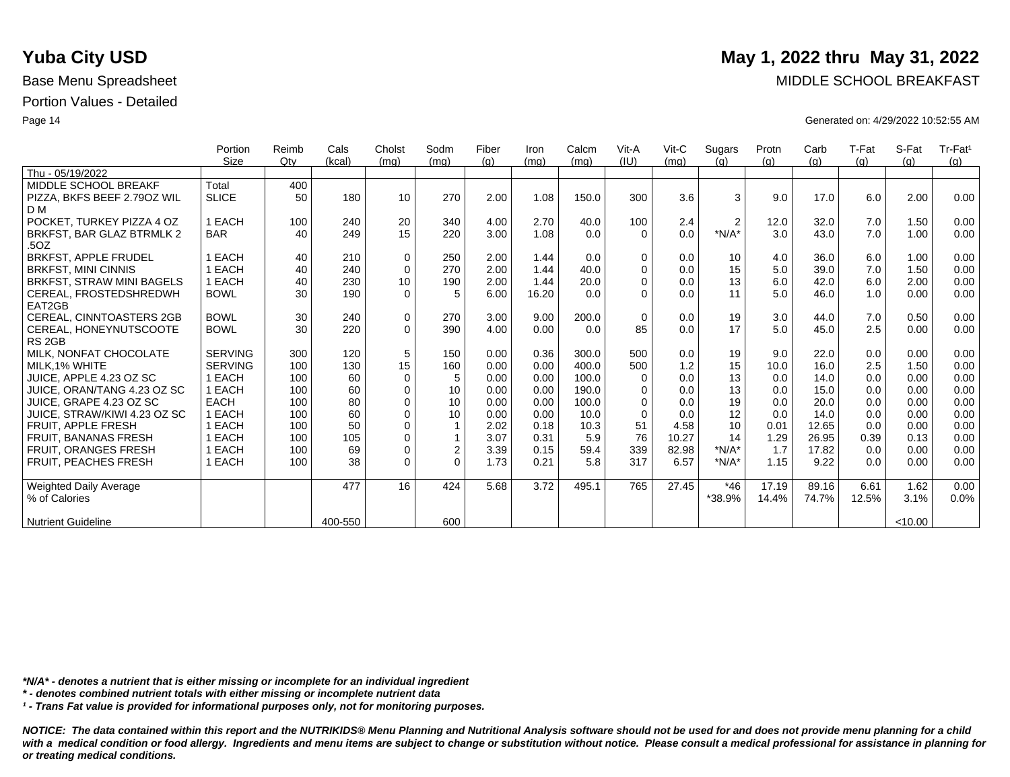|                                   | Portion        | Reimb | Cals    | Cholst          | Sodm             | Fiber | Iron  | Calcm | Vit-A       | $V$ it-C | Sugars         | Protn | Carb  | T-Fat | S-Fat   | Tr-Fat <sup>1</sup> |
|-----------------------------------|----------------|-------|---------|-----------------|------------------|-------|-------|-------|-------------|----------|----------------|-------|-------|-------|---------|---------------------|
|                                   | Size           | Qtv   | (kcal)  | (mq)            | (mq)             | (q)   | (mg)  | (mq)  | (IU)        | (mq)     | (q)            | (q)   | (q)   | (q)   | (q)     | (q)                 |
| Thu - 05/19/2022                  |                |       |         |                 |                  |       |       |       |             |          |                |       |       |       |         |                     |
| MIDDLE SCHOOL BREAKF              | Total          | 400   |         |                 |                  |       |       |       |             |          |                |       |       |       |         |                     |
| PIZZA, BKFS BEEF 2.790Z WIL       | <b>SLICE</b>   | 50    | 180     | 10              | 270              | 2.00  | 1.08  | 150.0 | 300         | 3.6      | 3              | 9.0   | 17.0  | 6.0   | 2.00    | 0.00                |
| D <sub>M</sub>                    |                |       |         |                 |                  |       |       |       |             |          |                |       |       |       |         |                     |
| POCKET. TURKEY PIZZA 4 OZ         | 1 EACH         | 100   | 240     | 20              | 340              | 4.00  | 2.70  | 40.0  | 100         | 2.4      | $\overline{2}$ | 12.0  | 32.0  | 7.0   | 1.50    | 0.00                |
| BRKFST, BAR GLAZ BTRMLK 2<br>.50Z | <b>BAR</b>     | 40    | 249     | 15              | 220              | 3.00  | 1.08  | 0.0   | $\Omega$    | 0.0      | $*N/A*$        | 3.0   | 43.0  | 7.0   | 1.00    | 0.00                |
| <b>BRKFST, APPLE FRUDEL</b>       | EACH           | 40    | 210     | 0               | 250              | 2.00  | 1.44  | 0.0   | $\mathbf 0$ | 0.0      | 10             | 4.0   | 36.0  | 6.0   | 1.00    | 0.00                |
| <b>BRKFST, MINI CINNIS</b>        | EACH           | 40    | 240     | $\mathbf 0$     | 270              | 2.00  | 1.44  | 40.0  | $\Omega$    | 0.0      | 15             | 5.0   | 39.0  | 7.0   | 1.50    | 0.00                |
| BRKFST, STRAW MINI BAGELS         | 1 EACH         | 40    | 230     | 10 <sup>°</sup> | 190              | 2.00  | 1.44  | 20.0  | $\mathbf 0$ | 0.0      | 13             | 6.0   | 42.0  | 6.0   | 2.00    | 0.00                |
| CEREAL, FROSTEDSHREDWH            | <b>BOWL</b>    | 30    | 190     | $\Omega$        | 5                | 6.00  | 16.20 | 0.0   | $\Omega$    | 0.0      | 11             | 5.0   | 46.0  | 1.0   | 0.00    | 0.00                |
| EAT2GB                            |                |       |         |                 |                  |       |       |       |             |          |                |       |       |       |         |                     |
| <b>CEREAL, CINNTOASTERS 2GB</b>   | <b>BOWL</b>    | 30    | 240     | $\mathbf 0$     | 270              | 3.00  | 9.00  | 200.0 | $\mathbf 0$ | 0.0      | 19             | 3.0   | 44.0  | 7.0   | 0.50    | 0.00                |
| CEREAL, HONEYNUTSCOOTE            | <b>BOWL</b>    | 30    | 220     | $\Omega$        | 390              | 4.00  | 0.00  | 0.0   | 85          | 0.0      | 17             | 5.0   | 45.0  | 2.5   | 0.00    | 0.00                |
| RS <sub>2GB</sub>                 |                |       |         |                 |                  |       |       |       |             |          |                |       |       |       |         |                     |
| MILK. NONFAT CHOCOLATE            | <b>SERVING</b> | 300   | 120     | 5               | 150              | 0.00  | 0.36  | 300.0 | 500         | 0.0      | 19             | 9.0   | 22.0  | 0.0   | 0.00    | 0.00                |
| MILK.1% WHITE                     | <b>SERVING</b> | 100   | 130     | 15              | 160              | 0.00  | 0.00  | 400.0 | 500         | 1.2      | 15             | 10.0  | 16.0  | 2.5   | 1.50    | 0.00                |
| JUICE. APPLE 4.23 OZ SC           | 1 EACH         | 100   | 60      | 0               | 5                | 0.00  | 0.00  | 100.0 | $\Omega$    | 0.0      | 13             | 0.0   | 14.0  | 0.0   | 0.00    | 0.00                |
| JUICE, ORAN/TANG 4.23 OZ SC       | 1 EACH         | 100   | 60      | $\mathbf 0$     | 10               | 0.00  | 0.00  | 190.0 | $\mathbf 0$ | 0.0      | 13             | 0.0   | 15.0  | 0.0   | 0.00    | 0.00                |
| JUICE. GRAPE 4.23 OZ SC           | <b>EACH</b>    | 100   | 80      | $\mathbf 0$     | 10               | 0.00  | 0.00  | 100.0 | $\Omega$    | 0.0      | 19             | 0.0   | 20.0  | 0.0   | 0.00    | 0.00                |
| JUICE, STRAW/KIWI 4.23 OZ SC      | 1 EACH         | 100   | 60      | $\mathbf 0$     | 10               | 0.00  | 0.00  | 10.0  | $\Omega$    | 0.0      | 12             | 0.0   | 14.0  | 0.0   | 0.00    | 0.00                |
| FRUIT, APPLE FRESH                | 1 EACH         | 100   | 50      | $\mathbf 0$     | 1                | 2.02  | 0.18  | 10.3  | 51          | 4.58     | 10             | 0.01  | 12.65 | 0.0   | 0.00    | 0.00                |
| <b>FRUIT, BANANAS FRESH</b>       | <b>EACH</b>    | 100   | 105     | 0               | 1                | 3.07  | 0.31  | 5.9   | 76          | 10.27    | 14             | 1.29  | 26.95 | 0.39  | 0.13    | 0.00                |
| FRUIT, ORANGES FRESH              | 1 EACH         | 100   | 69      | 0               | $\boldsymbol{2}$ | 3.39  | 0.15  | 59.4  | 339         | 82.98    | $*N/A*$        | 1.7   | 17.82 | 0.0   | 0.00    | 0.00                |
| <b>FRUIT. PEACHES FRESH</b>       | 1 EACH         | 100   | 38      | $\Omega$        | $\Omega$         | 1.73  | 0.21  | 5.8   | 317         | 6.57     | $*N/A*$        | 1.15  | 9.22  | 0.0   | 0.00    | 0.00                |
| <b>Weighted Daily Average</b>     |                |       | 477     | 16              | 424              | 5.68  | 3.72  | 495.1 | 765         | 27.45    | $*46$          | 17.19 | 89.16 | 6.61  | 1.62    | 0.00                |
| % of Calories                     |                |       |         |                 |                  |       |       |       |             |          | *38.9%         | 14.4% | 74.7% | 12.5% | 3.1%    | 0.0%                |
|                                   |                |       |         |                 |                  |       |       |       |             |          |                |       |       |       |         |                     |
| <b>Nutrient Guideline</b>         |                |       | 400-550 |                 | 600              |       |       |       |             |          |                |       |       |       | < 10.00 |                     |

*\*N/A\* - denotes a nutrient that is either missing or incomplete for an individual ingredient*

*\* - denotes combined nutrient totals with either missing or incomplete nutrient data*

*¹ - Trans Fat value is provided for informational purposes only, not for monitoring purposes.*

*NOTICE: The data contained within this report and the NUTRIKIDS® Menu Planning and Nutritional Analysis software should not be used for and does not provide menu planning for a child*  with a medical condition or food allergy. Ingredients and menu items are subject to change or substitution without notice. Please consult a medical professional for assistance in planning for *or treating medical conditions.*

### **Yuba City USD** May 1, 2022 thru May 31, 2022

Base Menu Spreadsheet **MIDDLE SCHOOL BREAKFAST** 

Page 14 Generated on: 4/29/2022 10:52:55 AM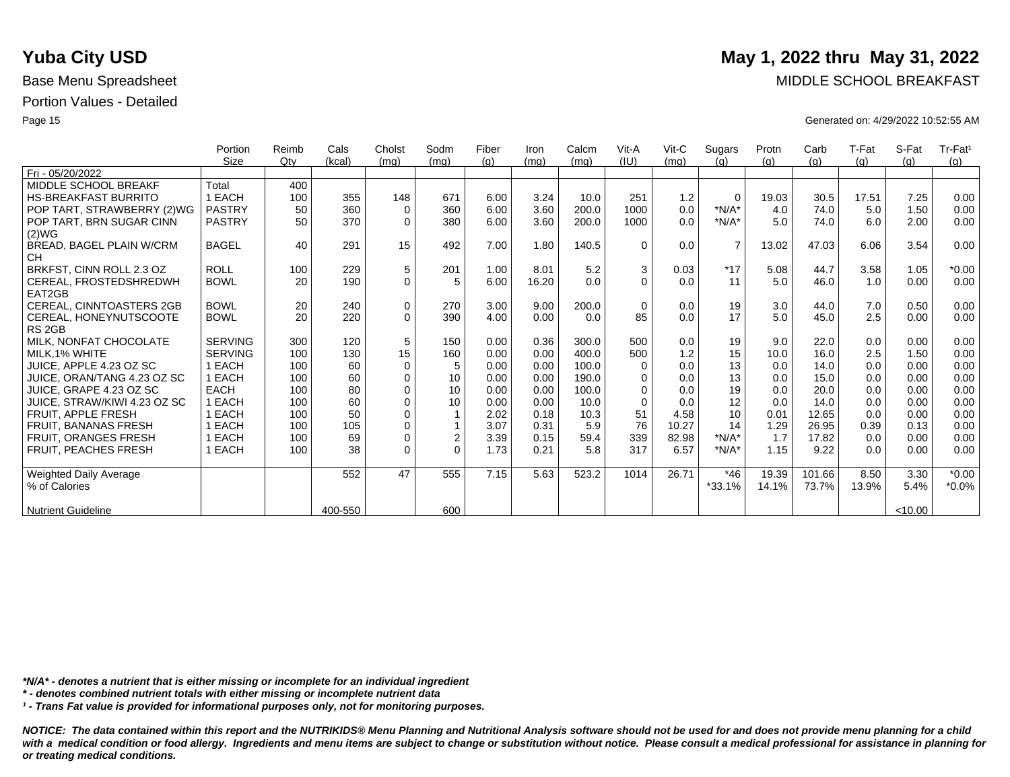|                              | Portion        | Reimb | Cals    | Cholst      | Sodm             | Fiber | Iron  | Calcm | Vit-A    | $V$ it-C | Sugars         | Protn | Carb   | T-Fat | S-Fat   | Tr-Fat <sup>1</sup> |
|------------------------------|----------------|-------|---------|-------------|------------------|-------|-------|-------|----------|----------|----------------|-------|--------|-------|---------|---------------------|
|                              | Size           | Qtv   | (kcal)  | (mq)        | (mq)             | (g)   | (mq)  | (mq)  | (IU)     | (mq)     | (a)            | (g)   | (g)    | (g)   | (a)     | (g)                 |
| Fri - 05/20/2022             |                |       |         |             |                  |       |       |       |          |          |                |       |        |       |         |                     |
| MIDDLE SCHOOL BREAKF         | Total          | 400   |         |             |                  |       |       |       |          |          |                |       |        |       |         |                     |
| <b>HS-BREAKFAST BURRITO</b>  | <b>EACH</b>    | 100   | 355     | 148         | 671              | 6.00  | 3.24  | 10.0  | 251      | 1.2      | $\mathbf 0$    | 19.03 | 30.5   | 17.51 | 7.25    | 0.00                |
| POP TART, STRAWBERRY (2)WG   | <b>PASTRY</b>  | 50    | 360     | $\Omega$    | 360              | 6.00  | 3.60  | 200.0 | 1000     | 0.0      | $*N/A*$        | 4.0   | 74.0   | 5.0   | 1.50    | 0.00                |
| POP TART, BRN SUGAR CINN     | <b>PASTRY</b>  | 50    | 370     | $\Omega$    | 380              | 6.00  | 3.60  | 200.0 | 1000     | 0.0      | $*N/A*$        | 5.0   | 74.0   | 6.0   | 2.00    | 0.00                |
| (2)WG                        |                |       |         |             |                  |       |       |       |          |          |                |       |        |       |         |                     |
| BREAD, BAGEL PLAIN W/CRM     | <b>BAGEL</b>   | 40    | 291     | 15          | 492              | 7.00  | 1.80  | 140.5 | $\Omega$ | 0.0      | $\overline{7}$ | 13.02 | 47.03  | 6.06  | 3.54    | 0.00                |
| <b>CH</b>                    |                |       |         |             |                  |       |       |       |          |          |                |       |        |       |         |                     |
| BRKFST, CINN ROLL 2.3 OZ     | <b>ROLL</b>    | 100   | 229     | 5           | 201              | 1.00  | 8.01  | 5.2   | 3        | 0.03     | $*17$          | 5.08  | 44.7   | 3.58  | 1.05    | $*0.00$             |
| CEREAL, FROSTEDSHREDWH       | <b>BOWL</b>    | 20    | 190     | $\mathbf 0$ | 5                | 6.00  | 16.20 | 0.0   | $\Omega$ | 0.0      | 11             | 5.0   | 46.0   | 1.0   | 0.00    | 0.00                |
| EAT2GB                       |                |       |         |             |                  |       |       |       |          |          |                |       |        |       |         |                     |
| CEREAL, CINNTOASTERS 2GB     | <b>BOWL</b>    | 20    | 240     | $\mathbf 0$ | 270              | 3.00  | 9.00  | 200.0 | $\Omega$ | 0.0      | 19             | 3.0   | 44.0   | 7.0   | 0.50    | 0.00                |
| CEREAL, HONEYNUTSCOOTE       | <b>BOWL</b>    | 20    | 220     | $\Omega$    | 390              | 4.00  | 0.00  | 0.0   | 85       | 0.0      | 17             | 5.0   | 45.0   | 2.5   | 0.00    | 0.00                |
| RS <sub>2GB</sub>            |                |       |         |             |                  |       |       |       |          |          |                |       |        |       |         |                     |
| MILK, NONFAT CHOCOLATE       | <b>SERVING</b> | 300   | 120     | 5           | 150              | 0.00  | 0.36  | 300.0 | 500      | 0.0      | 19             | 9.0   | 22.0   | 0.0   | 0.00    | 0.00                |
| MILK.1% WHITE                | <b>SERVING</b> | 100   | 130     | 15          | 160              | 0.00  | 0.00  | 400.0 | 500      | 1.2      | 15             | 10.0  | 16.0   | 2.5   | 1.50    | 0.00                |
| JUICE, APPLE 4.23 OZ SC      | 1 EACH         | 100   | 60      | $\mathbf 0$ | 5                | 0.00  | 0.00  | 100.0 | $\Omega$ | 0.0      | 13             | 0.0   | 14.0   | 0.0   | 0.00    | 0.00                |
| JUICE, ORAN/TANG 4.23 OZ SC  | <b>EACH</b>    | 100   | 60      | $\Omega$    | 10               | 0.00  | 0.00  | 190.0 | $\Omega$ | 0.0      | 13             | 0.0   | 15.0   | 0.0   | 0.00    | 0.00                |
| JUICE, GRAPE 4.23 OZ SC      | <b>EACH</b>    | 100   | 80      | $\Omega$    | 10               | 0.00  | 0.00  | 100.0 | $\Omega$ | 0.0      | 19             | 0.0   | 20.0   | 0.0   | 0.00    | 0.00                |
| JUICE, STRAW/KIWI 4.23 OZ SC | <b>EACH</b>    | 100   | 60      | $\Omega$    | 10               | 0.00  | 0.00  | 10.0  | $\Omega$ | 0.0      | 12             | 0.0   | 14.0   | 0.0   | 0.00    | 0.00                |
| <b>FRUIT, APPLE FRESH</b>    | EACH           | 100   | 50      | $\Omega$    |                  | 2.02  | 0.18  | 10.3  | 51       | 4.58     | 10             | 0.01  | 12.65  | 0.0   | 0.00    | 0.00                |
| <b>FRUIT, BANANAS FRESH</b>  | 1 EACH         | 100   | 105     | $\mathbf 0$ |                  | 3.07  | 0.31  | 5.9   | 76       | 10.27    | 14             | 1.29  | 26.95  | 0.39  | 0.13    | 0.00                |
| <b>FRUIT, ORANGES FRESH</b>  | EACH           | 100   | 69      | $\mathbf 0$ | $\boldsymbol{2}$ | 3.39  | 0.15  | 59.4  | 339      | 82.98    | $*N/A*$        | 1.7   | 17.82  | 0.0   | 0.00    | 0.00                |
| FRUIT, PEACHES FRESH         | 1 EACH         | 100   | 38      | $\mathbf 0$ | $\Omega$         | 1.73  | 0.21  | 5.8   | 317      | 6.57     | $*N/A*$        | 1.15  | 9.22   | 0.0   | 0.00    | 0.00                |
|                              |                |       |         |             |                  |       |       |       |          |          |                |       |        |       |         |                     |
| Weighted Daily Average       |                |       | 552     | 47          | 555              | 7.15  | 5.63  | 523.2 | 1014     | 26.71    | $*46$          | 19.39 | 101.66 | 8.50  | 3.30    | $*0.00$             |
| % of Calories                |                |       |         |             |                  |       |       |       |          |          | $*33.1%$       | 14.1% | 73.7%  | 13.9% | 5.4%    | $*0.0\%$            |
|                              |                |       |         |             |                  |       |       |       |          |          |                |       |        |       |         |                     |
| <b>Nutrient Guideline</b>    |                |       | 400-550 |             | 600              |       |       |       |          |          |                |       |        |       | < 10.00 |                     |

*\*N/A\* - denotes a nutrient that is either missing or incomplete for an individual ingredient*

*\* - denotes combined nutrient totals with either missing or incomplete nutrient data*

*¹ - Trans Fat value is provided for informational purposes only, not for monitoring purposes.*

*NOTICE: The data contained within this report and the NUTRIKIDS® Menu Planning and Nutritional Analysis software should not be used for and does not provide menu planning for a child*  with a medical condition or food allergy. Ingredients and menu items are subject to change or substitution without notice. Please consult a medical professional for assistance in planning for *or treating medical conditions.*

### **Yuba City USD** May 1, 2022 thru May 31, 2022

Base Menu Spreadsheet **MIDDLE SCHOOL BREAKFAST** 

Page 15 Generated on: 4/29/2022 10:52:55 AM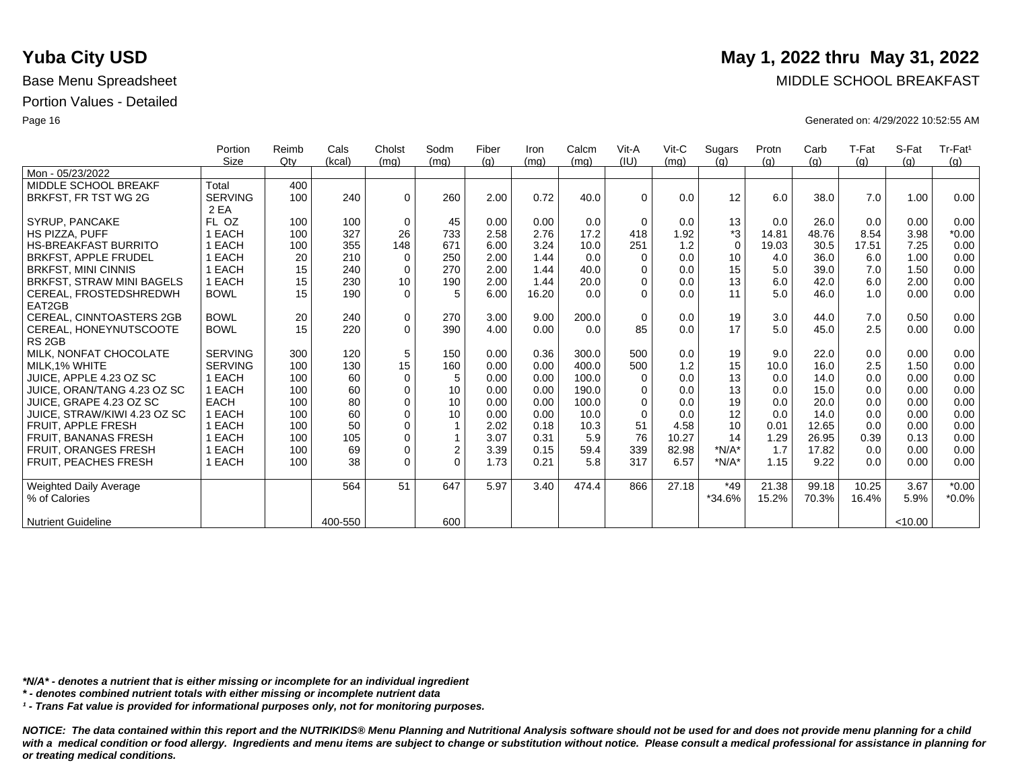|                                  | Portion        | Reimb | Cals    | Cholst          | Sodm         | Fiber | Iron  | Calcm | Vit-A       | $V$ it-C | Sugars      | Protn | Carb  | T-Fat | S-Fat  | Tr-Fat <sup>1</sup> |
|----------------------------------|----------------|-------|---------|-----------------|--------------|-------|-------|-------|-------------|----------|-------------|-------|-------|-------|--------|---------------------|
|                                  | <b>Size</b>    | Qty   | (kcal)  | (mq)            | (mq)         | (a)   | (mq)  | (mq)  | (IU)        | (mq)     | (q)         | (q)   | (g)   | (g)   | (q)    | (q)                 |
| Mon - 05/23/2022                 |                |       |         |                 |              |       |       |       |             |          |             |       |       |       |        |                     |
| MIDDLE SCHOOL BREAKF             | Total          | 400   |         |                 |              |       |       |       |             |          |             |       |       |       |        |                     |
| BRKFST, FR TST WG 2G             | <b>SERVING</b> | 100   | 240     | $\Omega$        | 260          | 2.00  | 0.72  | 40.0  | $\Omega$    | 0.0      | 12          | 6.0   | 38.0  | 7.0   | 1.00   | 0.00                |
|                                  | 2 EA           |       |         |                 |              |       |       |       |             |          |             |       |       |       |        |                     |
| <b>SYRUP, PANCAKE</b>            | FL OZ          | 100   | 100     | $\mathbf 0$     | 45           | 0.00  | 0.00  | 0.0   | $\Omega$    | 0.0      | 13          | 0.0   | 26.0  | 0.0   | 0.00   | 0.00                |
| HS PIZZA, PUFF                   | 1 EACH         | 100   | 327     | 26              | 733          | 2.58  | 2.76  | 17.2  | 418         | 1.92     | *3          | 14.81 | 48.76 | 8.54  | 3.98   | $*0.00$             |
| <b>HS-BREAKFAST BURRITO</b>      | 1 EACH         | 100   | 355     | 148             | 671          | 6.00  | 3.24  | 10.0  | 251         | 1.2      | $\mathbf 0$ | 19.03 | 30.5  | 17.51 | 7.25   | 0.00                |
| <b>BRKFST, APPLE FRUDEL</b>      | 1 EACH         | 20    | 210     | 0               | 250          | 2.00  | 1.44  | 0.0   | $\Omega$    | 0.0      | 10          | 4.0   | 36.0  | 6.0   | 1.00   | 0.00                |
| <b>BRKFST, MINI CINNIS</b>       | 1 EACH         | 15    | 240     | $\mathbf 0$     | 270          | 2.00  | 1.44  | 40.0  | $\Omega$    | 0.0      | 15          | 5.0   | 39.0  | 7.0   | 1.50   | 0.00                |
| <b>BRKFST, STRAW MINI BAGELS</b> | 1 EACH         | 15    | 230     | 10 <sup>1</sup> | 190          | 2.00  | 1.44  | 20.0  | $\Omega$    | 0.0      | 13          | 6.0   | 42.0  | 6.0   | 2.00   | 0.00                |
| CEREAL, FROSTEDSHREDWH           | <b>BOWL</b>    | 15    | 190     | $\Omega$        | 5            | 6.00  | 16.20 | 0.0   | $\Omega$    | 0.0      | 11          | 5.0   | 46.0  | 1.0   | 0.00   | 0.00                |
| EAT2GB                           |                |       |         |                 |              |       |       |       |             |          |             |       |       |       |        |                     |
| CEREAL, CINNTOASTERS 2GB         | <b>BOWL</b>    | 20    | 240     | 0               | 270          | 3.00  | 9.00  | 200.0 | $\mathbf 0$ | 0.0      | 19          | 3.0   | 44.0  | 7.0   | 0.50   | 0.00                |
| CEREAL, HONEYNUTSCOOTE           | <b>BOWL</b>    | 15    | 220     | $\Omega$        | 390          | 4.00  | 0.00  | 0.0   | 85          | 0.0      | 17          | 5.0   | 45.0  | 2.5   | 0.00   | 0.00                |
| RS <sub>2GB</sub>                |                |       |         |                 |              |       |       |       |             |          |             |       |       |       |        |                     |
| MILK. NONFAT CHOCOLATE           | <b>SERVING</b> | 300   | 120     | 5               | 150          | 0.00  | 0.36  | 300.0 | 500         | 0.0      | 19          | 9.0   | 22.0  | 0.0   | 0.00   | 0.00                |
| MILK.1% WHITE                    | <b>SERVING</b> | 100   | 130     | 15              | 160          | 0.00  | 0.00  | 400.0 | 500         | 1.2      | 15          | 10.0  | 16.0  | 2.5   | 1.50   | 0.00                |
| JUICE, APPLE 4.23 OZ SC          | 1 EACH         | 100   | 60      | $\mathbf 0$     | 5            | 0.00  | 0.00  | 100.0 | $\Omega$    | 0.0      | 13          | 0.0   | 14.0  | 0.0   | 0.00   | 0.00                |
| JUICE, ORAN/TANG 4.23 OZ SC      | 1 EACH         | 100   | 60      | $\mathbf 0$     | 10           | 0.00  | 0.00  | 190.0 | $\Omega$    | 0.0      | 13          | 0.0   | 15.0  | 0.0   | 0.00   | 0.00                |
| JUICE, GRAPE 4.23 OZ SC          | <b>EACH</b>    | 100   | 80      | $\mathbf 0$     | 10           | 0.00  | 0.00  | 100.0 | $\Omega$    | 0.0      | 19          | 0.0   | 20.0  | 0.0   | 0.00   | 0.00                |
| JUICE, STRAW/KIWI 4.23 OZ SC     | 1 EACH         | 100   | 60      | 0               | 10           | 0.00  | 0.00  | 10.0  | $\Omega$    | 0.0      | 12          | 0.0   | 14.0  | 0.0   | 0.00   | 0.00                |
| FRUIT, APPLE FRESH               | 1 EACH         | 100   | 50      | $\Omega$        | $\mathbf{1}$ | 2.02  | 0.18  | 10.3  | 51          | 4.58     | 10          | 0.01  | 12.65 | 0.0   | 0.00   | 0.00                |
| <b>FRUIT, BANANAS FRESH</b>      | 1 EACH         | 100   | 105     | $\mathbf 0$     | $\mathbf{1}$ | 3.07  | 0.31  | 5.9   | 76          | 10.27    | 14          | 1.29  | 26.95 | 0.39  | 0.13   | 0.00                |
| FRUIT, ORANGES FRESH             | 1 EACH         | 100   | 69      | $\mathbf 0$     | $\mathbf 2$  | 3.39  | 0.15  | 59.4  | 339         | 82.98    | $*N/A*$     | 1.7   | 17.82 | 0.0   | 0.00   | 0.00                |
| FRUIT, PEACHES FRESH             | 1 EACH         | 100   | 38      | $\Omega$        | $\Omega$     | 1.73  | 0.21  | 5.8   | 317         | 6.57     | $*N/A*$     | 1.15  | 9.22  | 0.0   | 0.00   | 0.00                |
|                                  |                |       |         |                 |              |       |       |       |             |          |             |       |       |       |        |                     |
| <b>Weighted Daily Average</b>    |                |       | 564     | 51              | 647          | 5.97  | 3.40  | 474.4 | 866         | 27.18    | $*49$       | 21.38 | 99.18 | 10.25 | 3.67   | $*0.00$             |
| % of Calories                    |                |       |         |                 |              |       |       |       |             |          | *34.6%      | 15.2% | 70.3% | 16.4% | 5.9%   | $*0.0\%$            |
|                                  |                |       |         |                 |              |       |       |       |             |          |             |       |       |       |        |                     |
| Nutrient Guideline               |                |       | 400-550 |                 | 600          |       |       |       |             |          |             |       |       |       | <10.00 |                     |

*\*N/A\* - denotes a nutrient that is either missing or incomplete for an individual ingredient*

*\* - denotes combined nutrient totals with either missing or incomplete nutrient data*

*¹ - Trans Fat value is provided for informational purposes only, not for monitoring purposes.*

*NOTICE: The data contained within this report and the NUTRIKIDS® Menu Planning and Nutritional Analysis software should not be used for and does not provide menu planning for a child*  with a medical condition or food allergy. Ingredients and menu items are subject to change or substitution without notice. Please consult a medical professional for assistance in planning for *or treating medical conditions.*

### **Yuba City USD** May 1, 2022 thru May 31, 2022

Base Menu Spreadsheet **MIDDLE SCHOOL BREAKFAST** 

Page 16 Generated on: 4/29/2022 10:52:55 AM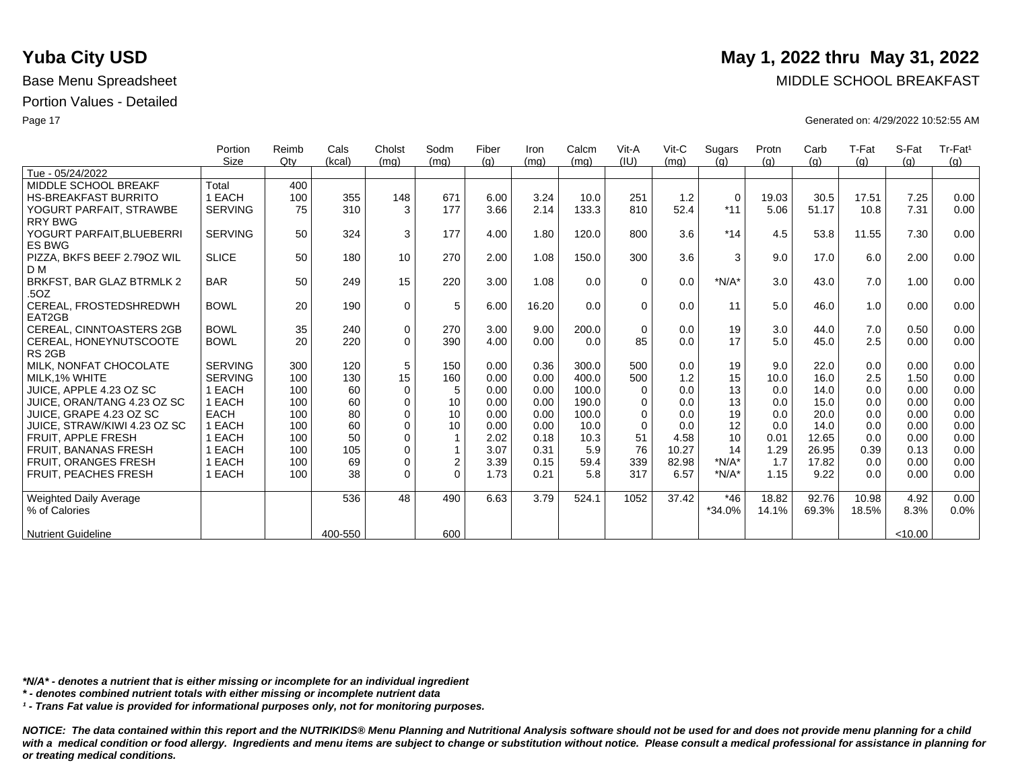|                                            | Portion        | Reimb | Cals    | Cholst      | Sodm           | Fiber | Iron  | Calcm | Vit-A    | $V$ it-C | Sugars      | Protn | Carb  | T-Fat | S-Fat  | Tr-Fat <sup>1</sup> |
|--------------------------------------------|----------------|-------|---------|-------------|----------------|-------|-------|-------|----------|----------|-------------|-------|-------|-------|--------|---------------------|
|                                            | Size           | Qtv   | (kcal)  | (mq)        | (mq)           | (q)   | (mq)  | (mq)  | (IU)     | (mq)     | (q)         | (q)   | (q)   | (g)   | (q)    | (q)                 |
| Tue - 05/24/2022                           |                |       |         |             |                |       |       |       |          |          |             |       |       |       |        |                     |
| MIDDLE SCHOOL BREAKF                       | Total          | 400   |         |             |                |       |       |       |          |          |             |       |       |       |        |                     |
| <b>HS-BREAKFAST BURRITO</b>                | 1 EACH         | 100   | 355     | 148         | 671            | 6.00  | 3.24  | 10.0  | 251      | 1.2      | $\mathbf 0$ | 19.03 | 30.5  | 17.51 | 7.25   | 0.00                |
| YOGURT PARFAIT, STRAWBE                    | <b>SERVING</b> | 75    | 310     | 3           | 177            | 3.66  | 2.14  | 133.3 | 810      | 52.4     | $*11$       | 5.06  | 51.17 | 10.8  | 7.31   | 0.00                |
| <b>RRY BWG</b>                             |                |       |         |             |                |       |       |       |          |          |             |       |       |       |        |                     |
| YOGURT PARFAIT, BLUEBERRI<br><b>ES BWG</b> | <b>SERVING</b> | 50    | 324     | 3           | 177            | 4.00  | 1.80  | 120.0 | 800      | 3.6      | $*14$       | 4.5   | 53.8  | 11.55 | 7.30   | 0.00                |
| PIZZA, BKFS BEEF 2.790Z WIL<br>D M         | <b>SLICE</b>   | 50    | 180     | 10          | 270            | 2.00  | 1.08  | 150.0 | 300      | 3.6      | 3           | 9.0   | 17.0  | 6.0   | 2.00   | 0.00                |
| BRKFST, BAR GLAZ BTRMLK 2                  | <b>BAR</b>     | 50    | 249     | 15          | 220            | 3.00  | 1.08  | 0.0   | $\Omega$ | 0.0      | $*N/A*$     | 3.0   | 43.0  | 7.0   | 1.00   | 0.00                |
| .5OZ                                       |                |       |         |             |                |       |       |       |          |          |             |       |       |       |        |                     |
| CEREAL, FROSTEDSHREDWH                     | <b>BOWL</b>    | 20    | 190     | $\mathbf 0$ | 5              | 6.00  | 16.20 | 0.0   | $\Omega$ | 0.0      | 11          | 5.0   | 46.0  | 1.0   | 0.00   | 0.00                |
| EAT2GB                                     |                |       |         |             |                |       |       |       |          |          |             |       |       |       |        |                     |
| <b>CEREAL, CINNTOASTERS 2GB</b>            | <b>BOWL</b>    | 35    | 240     | $\mathbf 0$ | 270            | 3.00  | 9.00  | 200.0 | $\Omega$ | 0.0      | 19          | 3.0   | 44.0  | 7.0   | 0.50   | 0.00                |
| CEREAL, HONEYNUTSCOOTE                     | <b>BOWL</b>    | 20    | 220     | $\Omega$    | 390            | 4.00  | 0.00  | 0.0   | 85       | 0.0      | 17          | 5.0   | 45.0  | 2.5   | 0.00   | 0.00                |
| RS <sub>2GB</sub>                          |                |       |         |             |                |       |       |       |          |          |             |       |       |       |        |                     |
| MILK, NONFAT CHOCOLATE                     | <b>SERVING</b> | 300   | 120     | 5           | 150            | 0.00  | 0.36  | 300.0 | 500      | 0.0      | 19          | 9.0   | 22.0  | 0.0   | 0.00   | 0.00                |
| MILK.1% WHITE                              | <b>SERVING</b> | 100   | 130     | 15          | 160            | 0.00  | 0.00  | 400.0 | 500      | 1.2      | 15          | 10.0  | 16.0  | 2.5   | 1.50   | 0.00                |
| JUICE, APPLE 4.23 OZ SC                    | 1 EACH         | 100   | 60      | $\mathbf 0$ | 5              | 0.00  | 0.00  | 100.0 | $\Omega$ | 0.0      | 13          | 0.0   | 14.0  | 0.0   | 0.00   | 0.00                |
| JUICE, ORAN/TANG 4.23 OZ SC                | 1 EACH         | 100   | 60      | $\mathbf 0$ | 10             | 0.00  | 0.00  | 190.0 | $\Omega$ | 0.0      | 13          | 0.0   | 15.0  | 0.0   | 0.00   | 0.00                |
| JUICE, GRAPE 4.23 OZ SC                    | <b>EACH</b>    | 100   | 80      | $\mathbf 0$ | 10             | 0.00  | 0.00  | 100.0 | $\Omega$ | 0.0      | 19          | 0.0   | 20.0  | 0.0   | 0.00   | 0.00                |
| JUICE, STRAW/KIWI 4.23 OZ SC               | 1 EACH         | 100   | 60      | $\mathbf 0$ | 10             | 0.00  | 0.00  | 10.0  | $\Omega$ | 0.0      | 12          | 0.0   | 14.0  | 0.0   | 0.00   | 0.00                |
| <b>FRUIT, APPLE FRESH</b>                  | 1 EACH         | 100   | 50      | $\mathbf 0$ | $\mathbf{1}$   | 2.02  | 0.18  | 10.3  | 51       | 4.58     | 10          | 0.01  | 12.65 | 0.0   | 0.00   | 0.00                |
| <b>FRUIT, BANANAS FRESH</b>                | 1 EACH         | 100   | 105     | $\mathbf 0$ | 1              | 3.07  | 0.31  | 5.9   | 76       | 10.27    | 14          | 1.29  | 26.95 | 0.39  | 0.13   | 0.00                |
| FRUIT, ORANGES FRESH                       | 1 EACH         | 100   | 69      | $\mathbf 0$ | $\overline{c}$ | 3.39  | 0.15  | 59.4  | 339      | 82.98    | $*N/A*$     | 1.7   | 17.82 | 0.0   | 0.00   | 0.00                |
| <b>FRUIT, PEACHES FRESH</b>                | 1 EACH         | 100   | 38      | $\Omega$    | $\Omega$       | 1.73  | 0.21  | 5.8   | 317      | 6.57     | $*N/A*$     | 1.15  | 9.22  | 0.0   | 0.00   | 0.00                |
| <b>Weighted Daily Average</b>              |                |       | 536     | 48          | 490            | 6.63  | 3.79  | 524.1 | 1052     | 37.42    | $*46$       | 18.82 | 92.76 | 10.98 | 4.92   | 0.00                |
| % of Calories                              |                |       |         |             |                |       |       |       |          |          | $*34.0\%$   | 14.1% | 69.3% | 18.5% | 8.3%   | 0.0%                |
| <b>Nutrient Guideline</b>                  |                |       | 400-550 |             | 600            |       |       |       |          |          |             |       |       |       | <10.00 |                     |

*\*N/A\* - denotes a nutrient that is either missing or incomplete for an individual ingredient*

*\* - denotes combined nutrient totals with either missing or incomplete nutrient data*

*¹ - Trans Fat value is provided for informational purposes only, not for monitoring purposes.*

*NOTICE: The data contained within this report and the NUTRIKIDS® Menu Planning and Nutritional Analysis software should not be used for and does not provide menu planning for a child*  with a medical condition or food allergy. Ingredients and menu items are subject to change or substitution without notice. Please consult a medical professional for assistance in planning for *or treating medical conditions.*

# **Yuba City USD** May 1, 2022 thru May 31, 2022

Base Menu Spreadsheet **MIDDLE SCHOOL BREAKFAST** 

Page 17 Generated on: 4/29/2022 10:52:55 AM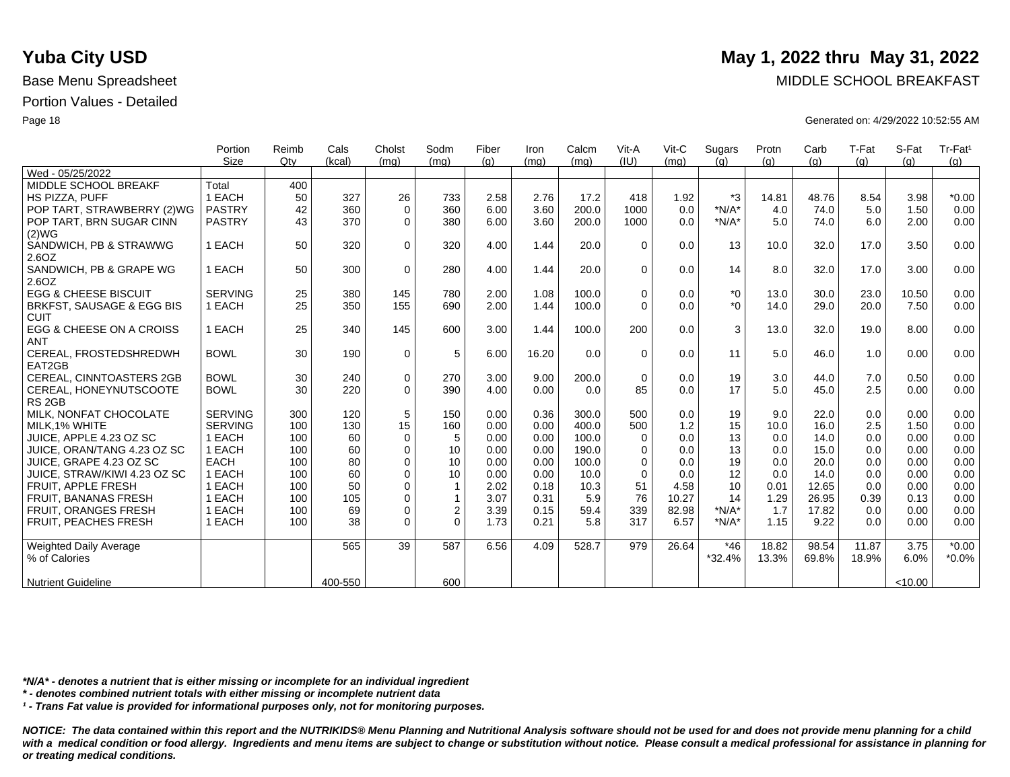|                                  | Portion        | Reimb | Cals    | Cholst      | Sodm           | Fiber | Iron  | Calcm | Vit-A       | $V$ it-C | Sugars   | Protn | Carb  | T-Fat | S-Fat   | Tr-Fat <sup>1</sup> |
|----------------------------------|----------------|-------|---------|-------------|----------------|-------|-------|-------|-------------|----------|----------|-------|-------|-------|---------|---------------------|
|                                  | <b>Size</b>    | Qtv   | (kcal)  | (mq)        | (mq)           | (g)   | (mq)  | (mg)  | (IU)        | (mq)     | (q)      | (q)   | (g)   | (g)   | (q)     | (g)                 |
| Wed - 05/25/2022                 |                |       |         |             |                |       |       |       |             |          |          |       |       |       |         |                     |
| MIDDLE SCHOOL BREAKF             | Total          | 400   |         |             |                |       |       |       |             |          |          |       |       |       |         |                     |
| <b>HS PIZZA, PUFF</b>            | 1 EACH         | 50    | 327     | 26          | 733            | 2.58  | 2.76  | 17.2  | 418         | 1.92     | *3       | 14.81 | 48.76 | 8.54  | 3.98    | $*0.00$             |
| POP TART, STRAWBERRY (2)WG       | <b>PASTRY</b>  | 42    | 360     | $\mathbf 0$ | 360            | 6.00  | 3.60  | 200.0 | 1000        | 0.0      | $*N/A*$  | 4.0   | 74.0  | 5.0   | 1.50    | 0.00                |
| POP TART, BRN SUGAR CINN         | <b>PASTRY</b>  | 43    | 370     | $\Omega$    | 380            | 6.00  | 3.60  | 200.0 | 1000        | 0.0      | $*N/A*$  | 5.0   | 74.0  | 6.0   | 2.00    | 0.00                |
| (2)WG<br>SANDWICH, PB & STRAWWG  | 1 EACH         | 50    | 320     | $\Omega$    | 320            | 4.00  | 1.44  | 20.0  | $\Omega$    | 0.0      | 13       | 10.0  | 32.0  | 17.0  | 3.50    | 0.00                |
| 2.6OZ                            |                |       |         |             |                |       |       |       |             |          |          |       |       |       |         |                     |
| SANDWICH, PB & GRAPE WG<br>2.6OZ | 1 EACH         | 50    | 300     | $\mathbf 0$ | 280            | 4.00  | 1.44  | 20.0  | $\Omega$    | 0.0      | 14       | 8.0   | 32.0  | 17.0  | 3.00    | 0.00                |
| <b>EGG &amp; CHEESE BISCUIT</b>  | <b>SERVING</b> | 25    | 380     | 145         | 780            | 2.00  | 1.08  | 100.0 | $\Omega$    | 0.0      | $*_{0}$  | 13.0  | 30.0  | 23.0  | 10.50   | 0.00                |
| BRKFST, SAUSAGE & EGG BIS        | 1 EACH         | 25    | 350     | 155         | 690            | 2.00  | 1.44  | 100.0 | $\Omega$    | 0.0      | $*$ 0    | 14.0  | 29.0  | 20.0  | 7.50    | 0.00                |
| <b>CUIT</b>                      |                |       |         |             |                |       |       |       |             |          |          |       |       |       |         |                     |
| EGG & CHEESE ON A CROISS         | 1 EACH         | 25    | 340     | 145         | 600            | 3.00  | 1.44  | 100.0 | 200         | 0.0      | 3        | 13.0  | 32.0  | 19.0  | 8.00    | 0.00                |
| <b>ANT</b>                       |                |       |         |             |                |       |       |       |             |          |          |       |       |       |         |                     |
| CEREAL, FROSTEDSHREDWH<br>EAT2GB | <b>BOWL</b>    | 30    | 190     | 0           | 5              | 6.00  | 16.20 | 0.0   | $\Omega$    | 0.0      | 11       | 5.0   | 46.0  | 1.0   | 0.00    | 0.00                |
| <b>CEREAL, CINNTOASTERS 2GB</b>  | <b>BOWL</b>    | 30    | 240     | 0           | 270            | 3.00  | 9.00  | 200.0 | $\mathbf 0$ | 0.0      | 19       | 3.0   | 44.0  | 7.0   | 0.50    | 0.00                |
| CEREAL, HONEYNUTSCOOTE           | <b>BOWL</b>    | 30    | 220     | $\mathbf 0$ | 390            | 4.00  | 0.00  | 0.0   | 85          | 0.0      | 17       | 5.0   | 45.0  | 2.5   | 0.00    | 0.00                |
| RS <sub>2GB</sub>                |                |       |         |             |                |       |       |       |             |          |          |       |       |       |         |                     |
| MILK, NONFAT CHOCOLATE           | <b>SERVING</b> | 300   | 120     | 5           | 150            | 0.00  | 0.36  | 300.0 | 500         | 0.0      | 19       | 9.0   | 22.0  | 0.0   | 0.00    | 0.00                |
| MILK, 1% WHITE                   | <b>SERVING</b> | 100   | 130     | 15          | 160            | 0.00  | 0.00  | 400.0 | 500         | 1.2      | 15       | 10.0  | 16.0  | 2.5   | 1.50    | 0.00                |
| JUICE, APPLE 4.23 OZ SC          | 1 EACH         | 100   | 60      | $\mathbf 0$ | 5              | 0.00  | 0.00  | 100.0 | $\Omega$    | 0.0      | 13       | 0.0   | 14.0  | 0.0   | 0.00    | 0.00                |
| JUICE, ORAN/TANG 4.23 OZ SC      | 1 EACH         | 100   | 60      | $\mathbf 0$ | 10             | 0.00  | 0.00  | 190.0 | $\Omega$    | 0.0      | 13       | 0.0   | 15.0  | 0.0   | 0.00    | 0.00                |
| JUICE, GRAPE 4.23 OZ SC          | <b>EACH</b>    | 100   | 80      | $\mathbf 0$ | 10             | 0.00  | 0.00  | 100.0 | $\Omega$    | 0.0      | 19       | 0.0   | 20.0  | 0.0   | 0.00    | 0.00                |
| JUICE, STRAW/KIWI 4.23 OZ SC     | 1 EACH         | 100   | 60      | $\Omega$    | 10             | 0.00  | 0.00  | 10.0  | $\Omega$    | 0.0      | 12       | 0.0   | 14.0  | 0.0   | 0.00    | 0.00                |
| <b>FRUIT, APPLE FRESH</b>        | 1 EACH         | 100   | 50      | $\mathbf 0$ | $\overline{1}$ | 2.02  | 0.18  | 10.3  | 51          | 4.58     | 10       | 0.01  | 12.65 | 0.0   | 0.00    | 0.00                |
| FRUIT, BANANAS FRESH             | 1 EACH         | 100   | 105     | $\mathbf 0$ | 1              | 3.07  | 0.31  | 5.9   | 76          | 10.27    | 14       | 1.29  | 26.95 | 0.39  | 0.13    | 0.00                |
| FRUIT, ORANGES FRESH             | 1 EACH         | 100   | 69      | $\mathbf 0$ | $\overline{2}$ | 3.39  | 0.15  | 59.4  | 339         | 82.98    | $*N/A*$  | 1.7   | 17.82 | 0.0   | 0.00    | 0.00                |
| FRUIT, PEACHES FRESH             | 1 EACH         | 100   | 38      | $\Omega$    | $\Omega$       | 1.73  | 0.21  | 5.8   | 317         | 6.57     | $*N/A*$  | 1.15  | 9.22  | 0.0   | 0.00    | 0.00                |
| Weighted Daily Average           |                |       | 565     | 39          | 587            | 6.56  | 4.09  | 528.7 | 979         | 26.64    | $*46$    | 18.82 | 98.54 | 11.87 | 3.75    | $*0.00$             |
| % of Calories                    |                |       |         |             |                |       |       |       |             |          | $*32.4%$ | 13.3% | 69.8% | 18.9% | 6.0%    | $*0.0\%$            |
| <b>Nutrient Guideline</b>        |                |       | 400-550 |             | 600            |       |       |       |             |          |          |       |       |       | < 10.00 |                     |

*\*N/A\* - denotes a nutrient that is either missing or incomplete for an individual ingredient*

*\* - denotes combined nutrient totals with either missing or incomplete nutrient data*

*¹ - Trans Fat value is provided for informational purposes only, not for monitoring purposes.*

*NOTICE: The data contained within this report and the NUTRIKIDS® Menu Planning and Nutritional Analysis software should not be used for and does not provide menu planning for a child*  with a medical condition or food allergy. Ingredients and menu items are subject to change or substitution without notice. Please consult a medical professional for assistance in planning for *or treating medical conditions.*

## **Yuba City USD** May 1, 2022 thru May 31, 2022

Base Menu Spreadsheet **MIDDLE SCHOOL BREAKFAST** 

Page 18 Generated on: 4/29/2022 10:52:55 AM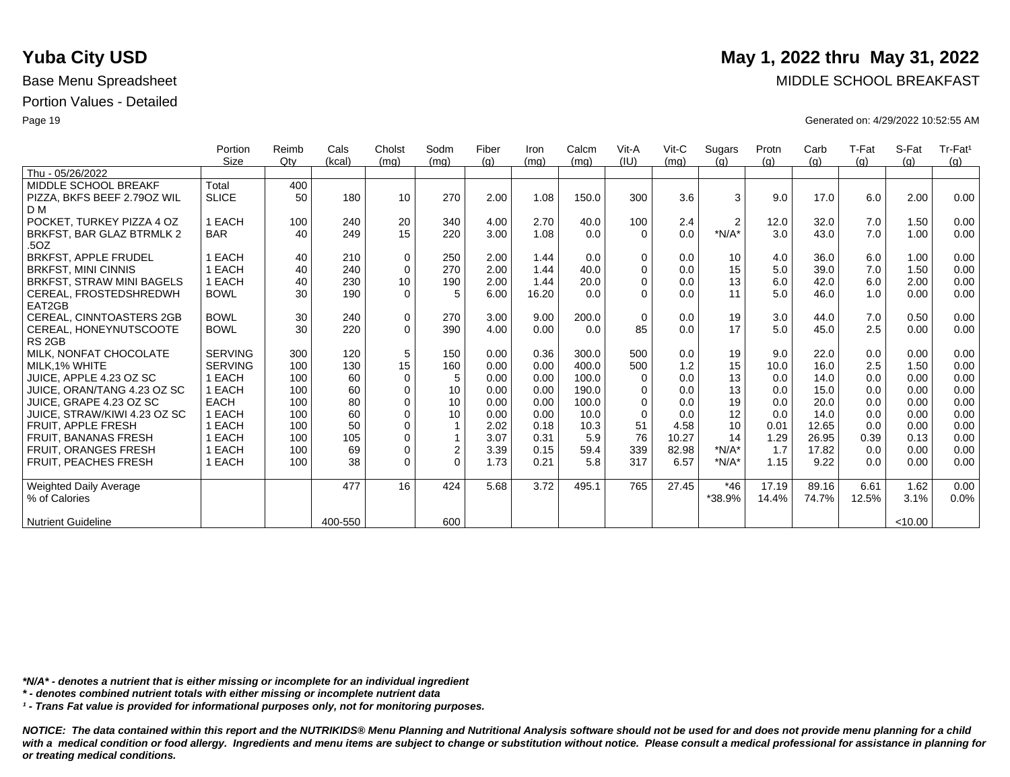|                                   | Portion        | Reimb | Cals    | Cholst          | Sodm             | Fiber | Iron  | Calcm | Vit-A       | $V$ it-C | Sugars         | Protn | Carb  | T-Fat | S-Fat   | Tr-Fat <sup>1</sup> |
|-----------------------------------|----------------|-------|---------|-----------------|------------------|-------|-------|-------|-------------|----------|----------------|-------|-------|-------|---------|---------------------|
|                                   | Size           | Qtv   | (kcal)  | (mq)            | (mq)             | (q)   | (mg)  | (mq)  | (IU)        | (mq)     | (q)            | (q)   | (q)   | (q)   | (q)     | (q)                 |
| Thu - 05/26/2022                  |                |       |         |                 |                  |       |       |       |             |          |                |       |       |       |         |                     |
| MIDDLE SCHOOL BREAKF              | Total          | 400   |         |                 |                  |       |       |       |             |          |                |       |       |       |         |                     |
| PIZZA, BKFS BEEF 2.790Z WIL       | <b>SLICE</b>   | 50    | 180     | 10              | 270              | 2.00  | 1.08  | 150.0 | 300         | 3.6      | 3              | 9.0   | 17.0  | 6.0   | 2.00    | 0.00                |
| D <sub>M</sub>                    |                |       |         |                 |                  |       |       |       |             |          |                |       |       |       |         |                     |
| POCKET. TURKEY PIZZA 4 OZ         | 1 EACH         | 100   | 240     | 20              | 340              | 4.00  | 2.70  | 40.0  | 100         | 2.4      | $\overline{2}$ | 12.0  | 32.0  | 7.0   | 1.50    | 0.00                |
| BRKFST, BAR GLAZ BTRMLK 2<br>.5OZ | <b>BAR</b>     | 40    | 249     | 15              | 220              | 3.00  | 1.08  | 0.0   | $\Omega$    | 0.0      | $*N/A*$        | 3.0   | 43.0  | 7.0   | 1.00    | 0.00                |
| <b>BRKFST, APPLE FRUDEL</b>       | EACH           | 40    | 210     | 0               | 250              | 2.00  | 1.44  | 0.0   | $\mathbf 0$ | 0.0      | 10             | 4.0   | 36.0  | 6.0   | 1.00    | 0.00                |
| <b>BRKFST, MINI CINNIS</b>        | EACH           | 40    | 240     | $\mathbf 0$     | 270              | 2.00  | 1.44  | 40.0  | $\Omega$    | 0.0      | 15             | 5.0   | 39.0  | 7.0   | 1.50    | 0.00                |
| BRKFST, STRAW MINI BAGELS         | 1 EACH         | 40    | 230     | 10 <sup>°</sup> | 190              | 2.00  | 1.44  | 20.0  | $\mathbf 0$ | 0.0      | 13             | 6.0   | 42.0  | 6.0   | 2.00    | 0.00                |
| CEREAL, FROSTEDSHREDWH            | <b>BOWL</b>    | 30    | 190     | $\Omega$        | 5                | 6.00  | 16.20 | 0.0   | $\Omega$    | 0.0      | 11             | 5.0   | 46.0  | 1.0   | 0.00    | 0.00                |
| EAT2GB                            |                |       |         |                 |                  |       |       |       |             |          |                |       |       |       |         |                     |
| <b>CEREAL, CINNTOASTERS 2GB</b>   | <b>BOWL</b>    | 30    | 240     | $\mathbf 0$     | 270              | 3.00  | 9.00  | 200.0 | $\mathbf 0$ | 0.0      | 19             | 3.0   | 44.0  | 7.0   | 0.50    | 0.00                |
| CEREAL, HONEYNUTSCOOTE            | <b>BOWL</b>    | 30    | 220     | $\Omega$        | 390              | 4.00  | 0.00  | 0.0   | 85          | 0.0      | 17             | 5.0   | 45.0  | 2.5   | 0.00    | 0.00                |
| RS <sub>2GB</sub>                 |                |       |         |                 |                  |       |       |       |             |          |                |       |       |       |         |                     |
| MILK. NONFAT CHOCOLATE            | <b>SERVING</b> | 300   | 120     | 5               | 150              | 0.00  | 0.36  | 300.0 | 500         | 0.0      | 19             | 9.0   | 22.0  | 0.0   | 0.00    | 0.00                |
| MILK.1% WHITE                     | <b>SERVING</b> | 100   | 130     | 15              | 160              | 0.00  | 0.00  | 400.0 | 500         | 1.2      | 15             | 10.0  | 16.0  | 2.5   | 1.50    | 0.00                |
| JUICE. APPLE 4.23 OZ SC           | 1 EACH         | 100   | 60      | 0               | 5                | 0.00  | 0.00  | 100.0 | $\Omega$    | 0.0      | 13             | 0.0   | 14.0  | 0.0   | 0.00    | 0.00                |
| JUICE, ORAN/TANG 4.23 OZ SC       | 1 EACH         | 100   | 60      | $\mathbf 0$     | 10               | 0.00  | 0.00  | 190.0 | $\mathbf 0$ | 0.0      | 13             | 0.0   | 15.0  | 0.0   | 0.00    | 0.00                |
| JUICE. GRAPE 4.23 OZ SC           | <b>EACH</b>    | 100   | 80      | $\mathbf 0$     | 10               | 0.00  | 0.00  | 100.0 | $\Omega$    | 0.0      | 19             | 0.0   | 20.0  | 0.0   | 0.00    | 0.00                |
| JUICE, STRAW/KIWI 4.23 OZ SC      | 1 EACH         | 100   | 60      | $\mathbf 0$     | 10               | 0.00  | 0.00  | 10.0  | $\Omega$    | 0.0      | 12             | 0.0   | 14.0  | 0.0   | 0.00    | 0.00                |
| FRUIT, APPLE FRESH                | 1 EACH         | 100   | 50      | $\mathbf 0$     | 1                | 2.02  | 0.18  | 10.3  | 51          | 4.58     | 10             | 0.01  | 12.65 | 0.0   | 0.00    | 0.00                |
| <b>FRUIT, BANANAS FRESH</b>       | <b>EACH</b>    | 100   | 105     | 0               | 1                | 3.07  | 0.31  | 5.9   | 76          | 10.27    | 14             | 1.29  | 26.95 | 0.39  | 0.13    | 0.00                |
| FRUIT, ORANGES FRESH              | 1 EACH         | 100   | 69      | 0               | $\boldsymbol{2}$ | 3.39  | 0.15  | 59.4  | 339         | 82.98    | $*N/A*$        | 1.7   | 17.82 | 0.0   | 0.00    | 0.00                |
| <b>FRUIT. PEACHES FRESH</b>       | 1 EACH         | 100   | 38      | $\Omega$        | $\Omega$         | 1.73  | 0.21  | 5.8   | 317         | 6.57     | $*N/A*$        | 1.15  | 9.22  | 0.0   | 0.00    | 0.00                |
|                                   |                |       | 477     | 16              | 424              | 5.68  | 3.72  |       | 765         | 27.45    | $*46$          | 17.19 | 89.16 | 6.61  | 1.62    | 0.00                |
| <b>Weighted Daily Average</b>     |                |       |         |                 |                  |       |       | 495.1 |             |          |                |       |       |       |         |                     |
| % of Calories                     |                |       |         |                 |                  |       |       |       |             |          | *38.9%         | 14.4% | 74.7% | 12.5% | 3.1%    | 0.0%                |
| <b>Nutrient Guideline</b>         |                |       | 400-550 |                 | 600              |       |       |       |             |          |                |       |       |       | < 10.00 |                     |

*\*N/A\* - denotes a nutrient that is either missing or incomplete for an individual ingredient*

*\* - denotes combined nutrient totals with either missing or incomplete nutrient data*

*¹ - Trans Fat value is provided for informational purposes only, not for monitoring purposes.*

*NOTICE: The data contained within this report and the NUTRIKIDS® Menu Planning and Nutritional Analysis software should not be used for and does not provide menu planning for a child*  with a medical condition or food allergy. Ingredients and menu items are subject to change or substitution without notice. Please consult a medical professional for assistance in planning for *or treating medical conditions.*

### **Yuba City USD** May 1, 2022 thru May 31, 2022

Base Menu Spreadsheet **MIDDLE SCHOOL BREAKFAST** 

Page 19 Generated on: 4/29/2022 10:52:55 AM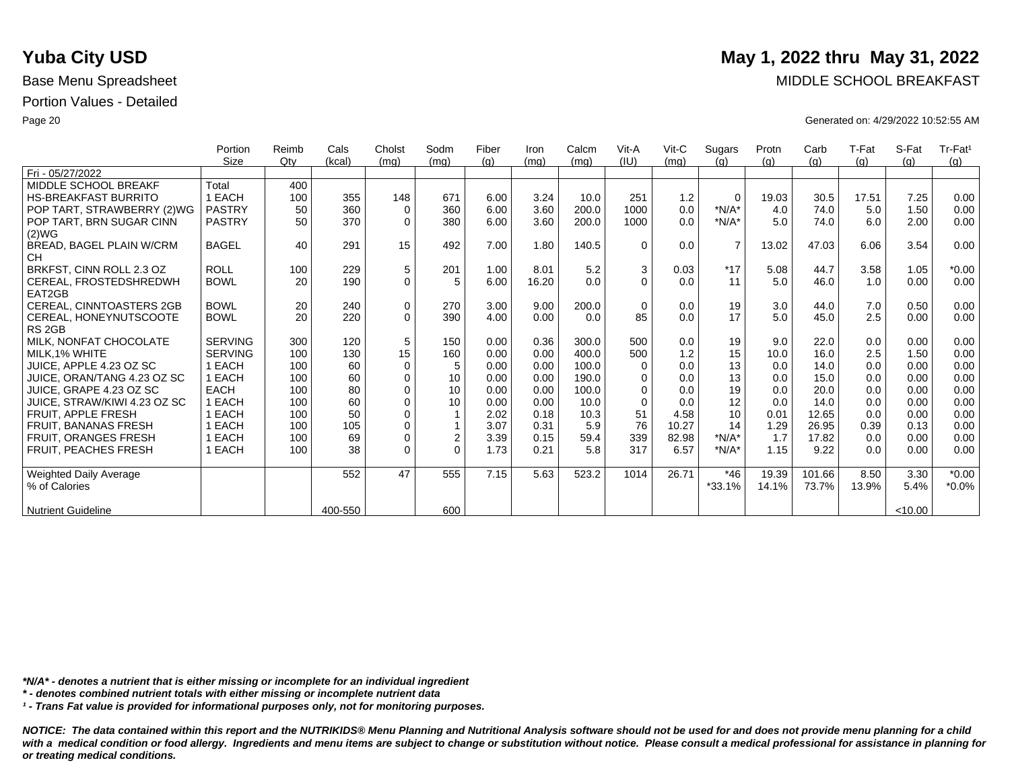|                               | Portion        | Reimb  | Cals    | Cholst      | Sodm           | Fiber | Iron  | Calcm | Vit-A    | Vit-C | Sugars         | Protn | Carb   | T-Fat | S-Fat   | Tr-Fat <sup>1</sup> |
|-------------------------------|----------------|--------|---------|-------------|----------------|-------|-------|-------|----------|-------|----------------|-------|--------|-------|---------|---------------------|
|                               | Size           | $Q$ ty | (kcal)  | (mq)        | (mq)           | (g)   | (mq)  | (mg)  | (IU)     | (mq)  | (a)            | (q)   | (q)    | (g)   | (q)     | (q)                 |
| Fri - 05/27/2022              |                |        |         |             |                |       |       |       |          |       |                |       |        |       |         |                     |
| MIDDLE SCHOOL BREAKF          | Total          | 400    |         |             |                |       |       |       |          |       |                |       |        |       |         |                     |
| <b>HS-BREAKFAST BURRITO</b>   | 1 EACH         | 100    | 355     | 148         | 671            | 6.00  | 3.24  | 10.0  | 251      | 1.2   | $\Omega$       | 19.03 | 30.5   | 17.51 | 7.25    | 0.00                |
| POP TART, STRAWBERRY (2)WG    | <b>PASTRY</b>  | 50     | 360     | $\mathbf 0$ | 360            | 6.00  | 3.60  | 200.0 | 1000     | 0.0   | $*N/A*$        | 4.0   | 74.0   | 5.0   | 1.50    | 0.00                |
| POP TART, BRN SUGAR CINN      | <b>PASTRY</b>  | 50     | 370     | $\Omega$    | 380            | 6.00  | 3.60  | 200.0 | 1000     | 0.0   | $*N/A*$        | 5.0   | 74.0   | 6.0   | 2.00    | 0.00                |
| (2)WG                         |                |        |         |             |                |       |       |       |          |       |                |       |        |       |         |                     |
| BREAD, BAGEL PLAIN W/CRM      | <b>BAGEL</b>   | 40     | 291     | 15          | 492            | 7.00  | 1.80  | 140.5 | $\Omega$ | 0.0   | $\overline{7}$ | 13.02 | 47.03  | 6.06  | 3.54    | 0.00                |
| <b>CH</b>                     |                |        |         |             |                |       |       |       |          |       |                |       |        |       |         |                     |
| BRKFST, CINN ROLL 2.3 OZ      | <b>ROLL</b>    | 100    | 229     | $\sqrt{5}$  | 201            | 1.00  | 8.01  | 5.2   | 3        | 0.03  | $*17$          | 5.08  | 44.7   | 3.58  | 1.05    | $*0.00$             |
| CEREAL, FROSTEDSHREDWH        | <b>BOWL</b>    | 20     | 190     | $\mathbf 0$ | 5              | 6.00  | 16.20 | 0.0   | $\Omega$ | 0.0   | 11             | 5.0   | 46.0   | 1.0   | 0.00    | 0.00                |
| EAT2GB                        |                |        |         |             |                |       |       |       |          |       |                |       |        |       |         |                     |
| CEREAL, CINNTOASTERS 2GB      | <b>BOWL</b>    | 20     | 240     | $\pmb{0}$   | 270            | 3.00  | 9.00  | 200.0 | $\Omega$ | 0.0   | 19             | 3.0   | 44.0   | 7.0   | 0.50    | 0.00                |
| CEREAL, HONEYNUTSCOOTE        | <b>BOWL</b>    | 20     | 220     | $\Omega$    | 390            | 4.00  | 0.00  | 0.0   | 85       | 0.0   | 17             | 5.0   | 45.0   | 2.5   | 0.00    | 0.00                |
| RS <sub>2GB</sub>             |                |        |         |             |                |       |       |       |          |       |                |       |        |       |         |                     |
| MILK. NONFAT CHOCOLATE        | <b>SERVING</b> | 300    | 120     | 5           | 150            | 0.00  | 0.36  | 300.0 | 500      | 0.0   | 19             | 9.0   | 22.0   | 0.0   | 0.00    | 0.00                |
| MILK.1% WHITE                 | <b>SERVING</b> | 100    | 130     | 15          | 160            | 0.00  | 0.00  | 400.0 | 500      | 1.2   | 15             | 10.0  | 16.0   | 2.5   | 1.50    | 0.00                |
| JUICE, APPLE 4.23 OZ SC       | 1 EACH         | 100    | 60      | $\mathbf 0$ | 5              | 0.00  | 0.00  | 100.0 | $\Omega$ | 0.0   | 13             | 0.0   | 14.0   | 0.0   | 0.00    | 0.00                |
| JUICE, ORAN/TANG 4.23 OZ SC   | 1 EACH         | 100    | 60      | $\mathbf 0$ | 10             | 0.00  | 0.00  | 190.0 | 0        | 0.0   | 13             | 0.0   | 15.0   | 0.0   | 0.00    | 0.00                |
| JUICE, GRAPE 4.23 OZ SC       | <b>EACH</b>    | 100    | 80      | $\mathbf 0$ | 10             | 0.00  | 0.00  | 100.0 | $\Omega$ | 0.0   | 19             | 0.0   | 20.0   | 0.0   | 0.00    | 0.00                |
| JUICE. STRAW/KIWI 4.23 OZ SC  | 1 EACH         | 100    | 60      | $\Omega$    | 10             | 0.00  | 0.00  | 10.0  | $\Omega$ | 0.0   | 12             | 0.0   | 14.0   | 0.0   | 0.00    | 0.00                |
| <b>FRUIT, APPLE FRESH</b>     | 1 EACH         | 100    | 50      | $\mathbf 0$ |                | 2.02  | 0.18  | 10.3  | 51       | 4.58  | 10             | 0.01  | 12.65  | 0.0   | 0.00    | 0.00                |
| FRUIT, BANANAS FRESH          | 1 EACH         | 100    | 105     | $\mathbf 0$ | $\mathbf{1}$   | 3.07  | 0.31  | 5.9   | 76       | 10.27 | 14             | 1.29  | 26.95  | 0.39  | 0.13    | 0.00                |
| <b>FRUIT, ORANGES FRESH</b>   | 1 EACH         | 100    | 69      | $\mathbf 0$ | $\overline{c}$ | 3.39  | 0.15  | 59.4  | 339      | 82.98 | $*N/A*$        | 1.7   | 17.82  | 0.0   | 0.00    | 0.00                |
| <b>FRUIT. PEACHES FRESH</b>   | 1 EACH         | 100    | 38      | $\Omega$    | $\Omega$       | 1.73  | 0.21  | 5.8   | 317      | 6.57  | $*N/A*$        | 1.15  | 9.22   | 0.0   | 0.00    | 0.00                |
|                               |                |        |         |             |                |       |       |       |          |       |                |       |        |       |         |                     |
| <b>Weighted Daily Average</b> |                |        | 552     | 47          | 555            | 7.15  | 5.63  | 523.2 | 1014     | 26.71 | $*46$          | 19.39 | 101.66 | 8.50  | 3.30    | $*0.00$             |
| % of Calories                 |                |        |         |             |                |       |       |       |          |       | $*33.1%$       | 14.1% | 73.7%  | 13.9% | 5.4%    | $*0.0\%$            |
|                               |                |        |         |             |                |       |       |       |          |       |                |       |        |       |         |                     |
| <b>Nutrient Guideline</b>     |                |        | 400-550 |             | 600            |       |       |       |          |       |                |       |        |       | < 10.00 |                     |

*\*N/A\* - denotes a nutrient that is either missing or incomplete for an individual ingredient*

*\* - denotes combined nutrient totals with either missing or incomplete nutrient data*

*¹ - Trans Fat value is provided for informational purposes only, not for monitoring purposes.*

*NOTICE: The data contained within this report and the NUTRIKIDS® Menu Planning and Nutritional Analysis software should not be used for and does not provide menu planning for a child*  with a medical condition or food allergy. Ingredients and menu items are subject to change or substitution without notice. Please consult a medical professional for assistance in planning for *or treating medical conditions.*

### **Yuba City USD** May 1, 2022 thru May 31, 2022

Base Menu Spreadsheet **MIDDLE SCHOOL BREAKFAST** 

Page 20 Generated on: 4/29/2022 10:52:55 AM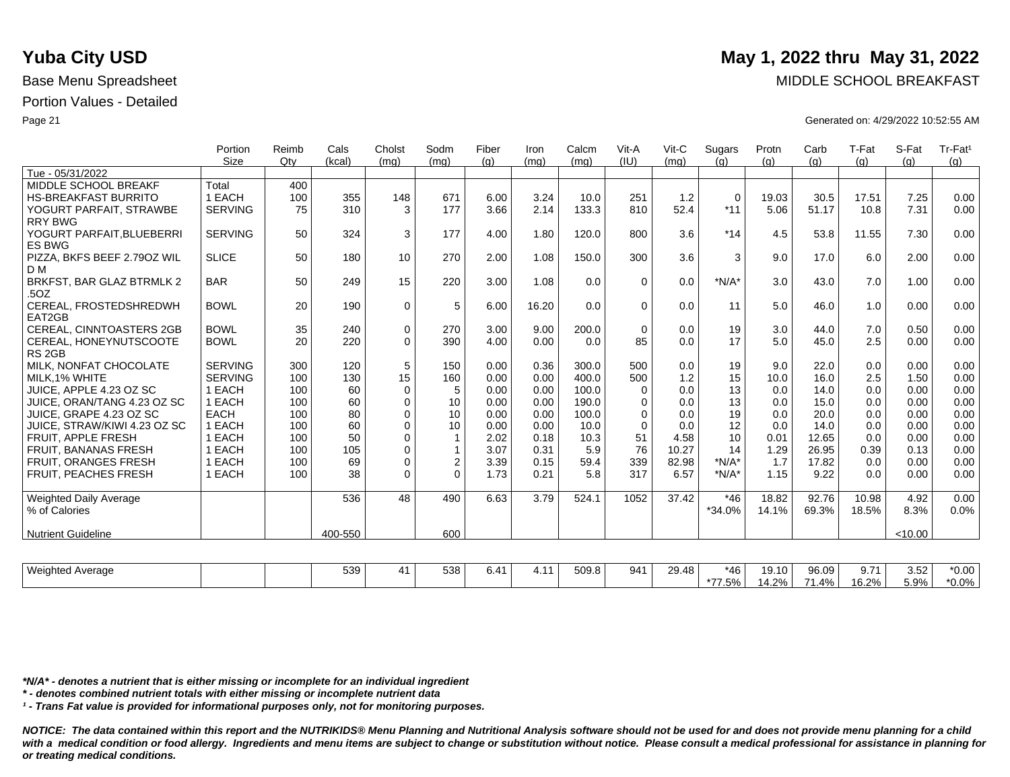|                                            | Portion        | Reimb  | Cals    | Cholst      | Sodm             | Fiber | Iron  | Calcm | Vit-A       | Vit-C | Sugars      | Protn | Carb  | T-Fat | S-Fat   | Tr-Fat <sup>1</sup> |
|--------------------------------------------|----------------|--------|---------|-------------|------------------|-------|-------|-------|-------------|-------|-------------|-------|-------|-------|---------|---------------------|
|                                            | Size           | $Q$ ty | (kcal)  | (mq)        | (mq)             | (g)   | (mq)  | (mq)  | (IU)        | (mq)  | (q)         | (q)   | (q)   | (q)   | (g)     | (g)                 |
| Tue - 05/31/2022                           |                |        |         |             |                  |       |       |       |             |       |             |       |       |       |         |                     |
| MIDDLE SCHOOL BREAKF                       | Total          | 400    |         |             |                  |       |       |       |             |       |             |       |       |       |         |                     |
| <b>HS-BREAKFAST BURRITO</b>                | 1 EACH         | 100    | 355     | 148         | 671              | 6.00  | 3.24  | 10.0  | 251         | 1.2   | $\mathbf 0$ | 19.03 | 30.5  | 17.51 | 7.25    | 0.00                |
| YOGURT PARFAIT, STRAWBE                    | <b>SERVING</b> | 75     | 310     | 3           | 177              | 3.66  | 2.14  | 133.3 | 810         | 52.4  | $*11$       | 5.06  | 51.17 | 10.8  | 7.31    | 0.00                |
| <b>RRY BWG</b>                             |                |        |         |             |                  |       |       |       |             |       |             |       |       |       |         |                     |
| YOGURT PARFAIT, BLUEBERRI<br><b>ES BWG</b> | <b>SERVING</b> | 50     | 324     | 3           | 177              | 4.00  | 1.80  | 120.0 | 800         | 3.6   | $*14$       | 4.5   | 53.8  | 11.55 | 7.30    | 0.00                |
| PIZZA, BKFS BEEF 2.790Z WIL<br>D M         | <b>SLICE</b>   | 50     | 180     | 10          | 270              | 2.00  | 1.08  | 150.0 | 300         | 3.6   | 3           | 9.0   | 17.0  | 6.0   | 2.00    | 0.00                |
| BRKFST, BAR GLAZ BTRMLK 2<br>.5OZ          | <b>BAR</b>     | 50     | 249     | 15          | 220              | 3.00  | 1.08  | 0.0   | $\Omega$    | 0.0   | $*N/A*$     | 3.0   | 43.0  | 7.0   | 1.00    | 0.00                |
| CEREAL, FROSTEDSHREDWH<br>EAT2GB           | <b>BOWL</b>    | 20     | 190     | $\mathbf 0$ | 5                | 6.00  | 16.20 | 0.0   | $\Omega$    | 0.0   | 11          | 5.0   | 46.0  | 1.0   | 0.00    | 0.00                |
| <b>CEREAL, CINNTOASTERS 2GB</b>            | <b>BOWL</b>    | 35     | 240     | $\mathbf 0$ | 270              | 3.00  | 9.00  | 200.0 | $\mathbf 0$ | 0.0   | 19          | 3.0   | 44.0  | 7.0   | 0.50    | 0.00                |
| CEREAL, HONEYNUTSCOOTE                     | <b>BOWL</b>    | 20     | 220     | $\Omega$    | 390              | 4.00  | 0.00  | 0.0   | 85          | 0.0   | 17          | 5.0   | 45.0  | 2.5   | 0.00    | 0.00                |
| RS <sub>2GB</sub>                          |                |        |         |             |                  |       |       |       |             |       |             |       |       |       |         |                     |
| MILK. NONFAT CHOCOLATE                     | <b>SERVING</b> | 300    | 120     | $\mathbf 5$ | 150              | 0.00  | 0.36  | 300.0 | 500         | 0.0   | 19          | 9.0   | 22.0  | 0.0   | 0.00    | 0.00                |
| MILK.1% WHITE                              | <b>SERVING</b> | 100    | 130     | 15          | 160              | 0.00  | 0.00  | 400.0 | 500         | 1.2   | 15          | 10.0  | 16.0  | 2.5   | 1.50    | 0.00                |
| JUICE, APPLE 4.23 OZ SC                    | 1 EACH         | 100    | 60      | $\mathbf 0$ | 5                | 0.00  | 0.00  | 100.0 | 0           | 0.0   | 13          | 0.0   | 14.0  | 0.0   | 0.00    | 0.00                |
| JUICE, ORAN/TANG 4.23 OZ SC                | 1 EACH         | 100    | 60      | 0           | 10               | 0.00  | 0.00  | 190.0 | 0           | 0.0   | 13          | 0.0   | 15.0  | 0.0   | 0.00    | 0.00                |
| JUICE. GRAPE 4.23 OZ SC                    | <b>EACH</b>    | 100    | 80      | $\mathbf 0$ | 10               | 0.00  | 0.00  | 100.0 | $\Omega$    | 0.0   | 19          | 0.0   | 20.0  | 0.0   | 0.00    | 0.00                |
| JUICE, STRAW/KIWI 4.23 OZ SC               | 1 EACH         | 100    | 60      | $\Omega$    | 10               | 0.00  | 0.00  | 10.0  | $\Omega$    | 0.0   | 12          | 0.0   | 14.0  | 0.0   | 0.00    | 0.00                |
| <b>FRUIT, APPLE FRESH</b>                  | 1 EACH         | 100    | 50      | $\Omega$    | $\mathbf{1}$     | 2.02  | 0.18  | 10.3  | 51          | 4.58  | 10          | 0.01  | 12.65 | 0.0   | 0.00    | 0.00                |
| <b>FRUIT, BANANAS FRESH</b>                | 1 EACH         | 100    | 105     | $\Omega$    | $\mathbf{1}$     | 3.07  | 0.31  | 5.9   | 76          | 10.27 | 14          | 1.29  | 26.95 | 0.39  | 0.13    | 0.00                |
| FRUIT, ORANGES FRESH                       | 1 EACH         | 100    | 69      | 0           | $\boldsymbol{2}$ | 3.39  | 0.15  | 59.4  | 339         | 82.98 | $*N/A*$     | 1.7   | 17.82 | 0.0   | 0.00    | 0.00                |
| <b>FRUIT, PEACHES FRESH</b>                | 1 EACH         | 100    | 38      | $\Omega$    | $\Omega$         | 1.73  | 0.21  | 5.8   | 317         | 6.57  | $*N/A*$     | 1.15  | 9.22  | 0.0   | 0.00    | 0.00                |
| <b>Weighted Daily Average</b>              |                |        | 536     | 48          | 490              | 6.63  | 3.79  | 524.1 | 1052        | 37.42 | $*46$       | 18.82 | 92.76 | 10.98 | 4.92    | 0.00                |
| % of Calories                              |                |        |         |             |                  |       |       |       |             |       | *34.0%      | 14.1% | 69.3% | 18.5% | 8.3%    | 0.0%                |
| <b>Nutrient Guideline</b>                  |                |        | 400-550 |             | 600              |       |       |       |             |       |             |       |       |       | < 10.00 |                     |
|                                            |                |        |         |             |                  |       |       |       |             |       |             |       |       |       |         |                     |
| <b>Weighted Average</b>                    |                |        | 539     | 41          | 538              | 6.41  | 4.11  | 509.8 | 941         | 29.48 | $*46$       | 19.10 | 96.09 | 9.71  | 3.52    | $*0.00$             |

*\*N/A\* - denotes a nutrient that is either missing or incomplete for an individual ingredient*

*\* - denotes combined nutrient totals with either missing or incomplete nutrient data*

*¹ - Trans Fat value is provided for informational purposes only, not for monitoring purposes.*

*NOTICE: The data contained within this report and the NUTRIKIDS® Menu Planning and Nutritional Analysis software should not be used for and does not provide menu planning for a child*  with a medical condition or food allergy. Ingredients and menu items are subject to change or substitution without notice. Please consult a medical professional for assistance in planning for *or treating medical conditions.*

# **Yuba City USD** May 1, 2022 thru May 31, 2022

\*77.5%

14.2%

71.4%

16.2%

5.9%

\*0.0%

Base Menu Spreadsheet **MIDDLE SCHOOL BREAKFAST** 

Page 21 Generated on: 4/29/2022 10:52:55 AM